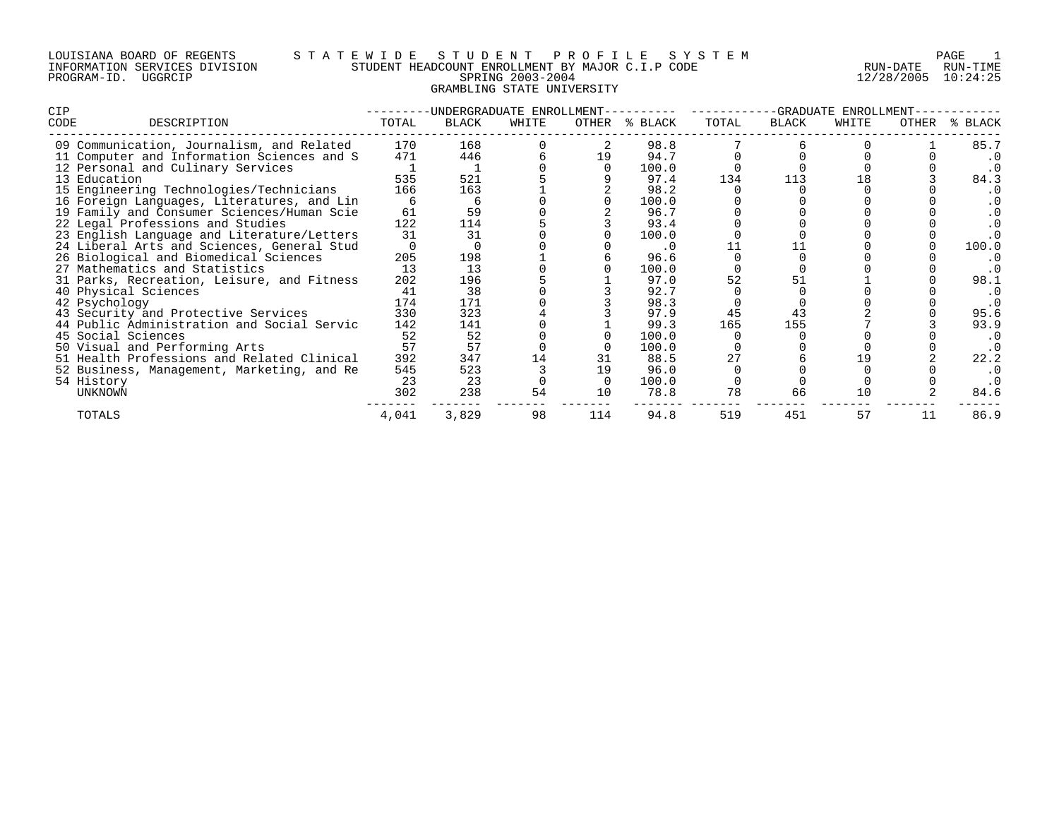# LOUISIANA BOARD OF REGENTS S T A T E W I D E S T U D E N T P R O F I L E S Y S T E M PAGE 1 INFORMATION SERVICES DIVISION STUDENT HEADCOUNT ENROLLMENT BY MAJOR C.I.P CODE RUN-DATE RUN-TIME PROGRAM-ID. UGGRCIP SPRING 2003-2004 12/28/2005 10:24:25 GRAMBLING STATE UNIVERSITY

| <b>CIP</b> |                                            |       | -UNDERGRADUATE ENROLLMENT |       |       | -GRADUATE ENROLLMENT |       |       |       |       |             |
|------------|--------------------------------------------|-------|---------------------------|-------|-------|----------------------|-------|-------|-------|-------|-------------|
| CODE       | DESCRIPTION                                | TOTAL | BLACK                     | WHITE | OTHER | % BLACK              | TOTAL | BLACK | WHITE | OTHER | BLACK<br>°≈ |
|            | 09 Communication, Journalism, and Related  | 170   | 168                       |       |       | 98.8                 |       |       |       |       | 85.7        |
|            | 11 Computer and Information Sciences and S | 471   | 446                       |       | 19    | 94.7                 |       |       |       |       | . 0         |
|            | 12 Personal and Culinary Services          |       |                           |       |       | 100.0                |       |       |       |       | . 0         |
|            | 13 Education                               | 535   | 521                       |       |       | 97.4                 | 134   | 113   |       |       | 84.3        |
|            | 15 Engineering Technologies/Technicians    | 166   | 163                       |       |       | 98.2                 |       |       |       |       | . 0         |
|            | 16 Foreign Languages, Literatures, and Lin |       |                           |       |       | 100.0                |       |       |       |       |             |
|            | 19 Family and Consumer Sciences/Human Scie | 61    | 59                        |       |       | 96.7                 |       |       |       |       | . 0         |
|            | 22 Legal Professions and Studies           | 122   | 114                       |       |       | 93.4                 |       |       |       |       | . 0         |
|            | 23 English Language and Literature/Letters | 31    | 31                        |       |       | 100.0                |       |       |       |       | . 0         |
|            | 24 Liberal Arts and Sciences, General Stud |       |                           |       |       | $\cdot$ 0            |       |       |       |       | 100.0       |
|            | 26 Biological and Biomedical Sciences      | 205   | 198                       |       |       | 96.6                 |       |       |       |       | . 0         |
|            | 27 Mathematics and Statistics              | 13    | 13                        |       |       | 100.0                |       |       |       |       | . 0         |
|            | 31 Parks, Recreation, Leisure, and Fitness | 202   | 196                       |       |       | 97.0                 |       | 51    |       |       | 98.1        |
|            | 40 Physical Sciences                       | 41    | 38                        |       |       | 92.7                 |       |       |       |       | . 0         |
|            | 42 Psychology                              | 174   | 171                       |       |       | 98.3                 |       |       |       |       | . 0         |
|            | 43 Security and Protective Services        | 330   | 323                       |       |       | 97.9                 | 45    | 43    |       |       | 95.6        |
|            | 44 Public Administration and Social Servic | 142   | 141                       |       |       | 99.3                 | 165   | 155   |       |       | 93.9        |
|            | 45 Social Sciences                         | 52    | 52                        |       |       | 100.0                |       |       |       |       | . 0         |
|            | 50 Visual and Performing Arts              | 57    | 57                        |       |       | 100.0                |       |       |       |       | . 0         |
|            | 51 Health Professions and Related Clinical | 392   | 347                       |       | 31    | 88.5                 |       |       |       |       | 22.2        |
|            | 52 Business, Management, Marketing, and Re | 545   | 523                       |       | 19    | 96.0                 |       |       |       |       | . 0         |
| 54 History |                                            | 23    | 23                        |       |       | 100.0                |       |       |       |       | . 0         |
|            | <b>UNKNOWN</b>                             | 302   | 238                       | 54    | 10    | 78.8                 | 78    | 66    | 10    |       | 84.6        |
|            | TOTALS                                     | 4,041 | 3,829                     | 98    | 114   | 94.8                 | 519   | 451   | 57    | 11    | 86.9        |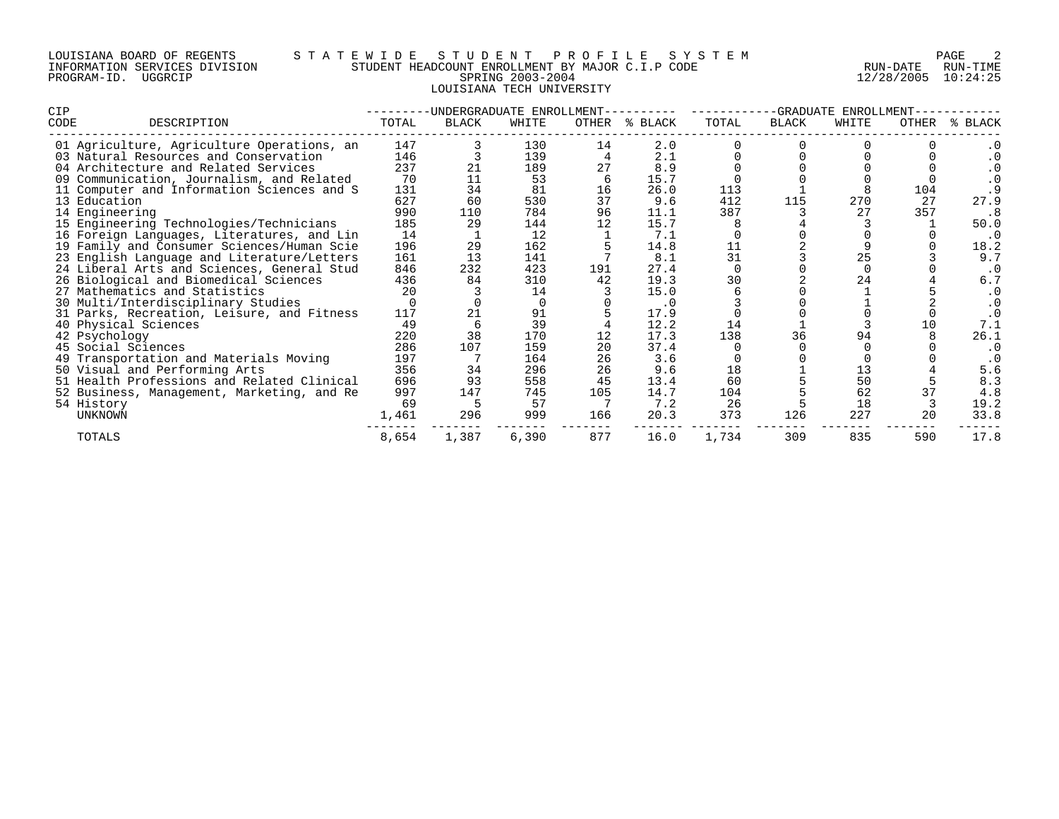# LOUISIANA BOARD OF REGENTS S T A T E W I D E S T U D E N T P R O F I L E S Y S T E M PAGE 2 INFORMATION SERVICES DIVISION STUDENT HEADCOUNT ENROLLMENT BY MAJOR C.I.P CODE RUN-DATE RUN-TIME PROGRAM-ID. UGGRCIP SPRING 2003-2004 12/28/2005 10:24:25 LOUISIANA TECH UNIVERSITY

| <b>CIP</b>                                 |       | -UNDERGRADUATE ENROLLMEN |       |       | -GRADUATE<br>ENROLLMENT |       |       |       |       |                                                   |
|--------------------------------------------|-------|--------------------------|-------|-------|-------------------------|-------|-------|-------|-------|---------------------------------------------------|
| CODE<br>DESCRIPTION                        | TOTAL | BLACK                    | WHITE | OTHER | % BLACK                 | TOTAL | BLACK | WHITE | OTHER | BLACK<br>°≈                                       |
| 01 Agriculture, Agriculture Operations, an | 147   |                          | 130   | 14    | 2.0                     |       |       |       |       | . 0                                               |
| 03 Natural Resources and Conservation      | 146   |                          | 139   |       | 2.1                     |       |       |       |       | . 0                                               |
| 04 Architecture and Related Services       | 237   |                          | 189   | 27    | 8.9                     |       |       |       |       | . 0                                               |
| 09 Communication, Journalism, and Related  | 70    |                          | 53    |       | 15.7                    |       |       |       |       | $\begin{smallmatrix} 0.1 \ 0.9 \end{smallmatrix}$ |
| 11 Computer and Information Sciences and S | 131   | 34                       | 81    | 16    | 26.0                    | 113   |       |       | 104   |                                                   |
| 13 Education                               | 627   | 60                       | 530   | 37    | 9.6                     | 412   | 115   | 270   | 27    | 27.9                                              |
| 14 Engineering                             | 990   | 110                      | 784   | 96    | 11.1                    | 387   |       | 27    | 357   | . 8                                               |
| 15 Engineering Technologies/Technicians    | 185   | 29                       | 144   | 12    | 15.7                    |       |       |       |       | 50.0                                              |
| 16 Foreign Languages, Literatures, and Lin | 14    |                          | 12    |       | 7.1                     |       |       |       |       | . 0                                               |
| 19 Family and Consumer Sciences/Human Scie | 196   | 29                       | 162   |       | 14.8                    |       |       |       |       | 18.2                                              |
| 23 English Language and Literature/Letters | 161   | 13                       | 141   |       | 8.1                     | 31    |       | 25    |       | 9.7                                               |
| 24 Liberal Arts and Sciences, General Stud | 846   | 232                      | 423   | 191   | 27.4                    |       |       |       |       |                                                   |
| 26 Biological and Biomedical Sciences      | 436   | 84                       | 310   | 42    | 19.3                    | 30    |       | 24    |       | 6.7                                               |
| 27 Mathematics and Statistics              | 20    |                          | 14    |       | 15.0                    |       |       |       |       | . 0                                               |
| 30 Multi/Interdisciplinary Studies         |       |                          |       |       | . 0                     |       |       |       |       | . 0                                               |
| 31 Parks, Recreation, Leisure, and Fitness | 117   |                          | 91    |       | 17.9                    |       |       |       |       |                                                   |
| 40 Physical Sciences                       | 49    |                          | 39    |       | 12.2                    |       |       |       |       | 7.1                                               |
| 42 Psychology                              | 220   | 38                       | 170   |       | 17.3                    | 138   | 36    |       |       | 26.1                                              |
| 45 Social Sciences                         | 286   | 107                      | 159   | 20    | 37.4                    |       |       |       |       |                                                   |
| 49 Transportation and Materials Moving     | 197   |                          | 164   | 26    | 3.6                     |       |       |       |       |                                                   |
| 50 Visual and Performing Arts              | 356   | 34                       | 296   | 26    | 9.6                     | 18    |       |       |       | 5.6                                               |
| 51 Health Professions and Related Clinical | 696   | 93                       | 558   | 45    | 13.4                    | 60    |       | 50    |       | 8.3                                               |
| 52 Business, Management, Marketing, and Re | 997   | 147                      | 745   | 105   | 14.7                    | 104   |       | 62    |       | 4.8                                               |
| 54 History                                 | 69    |                          | 57    |       | 7.2                     | 26    |       | 18    |       | 19.2                                              |
| UNKNOWN                                    | 1,461 | 296                      | 999   | 166   | 20.3                    | 373   | 126   | 227   | 20    | 33.8                                              |
| TOTALS                                     | 8,654 | 1,387                    | 6,390 | 877   | 16.0                    | 1,734 | 309   | 835   | 590   | 17.8                                              |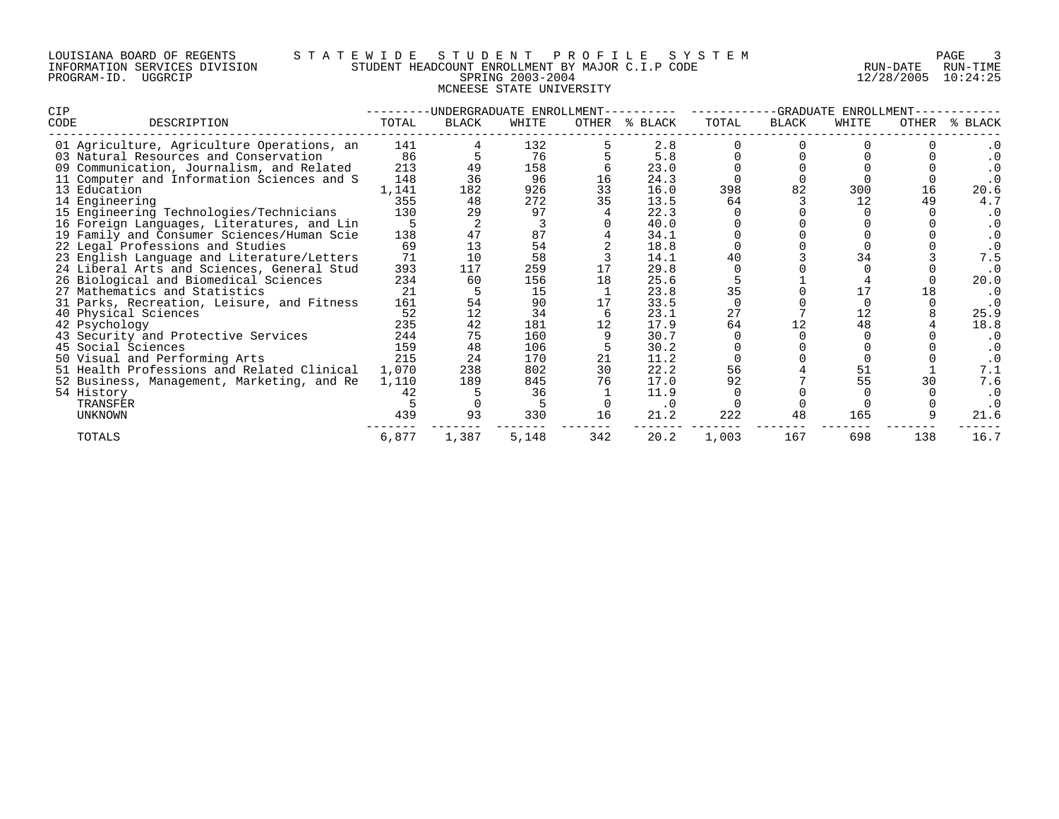# LOUISIANA BOARD OF REGENTS S T A T E W I D E S T U D E N T P R O F I L E S Y S T E M PAGE 3 INFORMATION SERVICES DIVISION STUDENT HEADCOUNT ENROLLMENT BY MAJOR C.I.P CODE RUN-DATE RUN-TIME PROGRAM-ID. UGGRCIP SPRING 2003-2004 12/28/2005 10:24:25 MCNEESE STATE UNIVERSITY

| <b>CIP</b>                                 |       | -UNDERGRADUATE ENROLLMENT |       |       |         | -GRADUATE<br>ENROLLMENT |       |       |       |             |  |
|--------------------------------------------|-------|---------------------------|-------|-------|---------|-------------------------|-------|-------|-------|-------------|--|
| CODE<br>DESCRIPTION                        | TOTAL | BLACK                     | WHITE | OTHER | % BLACK | TOTAL                   | BLACK | WHITE | OTHER | BLACK<br>°≈ |  |
| 01 Agriculture, Agriculture Operations, an | 141   |                           | 132   |       | 2.8     |                         |       |       |       |             |  |
| 03 Natural Resources and Conservation      | 86    |                           | 76    |       | 5.8     |                         |       |       |       | . 0         |  |
| 09 Communication, Journalism, and Related  | 213   |                           | 158   |       | 23.0    |                         |       |       |       |             |  |
| 11 Computer and Information Sciences and S | 148   | 36                        | 96    |       | 24.3    |                         |       |       |       | . 0         |  |
| 13 Education                               | 1,141 | 182                       | 926   | 33    | 16.0    | 398                     | 82    | 300   | 16    | 20.6        |  |
| 14 Engineering                             | 355   | 48                        | 272   | 35    | 13.5    | 64                      |       | 12    | 49    | 4.7         |  |
| 15 Engineering Technologies/Technicians    | 130   | 29                        | 97    |       | 22.3    |                         |       |       |       | . 0         |  |
| 16 Foreign Languages, Literatures, and Lin |       |                           |       |       | 40.0    |                         |       |       |       |             |  |
| 19 Family and Consumer Sciences/Human Scie | 138   | 47                        | 87    |       | 34.1    |                         |       |       |       |             |  |
| 22 Legal Professions and Studies           | 69    | 13                        | 54    |       | 18.8    |                         |       |       |       |             |  |
| 23 English Language and Literature/Letters | 71    | 10                        | 58    |       | 14.1    |                         |       |       |       | 7.5         |  |
| 24 Liberal Arts and Sciences, General Stud | 393   | 117                       | 259   |       | 29.8    |                         |       |       |       |             |  |
| 26 Biological and Biomedical Sciences      | 234   | 60                        | 156   | 18    | 25.6    |                         |       |       |       | 20.0        |  |
| 27 Mathematics and Statistics              | 21    |                           | 15    |       | 23.8    | 35                      |       |       |       | $\cdot$ 0   |  |
| 31 Parks, Recreation, Leisure, and Fitness | 161   |                           | 90    | 17    | 33.5    |                         |       |       |       | . 0         |  |
| 40 Physical Sciences                       | 52    | 12                        | 34    |       | 23.1    |                         |       |       |       | 25.9        |  |
| 42 Psychology                              | 235   | 42                        | 181   | 12    | 17.9    | 64                      |       | 48    |       | 18.8        |  |
| 43 Security and Protective Services        | 244   | 75                        | 160   |       | 30.7    |                         |       |       |       | . 0         |  |
| 45 Social Sciences                         | 159   | 48                        | 106   |       | 30.2    |                         |       |       |       |             |  |
| 50 Visual and Performing Arts              | 215   | 24                        | 170   | 21    | 11.2    |                         |       |       |       |             |  |
| 51 Health Professions and Related Clinical | 1,070 | 238                       | 802   | 30    | 22.2    | 56                      |       |       |       | 7.1         |  |
| 52 Business, Management, Marketing, and Re | 1,110 | 189                       | 845   | 76    | 17.0    | 92                      |       | 55    | 30    | 7.6         |  |
| 54 History                                 | 42    |                           | 36    |       | 11.9    |                         |       |       |       | . 0         |  |
| TRANSFER                                   |       |                           |       |       | . 0     |                         |       |       |       | . 0         |  |
| <b>UNKNOWN</b>                             | 439   | 93                        | 330   | 16    | 21.2    | 222                     | 48    | 165   |       | 21.6        |  |
| TOTALS                                     | 6,877 | 1,387                     | 5,148 | 342   | 20.2    | 1,003                   | 167   | 698   | 138   | 16.7        |  |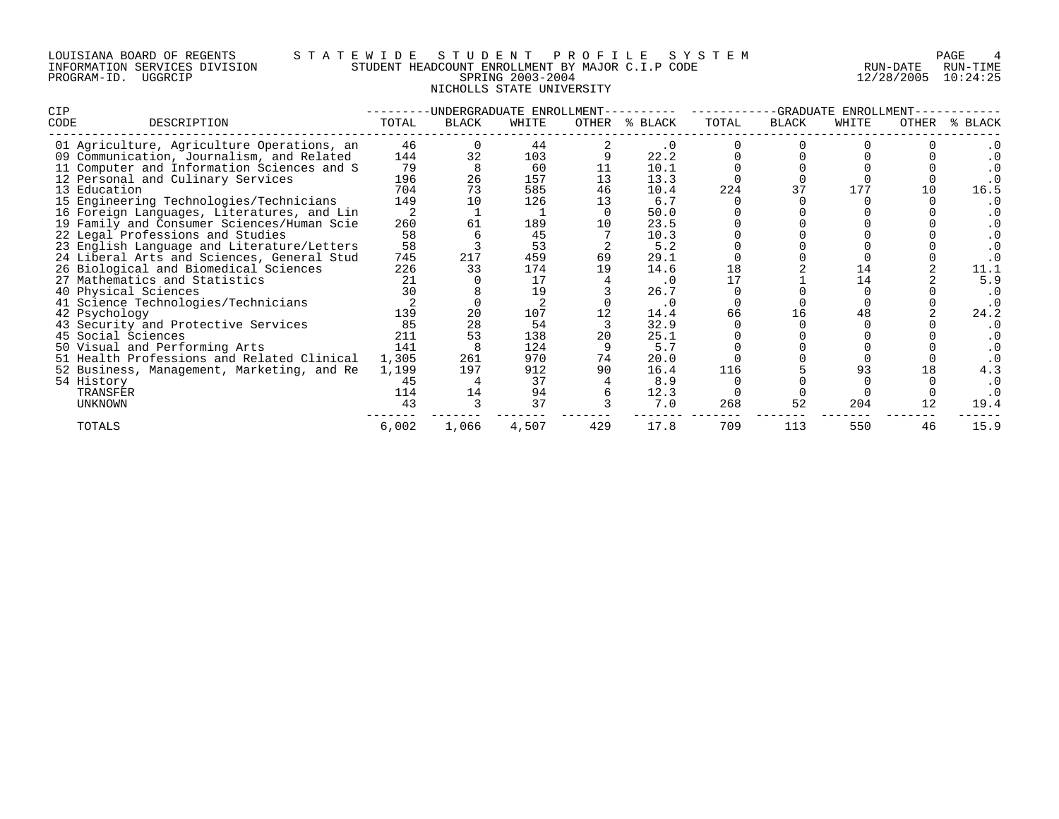# LOUISIANA BOARD OF REGENTS S T A T E W I D E S T U D E N T P R O F I L E S Y S T E M PAGE 4 INFORMATION SERVICES DIVISION STUDENT HEADCOUNT ENROLLMENT BY MAJOR C.I.P CODE RUN-DATE RUN-TIME PROGRAM-ID. UGGRCIP SPRING 2003-2004 12/28/2005 10:24:25 NICHOLLS STATE UNIVERSITY

| <b>CIP</b>                                 |       | -UNDERGRADUATE ENROLLMENT |       |       | -GRADUATE ENROLLMENT |       |       |       |       |       |
|--------------------------------------------|-------|---------------------------|-------|-------|----------------------|-------|-------|-------|-------|-------|
| CODE<br>DESCRIPTION                        | TOTAL | BLACK                     | WHITE | OTHER | % BLACK              | TOTAL | BLACK | WHITE | OTHER | BLACK |
| 01 Agriculture, Agriculture Operations, an | 46    |                           | 44    |       |                      |       |       |       |       |       |
| 09 Communication, Journalism, and Related  | 144   | 32                        | 103   |       | 22.2                 |       |       |       |       | . 0   |
| 11 Computer and Information Sciences and S | 79    |                           | 60    |       | 10.1                 |       |       |       |       |       |
| 12 Personal and Culinary Services          | 196   | 26                        | 157   | 13    | 13.3                 |       |       |       |       |       |
| 13 Education                               | 704   | 73                        | 585   | 46    | 10.4                 | 224   |       |       |       | 16.5  |
| 15 Engineering Technologies/Technicians    | 149   | 10                        | 126   | 13    | 6.7                  |       |       |       |       | . 0   |
| 16 Foreign Languages, Literatures, and Lin |       |                           |       |       | 50.0                 |       |       |       |       |       |
| 19 Family and Consumer Sciences/Human Scie | 260   | 61                        | 189   | 10    | 23.5                 |       |       |       |       | . 0   |
| 22 Legal Professions and Studies           | 58    |                           | 45    |       | 10.3                 |       |       |       |       | . 0   |
| 23 English Language and Literature/Letters | 58    |                           | 53    |       | 5.2                  |       |       |       |       |       |
| 24 Liberal Arts and Sciences, General Stud | 745   | 217                       | 459   | 69    | 29.1                 |       |       |       |       |       |
| 26 Biological and Biomedical Sciences      | 226   | 33                        | 174   | 19    | 14.6                 | 18    |       |       |       | 11.1  |
| 27 Mathematics and Statistics              | 21    |                           | 17    |       | $\cdot$ 0            |       |       | 14    |       | 5.9   |
| 40 Physical Sciences                       | 30    |                           | 19    |       | 26.7                 |       |       |       |       |       |
| 41 Science Technologies/Technicians        |       |                           |       |       | $\cdot$ 0            |       |       |       |       |       |
| 42 Psychology                              | 139   |                           | 107   |       | 14.4                 | 66    |       |       |       | 24.2  |
| 43 Security and Protective Services        | 85    | 28                        | 54    |       | 32.9                 |       |       |       |       | . 0   |
| 45 Social Sciences                         | 211   | 53                        | 138   | 20    | 25.1                 |       |       |       |       | . 0   |
| 50 Visual and Performing Arts              | 141   |                           | 124   |       | 5.7                  |       |       |       |       | . 0   |
| 51 Health Professions and Related Clinical | 1,305 | 261                       | 970   | 74    | 20.0                 |       |       |       |       |       |
| 52 Business, Management, Marketing, and Re | 1,199 | 197                       | 912   | 90    | 16.4                 | 116   |       |       |       | 4.3   |
| 54 History                                 | 45    |                           | 37    |       | 8.9                  |       |       |       |       |       |
| TRANSFER                                   | 114   | 14                        | 94    |       | 12.3                 |       |       |       |       |       |
| UNKNOWN                                    | 43    |                           | 37    |       | 7.0                  | 268   | 52    | 204   | 12    | 19.4  |
| TOTALS                                     | 6,002 | 1,066                     | 4,507 | 429   | 17.8                 | 709   | 113   | 550   | 46    | 15.9  |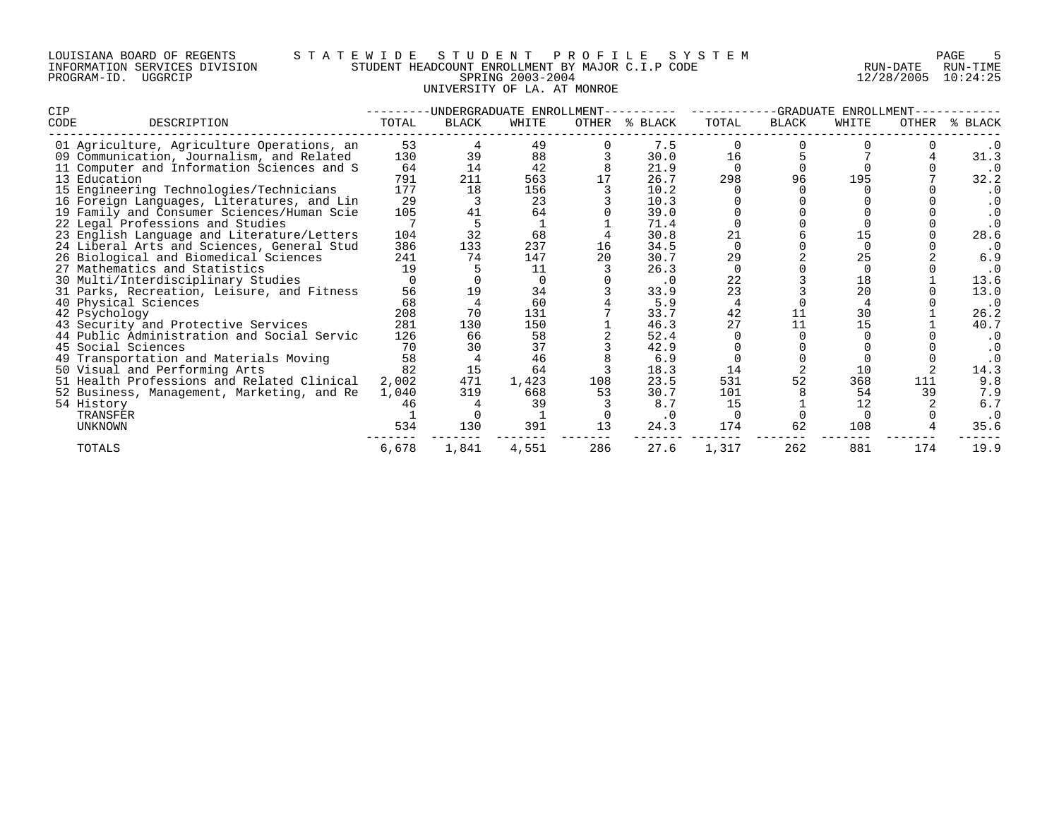| LOUISIANA BOARD OF REGENTS    |         |  |  |
|-------------------------------|---------|--|--|
| INFORMATION SERVICES DIVISION |         |  |  |
| PROGRAM-ID.                   | UGGRCIP |  |  |

# LOUISIANA BOARD OF REGENTS S T A T E W I D E S T U D E N T P R O F I L E S Y S T E M PAGE 5 INFORMATION SERVICES DIVISION STUDENT HEADCOUNT ENROLLMENT BY MAJOR C.I.P CODE RUN-DATE RUN-TIME EWILL HEADCOUNT ENROLLMENT BY MAJOR C.I.P CODE THAT AND RUN-DATE RUN-TIME SPRING 2003-2004 UNIVERSITY OF LA. AT MONROE

| <b>CIP</b> |                                            |       | -UNDERGRADUATE ENROLLMENT |       |       |           | -GRADUATE ENROLLMENT |       |       |              |             |
|------------|--------------------------------------------|-------|---------------------------|-------|-------|-----------|----------------------|-------|-------|--------------|-------------|
| CODE       | DESCRIPTION                                | TOTAL | BLACK                     | WHITE | OTHER | % BLACK   | TOTAL                | BLACK | WHITE | <b>OTHER</b> | BLACK<br>°≈ |
|            | 01 Agriculture, Agriculture Operations, an | 53    |                           | 49    |       | 7.5       |                      |       |       |              |             |
|            | 09 Communication, Journalism, and Related  | 130   | 39                        | 88    |       | 30.0      | 16                   |       |       |              | 31.3        |
|            | 11 Computer and Information Sciences and S | 64    | 14                        | 42    |       | 21.9      |                      |       |       |              | $\cdot$ 0   |
|            | 13 Education                               | 791   | 211                       | 563   | 17    | 26.7      | 298                  | 96    | 195   |              | 32.2        |
|            | 15 Engineering Technologies/Technicians    | 177   | 18                        | 156   |       | 10.2      |                      |       |       |              | $\cdot$ 0   |
|            | 16 Foreign Languages, Literatures, and Lin | 29    |                           | 23    |       | 10.3      |                      |       |       |              | . 0         |
|            | 19 Family and Consumer Sciences/Human Scie | 105   |                           | 64    |       | 39.0      |                      |       |       |              |             |
|            | 22 Legal Professions and Studies           |       |                           |       |       | 71.4      |                      |       |       |              | $\cdot$ 0   |
|            | 23 English Language and Literature/Letters | 104   | 32                        | 68    |       | 30.8      | 21                   |       |       |              | 28.6        |
|            | 24 Liberal Arts and Sciences, General Stud | 386   | 133                       | 237   | 16    | 34.5      |                      |       |       |              | . 0         |
|            | 26 Biological and Biomedical Sciences      | 241   | 74                        | 147   |       | 30.7      | 29                   |       |       |              | 6.9         |
|            | 27 Mathematics and Statistics              | 19    |                           | 11    |       | 26.3      |                      |       |       |              | $\cdot$ 0   |
|            | 30 Multi/Interdisciplinary Studies         |       |                           |       |       | $\cdot$ 0 | 22                   |       | 18    |              | 13.6        |
|            | 31 Parks, Recreation, Leisure, and Fitness | 56    |                           | 34    |       | 33.9      | 23                   |       | 20    |              | 13.0        |
|            | 40 Physical Sciences                       | 68    |                           | 60    |       | 5.9       |                      |       |       |              | $\cdot$ 0   |
|            | 42 Psychology                              | 208   | 70                        | 131   |       | 33.7      | 42                   |       | 30    |              | 26.2        |
|            | 43 Security and Protective Services        | 281   | 130                       | 150   |       | 46.3      | 27                   | 11    | 15    |              | 40.7        |
|            | 44 Public Administration and Social Servic | 126   | 66                        | 58    |       | 52.4      |                      |       |       |              | . 0         |
|            | 45 Social Sciences                         | 70    | 30                        | 37    |       | 42.9      |                      |       |       |              | . 0         |
|            | 49 Transportation and Materials Moving     | 58    |                           | 46    |       | 6.9       |                      |       |       |              |             |
|            | 50 Visual and Performing Arts              | 82    | 15                        | 64    |       | 18.3      | 14                   |       | 10    |              | 14.3        |
|            | 51 Health Professions and Related Clinical | 2,002 | 471                       | 1,423 | 108   | 23.5      | 531                  | 52    | 368   | 111          | 9.8         |
|            | 52 Business, Management, Marketing, and Re | 1,040 | 319                       | 668   | 53    | 30.7      | 101                  |       | 54    | 39           | 7.9         |
|            | 54 History                                 | 46    |                           | 39    |       | 8.7       | 15                   |       | 12    |              | 6.7         |
|            | TRANSFER                                   |       |                           |       |       |           |                      |       |       |              |             |
|            | <b>UNKNOWN</b>                             | 534   | 130                       | 391   | 13    | 24.3      | 174                  | 62    | 108   |              | 35.6        |
|            | TOTALS                                     | 6,678 | 1,841                     | 4,551 | 286   | 27.6      | 1,317                | 262   | 881   | 174          | 19.9        |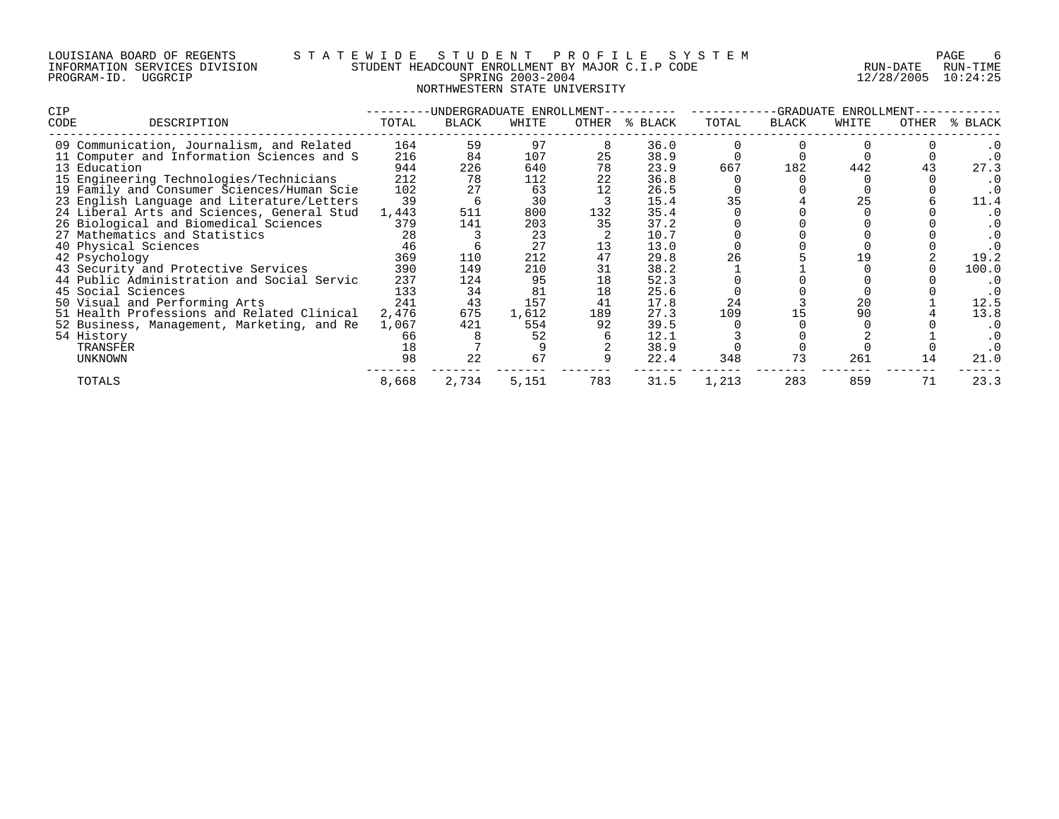# LOUISIANA BOARD OF REGENTS S T A T E W I D E S T U D E N T P R O F I L E S Y S T E M PAGE 6 INFORMATION SERVICES DIVISION STUDENT HEADCOUNT ENROLLMENT BY MAJOR C.I.P CODE RUN-DATE RUN-TIME PROGRAM-ID. UGGRCIP SPRING 2003-2004 12/28/2005 10:24:25 NORTHWESTERN STATE UNIVERSITY

| CIP                                 |                                            |       | -UNDERGRADUATE ENROLLMENT- |       |       |         | -GRADUATE ENROLLMENT- |       |       |       |         |
|-------------------------------------|--------------------------------------------|-------|----------------------------|-------|-------|---------|-----------------------|-------|-------|-------|---------|
| CODE                                | DESCRIPTION                                | TOTAL | BLACK                      | WHITE | OTHER | % BLACK | TOTAL                 | BLACK | WHITE | OTHER | % BLACK |
|                                     | 09 Communication, Journalism, and Related  | 164   | 59                         | 97    |       | 36.0    |                       |       |       |       |         |
|                                     | 11 Computer and Information Sciences and S | 216   | 84                         | 107   | 25    | 38.9    |                       |       |       |       |         |
| 13 Education                        |                                            | 944   | 226                        | 640   |       | 23.9    | 667                   | 182   | 442   |       | 27.3    |
|                                     | 15 Engineering Technologies/Technicians    | 212   | 78                         | 112   | 22    | 36.8    |                       |       |       |       |         |
|                                     | 19 Family and Consumer Sciences/Human Scie | 102   |                            | 63    | 12    | 26.5    |                       |       |       |       | . 0     |
|                                     | 23 English Language and Literature/Letters | 39    |                            | 30    |       | 15.4    | 35                    |       | 25    |       | 11.4    |
|                                     | 24 Liberal Arts and Sciences, General Stud | 1,443 | 511                        | 800   | 132   | 35.4    |                       |       |       |       |         |
|                                     | 26 Biological and Biomedical Sciences      | 379   | 141                        | 203   | 35    | 37.2    |                       |       |       |       | . 0     |
| 27 Mathematics and Statistics       |                                            | 28    |                            | 23    |       | 10.7    |                       |       |       |       |         |
| 40 Physical Sciences                |                                            | 46    |                            | 27    |       | 13.0    |                       |       |       |       |         |
| 42 Psychology                       |                                            | 369   | 110                        | 212   | 47    | 29.8    | 26                    |       |       |       | 19.2    |
| 43 Security and Protective Services |                                            | 390   | 149                        | 210   | 31    | 38.2    |                       |       |       |       | 100.0   |
|                                     | 44 Public Administration and Social Servic | 237   | 124                        | 95    | 18    | 52.3    |                       |       |       |       | . 0     |
| 45 Social Sciences                  |                                            | 133   | 34                         | 81    | 18    | 25.6    |                       |       |       |       | . 0     |
| 50 Visual and Performing Arts       |                                            | 241   | 43                         | 157   | 41    | 17.8    | 24                    |       | 20    |       | 12.5    |
|                                     | 51 Health Professions and Related Clinical | 2,476 | 675                        | 1,612 | 189   | 27.3    | 109                   |       | 90    |       | 13.8    |
|                                     | 52 Business, Management, Marketing, and Re | 1,067 | 421                        | 554   | 92    | 39.5    |                       |       |       |       | . 0     |
| 54 History                          |                                            | 66    |                            | 52    |       | 12.1    |                       |       |       |       | . 0     |
| TRANSFER                            |                                            | 18    |                            |       |       | 38.9    |                       |       |       |       |         |
| UNKNOWN                             |                                            | 98    | 22                         | 67    |       | 22.4    | 348                   | 73    | 261   | 14    | 21.0    |
| TOTALS                              |                                            | 8,668 | 2,734                      | 5,151 | 783   | 31.5    | 1,213                 | 283   | 859   | 71    | 23.3    |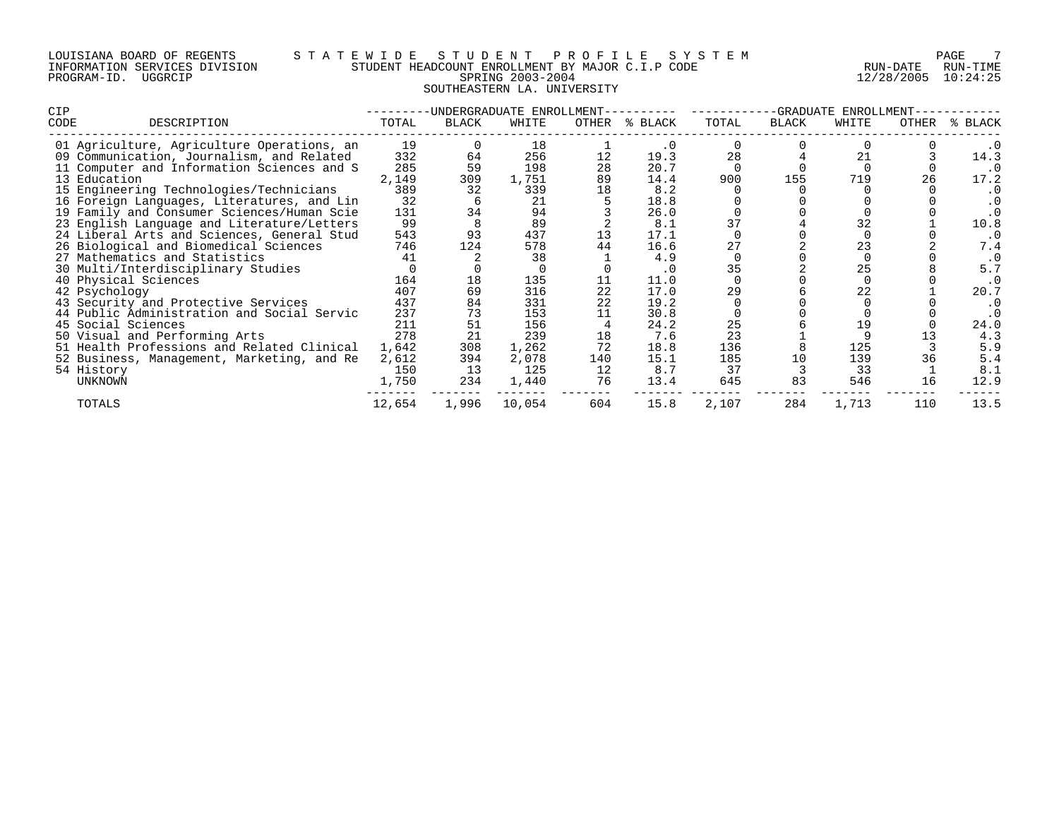| LOUISIANA BOARD OF REGENTS    |         |  |  |
|-------------------------------|---------|--|--|
| INFORMATION SERVICES DIVISION |         |  |  |
| PROGRAM-ID.                   | UGGRCIP |  |  |

# LOUISIANA BOARD OF REGENTS S T A T E W I D E S T U D E N T P R O F I L E S Y S T E M PAGE 7 INFORMATION SERVICES DIVISION STUDENT HEADCOUNT ENROLLMENT BY MAJOR C.I.P CODE RUN-DATE RUN-TIME E WILD HEADCOUNT ENROLLMENT BY MAJOR C.I.P CODE THAT THE RUN-DATE RUN-TIME SPRING 2003-2004 SOUTHEASTERN LA. UNIVERSITY

| <b>CIP</b>                                 |        |       | -UNDERGRADUATE ENROLLMENT |       | -GRADUATE<br>ENROLLMENT |       |       |       |       |             |
|--------------------------------------------|--------|-------|---------------------------|-------|-------------------------|-------|-------|-------|-------|-------------|
| CODE<br>DESCRIPTION                        | TOTAL  | BLACK | WHITE                     | OTHER | % BLACK                 | TOTAL | BLACK | WHITE | OTHER | BLACK<br>°≈ |
| 01 Agriculture, Agriculture Operations, an | 19     |       | 18                        |       |                         |       |       |       |       |             |
| 09 Communication, Journalism, and Related  | 332    | 64    | 256                       |       | 19.3                    | 28    |       |       |       | 14.3        |
| 11 Computer and Information Sciences and S | 285    | 59    | 198                       | 28    | 20.7                    |       |       |       |       | . 0         |
| 13 Education                               | 2,149  | 309   | 1,751                     | 89    | 14.4                    | 900   | 155   | 719   |       | 17.2        |
| 15 Engineering Technologies/Technicians    | 389    | 32    | 339                       | 18    | 8.2                     |       |       |       |       | . 0         |
| 16 Foreign Languages, Literatures, and Lin | 32     |       | 21                        |       | 18.8                    |       |       |       |       | . 0         |
| 19 Family and Consumer Sciences/Human Scie | 131    | 34    | 94                        |       | 26.0                    |       |       |       |       | $\cdot$ 0   |
| 23 English Language and Literature/Letters | 99     |       | 89                        |       | 8.1                     | 37    |       |       |       | 10.8        |
| 24 Liberal Arts and Sciences, General Stud | 543    | 93    | 437                       | 13    | 17.1                    |       |       |       |       | . 0         |
| 26 Biological and Biomedical Sciences      | 746    | 124   | 578                       | 44    | 16.6                    | 27    |       | 23    |       | 7.4         |
| 27 Mathematics and Statistics              | 41     |       | 38                        |       | 4.9                     |       |       |       |       | $\cdot$ 0   |
| 30 Multi/Interdisciplinary Studies         |        |       |                           |       | . 0                     | 35    |       |       |       | 5.7         |
| 40 Physical Sciences                       | 164    | 18    | 135                       |       | 11.0                    |       |       |       |       | . 0         |
| 42 Psychology                              | 407    | 69    | 316                       | 22    | 17.0                    | 29    |       | 22    |       | 20.7        |
| 43 Security and Protective Services        | 437    | 84    | 331                       | 22    | 19.2                    |       |       |       |       |             |
| 44 Public Administration and Social Servic | 237    | 73    | 153                       | 11    | 30.8                    |       |       |       |       |             |
| 45 Social Sciences                         | 211    | 51    | 156                       |       | 24.2                    | 25    |       | 19    |       | 24.0        |
| 50 Visual and Performing Arts              | 278    | 21    | 239                       | 18    | 7.6                     | 23    |       |       |       | 4.3         |
| 51 Health Professions and Related Clinical | 1,642  | 308   | 1,262                     | 72    | 18.8                    | 136   |       | 125   |       | 5.9         |
| 52 Business, Management, Marketing, and Re | 2,612  | 394   | 2,078                     | 140   | 15.1                    | 185   | 10    | 139   |       | 5.4         |
| 54 History                                 | 150    | 13    | 125                       | 12    | 8.7                     | 37    |       | 33    |       | 8.1         |
| UNKNOWN                                    | 1,750  | 234   | 1,440                     | 76    | 13.4                    | 645   | 83    | 546   | 16    | 12.9        |
| TOTALS                                     | 12,654 | 1,996 | 10,054                    | 604   | 15.8                    | 2,107 | 284   | 1,713 | 110   | 13.5        |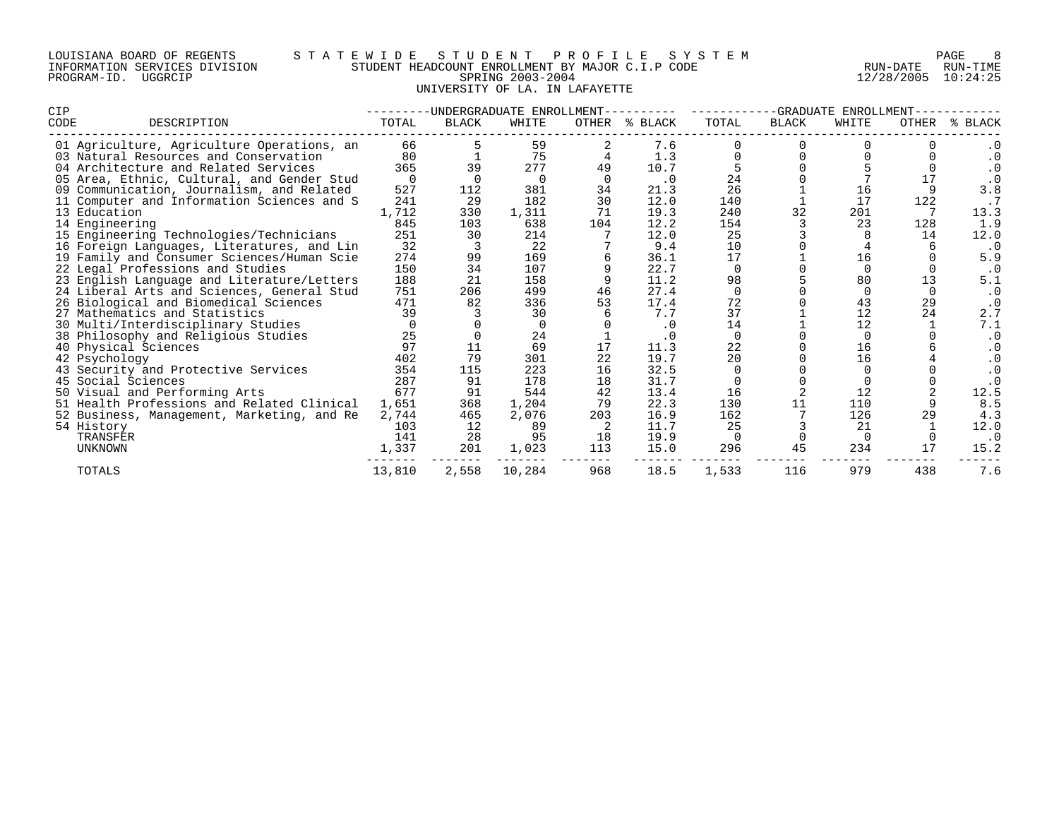| LOUISIANA BOARD OF REGENTS    |         |  |  |
|-------------------------------|---------|--|--|
| INFORMATION SERVICES DIVISION |         |  |  |
| PROGRAM-ID.                   | UGGRCIP |  |  |

# LOUISIANA BOARD OF REGENTS S T A T E W I D E S T U D E N T P R O F I L E S Y S T E M PAGE 8 INFORMATION SERVICES DIVISION STUDENT HEADCOUNT ENROLLMENT BY MAJOR C.I.P CODE RUN-DATE RUN-TIME PROGRAM-ID. UGGRCIP SPRING 2003-2004 12/28/2005 10:24:25 UNIVERSITY OF LA. IN LAFAYETTE

| <b>CIP</b>                              |                                            |          | -UNDERGRADUATE ENROLLMENT |          | -GRADUATE<br>ENROLLMENT |           |          |              |              |       |            |
|-----------------------------------------|--------------------------------------------|----------|---------------------------|----------|-------------------------|-----------|----------|--------------|--------------|-------|------------|
| CODE<br>DESCRIPTION                     |                                            | TOTAL    | <b>BLACK</b>              | WHITE    | OTHER                   | % BLACK   | TOTAL    | <b>BLACK</b> | WHITE        | OTHER | BLACK<br>⋇ |
|                                         | 01 Agriculture, Agriculture Operations, an | 66       |                           | 59       |                         | 7.6       |          |              |              |       | . 0        |
| 03 Natural Resources and Conservation   |                                            | 80       |                           | 75       |                         | 1.3       |          |              |              |       | . 0        |
| 04 Architecture and Related Services    |                                            | 365      | 39                        | 277      | 49                      | 10.7      |          |              |              |       | . 0        |
|                                         | 05 Area, Ethnic, Cultural, and Gender Stud | $\Omega$ |                           | $\Omega$ | $\Omega$                | $\cdot$ 0 | 24       |              |              | 17    | $\cdot$ 0  |
|                                         | 09 Communication, Journalism, and Related  | 527      | 112                       | 381      | 34                      | 21.3      | 26       |              | 16           |       | 3.8        |
|                                         | 11 Computer and Information Sciences and S | 241      | 29                        | 182      | 30                      | 12.0      | 140      |              | 17           | 122   |            |
| 13 Education                            |                                            | 1,712    | 330                       | 1,311    | 71                      | 19.3      | 240      | 32           | 201          |       | 13.3       |
| 14 Engineering                          |                                            | 845      | 103                       | 638      | 104                     | 12.2      | 154      |              | 23           | 128   | 1.9        |
| 15 Engineering Technologies/Technicians |                                            | 251      | 30                        | 214      |                         | 12.0      | 25       |              |              | 14    | 12.0       |
|                                         | 16 Foreign Languages, Literatures, and Lin | 32       |                           | 22       |                         | 9.4       | 10       |              |              |       | $\cdot$ 0  |
|                                         | 19 Family and Consumer Sciences/Human Scie | 274      | 99                        | 169      |                         | 36.1      | 17       |              | 16           |       | 5.9        |
| 22 Legal Professions and Studies        |                                            | 150      | 34                        | 107      |                         | 22.7      | $\Omega$ |              | <sup>0</sup> |       | . 0        |
|                                         | 23 English Language and Literature/Letters | 188      | 21                        | 158      |                         | 11.2      | 98       |              | 80           | 13    | 5.1        |
|                                         | 24 Liberal Arts and Sciences, General Stud | 751      | 206                       | 499      | 46                      | 27.4      | $\Omega$ |              |              |       | . 0        |
| 26 Biological and Biomedical Sciences   |                                            | 471      | 82                        | 336      | 53                      | 17.4      | 72       |              | 43           | 29    | $\cdot$ 0  |
| 27 Mathematics and Statistics           |                                            | 39       |                           | 30       |                         | 7.7       | 37       |              | 12           | 24    | 2.7        |
| 30 Multi/Interdisciplinary Studies      |                                            |          |                           | $\cap$   |                         | $\cdot$ 0 | 14       |              | 12           |       | 7.1        |
| 38 Philosophy and Religious Studies     |                                            | 25       |                           | 24       |                         |           | $\Omega$ |              |              |       | $\cdot$ 0  |
| 40 Physical Sciences                    |                                            | 97       | 11                        | 69       | 17                      | 11.3      | 22       |              | 16           |       | . 0        |
| 42 Psychology                           |                                            | 402      | 79                        | 301      | 22                      | 19.7      | 20       |              | 16           |       | . 0        |
| 43 Security and Protective Services     |                                            | 354      | 115                       | 223      | 16                      | 32.5      | $\Omega$ |              |              |       | . 0        |
| 45 Social Sciences                      |                                            | 287      | 91                        | 178      | 18                      | 31.7      |          |              |              |       | $\cdot$ 0  |
| 50 Visual and Performing Arts           |                                            | 677      | 91                        | 544      | 42                      | 13.4      | 16       |              | 12           |       | 12.5       |
|                                         | 51 Health Professions and Related Clinical | 1,651    | 368                       | 1,204    | 79                      | 22.3      | 130      | 11           | 110          |       | 8.5        |
|                                         | 52 Business, Management, Marketing, and Re | 2,744    | 465                       | 2,076    | 203                     | 16.9      | 162      |              | 126          | 29    | 4.3        |
| 54 History                              |                                            | 103      | 12                        | 89       |                         | 11.7      | 25       |              | 21           |       | 12.0       |
| TRANSFER                                |                                            | 141      | 28                        | 95       | 18                      | 19.9      | $\Omega$ |              |              |       | . 0        |
| UNKNOWN                                 |                                            | 1,337    | 201                       | 1,023    | 113                     | 15.0      | 296      | 45           | 234          | 17    | 15.2       |
| TOTALS                                  |                                            | 13,810   | 2,558                     | 10,284   | 968                     | 18.5      | 1,533    | 116          | 979          | 438   | 7.6        |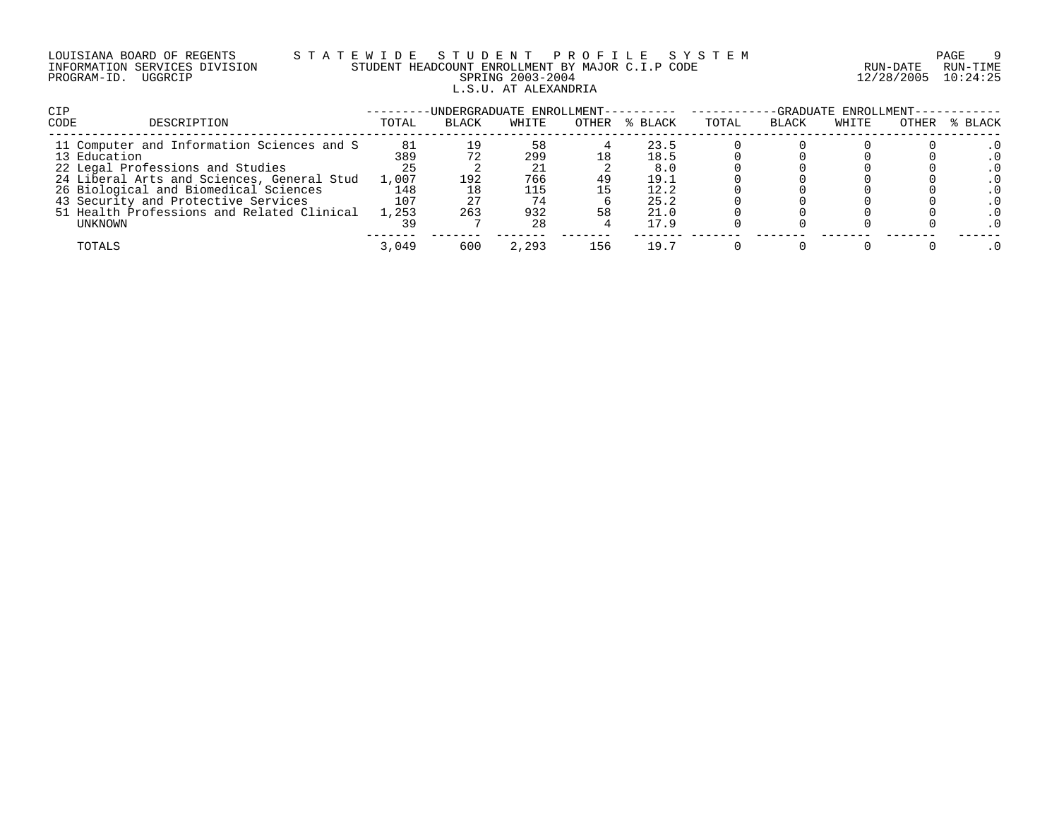# LOUISIANA BOARD OF REGENTS S T A T E W I D E S T U D E N T P R O F I L E S Y S T E M PAGE 9 INFORMATION SERVICES DIVISION STUDENT HEADCOUNT ENROLLMENT BY MAJOR C.I.P CODE RUN-DATE RUN-TIME PROGRAM-ID. UGGRCIP SPRING 2003-2004 12/28/2005 10:24:25 L.S.U. AT ALEXANDRIA

| CIP                                                        |           | -UNDERGRADUATE ENROLLMENT- |           |       |              | -GRADUATE ENROLLMENT- |              |       |       |         |
|------------------------------------------------------------|-----------|----------------------------|-----------|-------|--------------|-----------------------|--------------|-------|-------|---------|
| CODE<br>DESCRIPTION                                        | TOTAL     | <b>BLACK</b>               | WHITE     | OTHER | % BLACK      | TOTAL                 | <b>BLACK</b> | WHITE | OTHER | % BLACK |
| 11 Computer and Information Sciences and S<br>13 Education | 81<br>389 |                            | 58<br>299 |       | 23.5<br>18.5 |                       |              |       |       |         |
| 22 Legal Professions and Studies                           | 25        |                            |           |       | 8.0          |                       |              |       |       |         |
| 24 Liberal Arts and Sciences, General Stud                 | 1,007     | 192                        | 766       | 49    | 19.1         |                       |              |       |       |         |
| 26 Biological and Biomedical Sciences                      | 148       |                            | 115       |       | 12.2         |                       |              |       |       |         |
| 43 Security and Protective Services                        | 107       |                            | 74        |       | 25.2         |                       |              |       |       |         |
| 51 Health Professions and Related Clinical                 | 1,253     | 263                        | 932       | 58    | 21.0         |                       |              |       |       |         |
| UNKNOWN                                                    |           |                            | 28        |       | 17.9         |                       |              |       |       |         |
| TOTALS                                                     | 3,049     | 600                        | 2,293     | L56   | 19.7         |                       |              |       |       |         |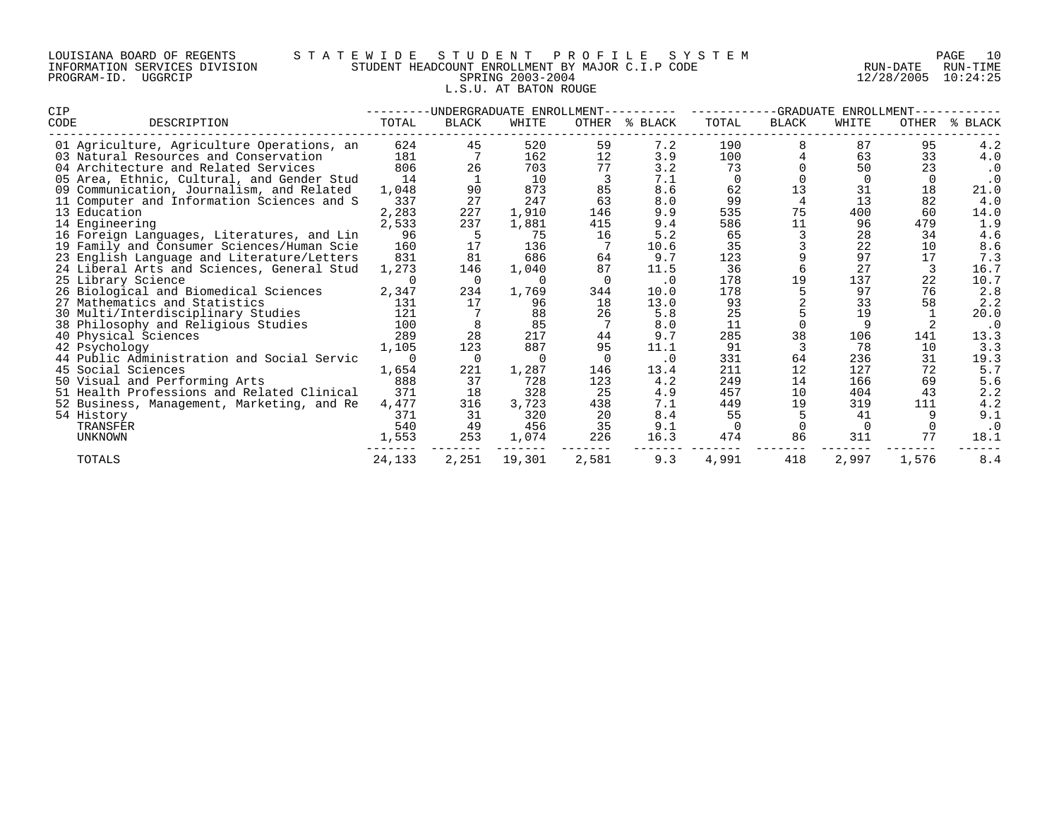| LOUISIANA BOARD OF REGENTS    |         |  |  |
|-------------------------------|---------|--|--|
| INFORMATION SERVICES DIVISION |         |  |  |
| PROGRAM-ID.                   | UGGRCIP |  |  |

# LOUISIANA BOARD OF REGENTS S T A T E W I D E S T U D E N T P R O F I L E S Y S T E M PAGE 10 INFORMATION SERVICES DIVISION STUDENT HEADCOUNT ENROLLMENT BY MAJOR C.I.P CODE RUN-DATE RUN-TIME PROGRAM-ID. UGGRCIP SPRING 2003-2004 12/28/2005 10:24:25 L.S.U. AT BATON ROUGE

| <b>CIP</b>                                 |          |              | -UNDERGRADUATE ENROLLMENT- |       | -GRADUATE<br>ENROLLMENT |       |                |       |              |             |
|--------------------------------------------|----------|--------------|----------------------------|-------|-------------------------|-------|----------------|-------|--------------|-------------|
| CODE<br>DESCRIPTION                        | TOTAL    | <b>BLACK</b> | WHITE                      | OTHER | % BLACK                 | TOTAL | <b>BLACK</b>   | WHITE | <b>OTHER</b> | BLACK<br>°≈ |
| 01 Agriculture, Agriculture Operations, an | 624      | 45           | 520                        | 59    | 7.2                     | 190   |                | 87    | 95           | 4.2         |
| 03 Natural Resources and Conservation      | 181      |              | 162                        | 12    | 3.9                     | 100   |                | 63    | 33           | 4.0         |
| 04 Architecture and Related Services       | 806      | 26           | 703                        | 77    | 3.2                     | 73    |                | 50    | 23           | $\cdot$ 0   |
| 05 Area, Ethnic, Cultural, and Gender Stud | 14       |              | 10                         |       | 7.1                     |       |                |       |              | $\cdot$ 0   |
| 09 Communication, Journalism, and Related  | 1,048    | 90           | 873                        | 85    | 8.6                     | 62    | 13             | 31    | 18           | 21.0        |
| 11 Computer and Information Sciences and S | 337      | 27           | 247                        | 63    | 8.0                     | 99    | $\overline{4}$ | 13    | 82           | 4.0         |
| 13 Education                               | 2,283    | 227          | 1,910                      | 146   | 9.9                     | 535   | 75             | 400   | 60           | 14.0        |
| 14 Engineering                             | 2,533    | 237          | 1,881                      | 415   | 9.4                     | 586   | 11             | 96    | 479          | 1.9         |
| 16 Foreign Languages, Literatures, and Lin | 96       |              | 75                         | 16    | 5.2                     | 65    |                | 28    | 34           | 4.6         |
| 19 Family and Consumer Sciences/Human Scie | 160      | 17           | 136                        |       | 10.6                    | 35    |                | 22    | 10           | 8.6         |
| 23 English Language and Literature/Letters | 831      | 81           | 686                        | 64    | 9.7                     | 123   |                | 97    | 17           | 7.3         |
| 24 Liberal Arts and Sciences, General Stud | 1,273    | 146          | 1,040                      | 87    | 11.5                    | 36    | 6              | 27    |              | 16.7        |
| 25 Library Science                         |          | - 0          | $\Omega$                   |       | $\cdot$ 0               | 178   | 19             | 137   | 22           | 10.7        |
| 26 Biological and Biomedical Sciences      | 2,347    | 234          | 1,769                      | 344   | 10.0                    | 178   | 5              | 97    | 76           | 2.8         |
| 27 Mathematics and Statistics              | 131      | 17           | 96                         | 18    | 13.0                    | 93    |                | 33    | 58           | 2.2         |
| 30 Multi/Interdisciplinary Studies         | 121      |              | 88                         | 26    | 5.8                     | 25    |                | 19    |              | 20.0        |
| 38 Philosophy and Religious Studies        | 100      |              | 85                         |       | 8.0                     | 11    |                |       |              | $\cdot$ 0   |
| 40 Physical Sciences                       | 289      | 28           | 217                        | 44    | 9.7                     | 285   | 38             | 106   | 141          | 13.3        |
| 42 Psychology                              | 1,105    | 123          | 887                        | 95    | 11.1                    | 91    |                | 78    | 10           | 3.3         |
| 44 Public Administration and Social Servic | $\Omega$ | $\Omega$     | $\Omega$                   |       | $\cdot$ 0               | 331   | 64             | 236   | 31           | 19.3        |
| 45 Social Sciences                         | 1,654    | 221          | 1,287                      | 146   | 13.4                    | 211   | 12             | 127   | 72           | 5.7         |
| 50 Visual and Performing Arts              | 888      | 37           | 728                        | 123   | 4.2                     | 249   | 14             | 166   | 69           | 5.6         |
| 51 Health Professions and Related Clinical | 371      | 18           | 328                        | 25    | 4.9                     | 457   | 10             | 404   | 43           | 2.2         |
| 52 Business, Management, Marketing, and Re | 4,477    | 316          | 3,723                      | 438   | 7.1                     | 449   | 19             | 319   | 111          | 4.2         |
| 54 History                                 | 371      | 31           | 320                        | 20    | 8.4                     | 55    |                | 41    |              | 9.1         |
| TRANSFER                                   | 540      | 49           | 456                        | 35    | 9.1                     |       |                |       |              | $\cdot$ 0   |
| UNKNOWN                                    | 1,553    | 253          | 1,074                      | 226   | 16.3                    | 474   | 86             | 311   | 77           | 18.1        |
| TOTALS                                     | 24,133   | 2,251        | 19,301                     | 2,581 | 9.3                     | 4,991 | 418            | 2,997 | 1,576        | 8.4         |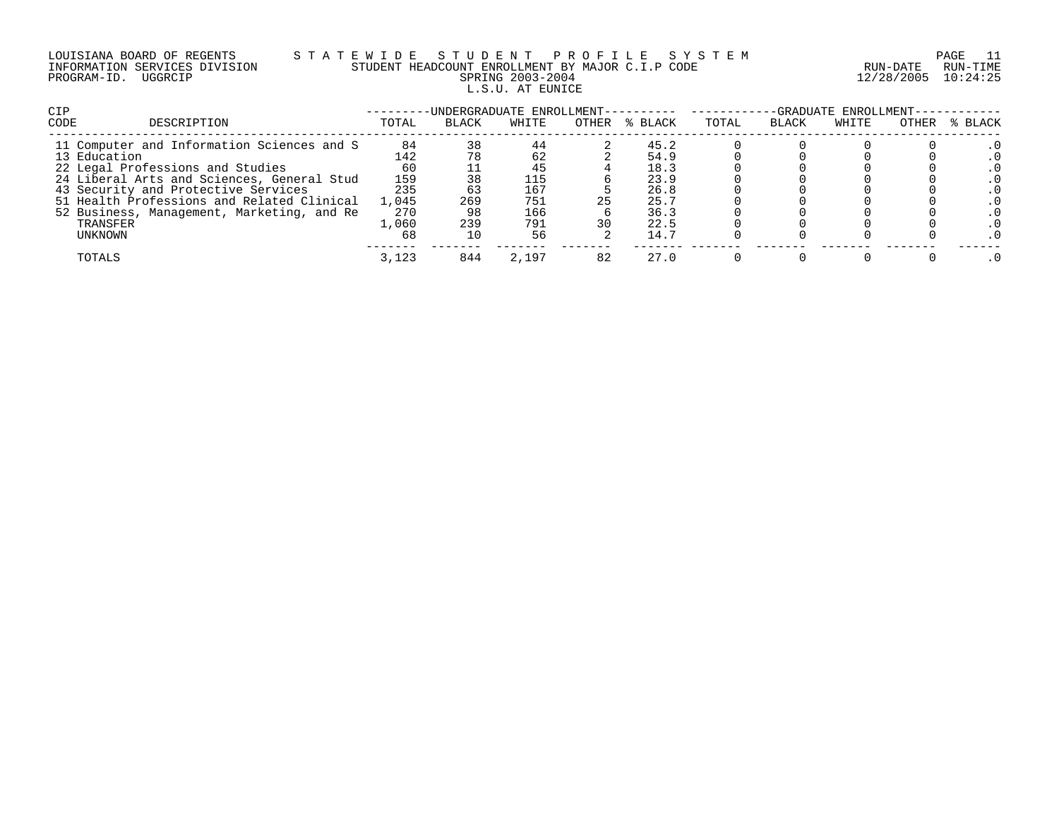| LOUISIANA BOARD OF REGENTS    |  |
|-------------------------------|--|
| INFORMATION SERVICES DIVISION |  |
| PROGRAM-ID. UGGRCIP           |  |

# LOUISIANA BOARD OF REGENTS S T A T E W I D E S T U D E N T P R O F I L E S Y S T E M PAGE 11 INFORMATION SERVICES DIVISION STUDENT HEADCOUNT ENROLLMENT BY MAJOR C.I.P CODE RUN-DATE RUN-TIME PRING 2003-2004 12/28/2005 10:24:25 L.S.U. AT EUNICE

| <b>CIP</b>                                 |       | -UNDERGRADUATE ENROLLMENT- |       |       |         | -GRADUATE ENROLLMENT- |              |       |       |         |
|--------------------------------------------|-------|----------------------------|-------|-------|---------|-----------------------|--------------|-------|-------|---------|
| CODE<br>DESCRIPTION                        | TOTAL | <b>BLACK</b>               | WHITE | OTHER | % BLACK | TOTAL                 | <b>BLACK</b> | WHITE | OTHER | % BLACK |
| 11 Computer and Information Sciences and S | 84    | 38                         | 44    |       | 45.2    |                       |              |       |       |         |
| 13 Education                               | 142   |                            | 62    |       | 54.9    |                       |              |       |       |         |
| 22 Legal Professions and Studies           | 60    |                            | 45    |       | 18.3    |                       |              |       |       |         |
| 24 Liberal Arts and Sciences, General Stud | 159   |                            | 115   |       | 23.9    |                       |              |       |       |         |
| 43 Security and Protective Services        | 235   |                            | 167   |       | 26.8    |                       |              |       |       |         |
| 51 Health Professions and Related Clinical | 1,045 | 269                        | 751   |       | 25.7    |                       |              |       |       |         |
| 52 Business, Management, Marketing, and Re | 270   | 98                         | 166   |       | 36.3    |                       |              |       |       |         |
| TRANSFER                                   | 1,060 | 239                        | 791   |       | 22.5    |                       |              |       |       |         |
| UNKNOWN                                    | 68    |                            | 56    |       | 14.7    |                       |              |       |       |         |
| TOTALS                                     | 3,123 | 844                        | 2,197 | 82    | 27.0    |                       |              |       |       |         |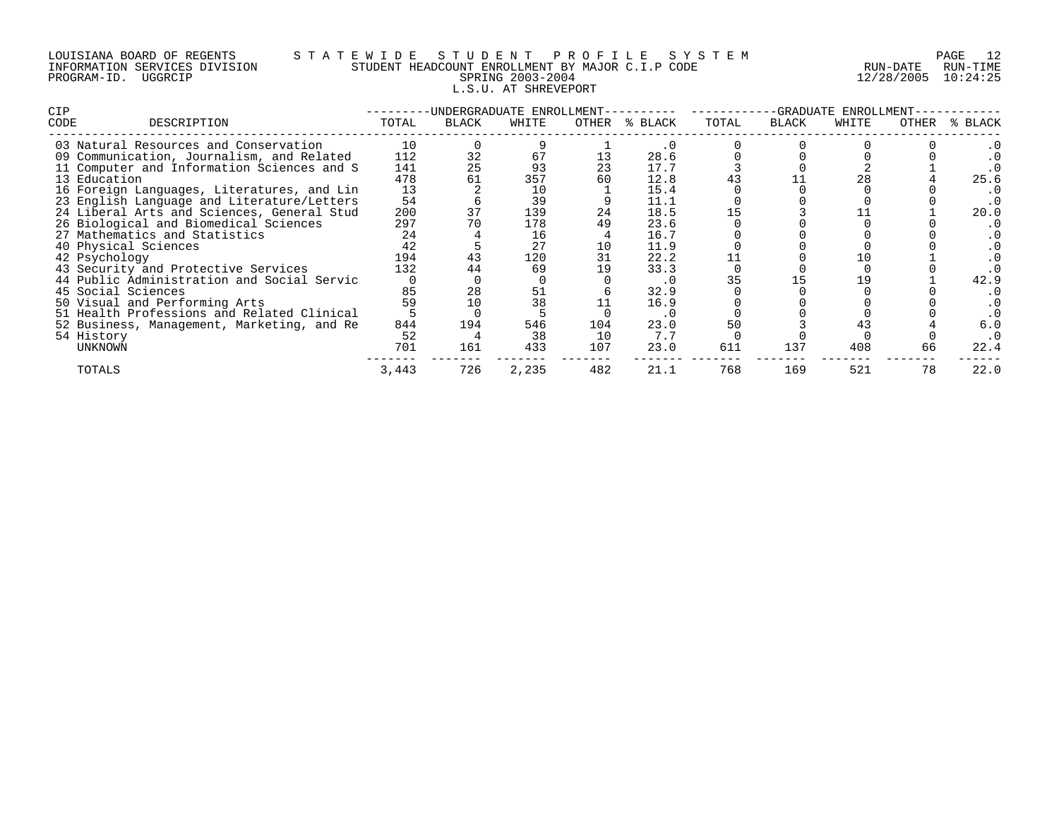| LOUISIANA BOARD OF REGENTS    |         |  |  |
|-------------------------------|---------|--|--|
| INFORMATION SERVICES DIVISION |         |  |  |
| PROGRAM-ID.                   | UGGRCIP |  |  |

# LOUISIANA BOARD OF REGENTS S T A T E W I D E S T U D E N T P R O F I L E S Y S T E M PAGE 12 INFORMATION SERVICES DIVISION STUDENT HEADCOUNT ENROLLMENT BY MAJOR C.I.P CODE RUN-DATE RUN-TIME PROGRAM-ID. UGGRCIP SPRING 2003-2004 12/28/2005 10:24:25 L.S.U. AT SHREVEPORT

| CIP  |                                            | -UNDERGRADUATE ENROLLMENT- |       |       |       |         | -GRADUATE ENROLLMENT- |       |       |       |         |
|------|--------------------------------------------|----------------------------|-------|-------|-------|---------|-----------------------|-------|-------|-------|---------|
| CODE | DESCRIPTION                                | TOTAL                      | BLACK | WHITE | OTHER | % BLACK | TOTAL                 | BLACK | WHITE | OTHER | % BLACK |
|      | 03 Natural Resources and Conservation      | 10                         |       |       |       |         |                       |       |       |       |         |
|      | 09 Communication, Journalism, and Related  | 112                        | 32    | 67    |       | 28.6    |                       |       |       |       |         |
|      | 11 Computer and Information Sciences and S | 141                        | 25    | 93    | 23    | 17.7    |                       |       |       |       |         |
|      | 13 Education                               | 478                        | 61    | 357   |       | 12.8    |                       |       |       |       | 25.6    |
|      | 16 Foreign Languages, Literatures, and Lin | 13                         |       | 10    |       | 15.4    |                       |       |       |       |         |
|      | 23 English Language and Literature/Letters | 54                         |       | 39    |       | 11.1    |                       |       |       |       | . 0     |
|      | 24 Liberal Arts and Sciences, General Stud | 200                        | 37    | 139   | 24    | 18.5    |                       |       |       |       | 20.0    |
|      | 26 Biological and Biomedical Sciences      | 297                        |       | 178   | 49    | 23.6    |                       |       |       |       | . 0     |
|      | 27 Mathematics and Statistics              | 24                         |       | 16    |       | 16.7    |                       |       |       |       | . 0     |
|      | 40 Physical Sciences                       | 42                         |       | 27    | 10    | 11.9    |                       |       |       |       |         |
|      | 42 Psychology                              | 194                        |       | 120   |       | 22.2    |                       |       |       |       |         |
|      | 43 Security and Protective Services        | 132                        | 44    | 69    | 19    | 33.3    |                       |       |       |       |         |
|      | 44 Public Administration and Social Servic |                            |       |       |       | . 0     |                       |       |       |       | 42.9    |
|      | 45 Social Sciences                         | 85                         | 28    | 51    |       | 32.9    |                       |       |       |       |         |
|      | 50 Visual and Performing Arts              | 59                         |       | 38    |       | 16.9    |                       |       |       |       |         |
|      | 51 Health Professions and Related Clinical |                            |       |       |       | . 0     |                       |       |       |       |         |
|      | 52 Business, Management, Marketing, and Re | 844                        | 194   | 546   | 104   | 23.0    |                       |       |       |       | 6.0     |
|      | 54 History                                 | 52                         |       | 38    | 10    | 7.7     |                       |       |       |       | . 0     |
|      | UNKNOWN                                    | 701                        | 161   | 433   | 107   | 23.0    | 611                   | 137   | 408   | 66    | 22.4    |
|      | TOTALS                                     | 3,443                      | 726   | 2,235 | 482   | 21.1    | 768                   | 169   | 521   | 78    | 22.0    |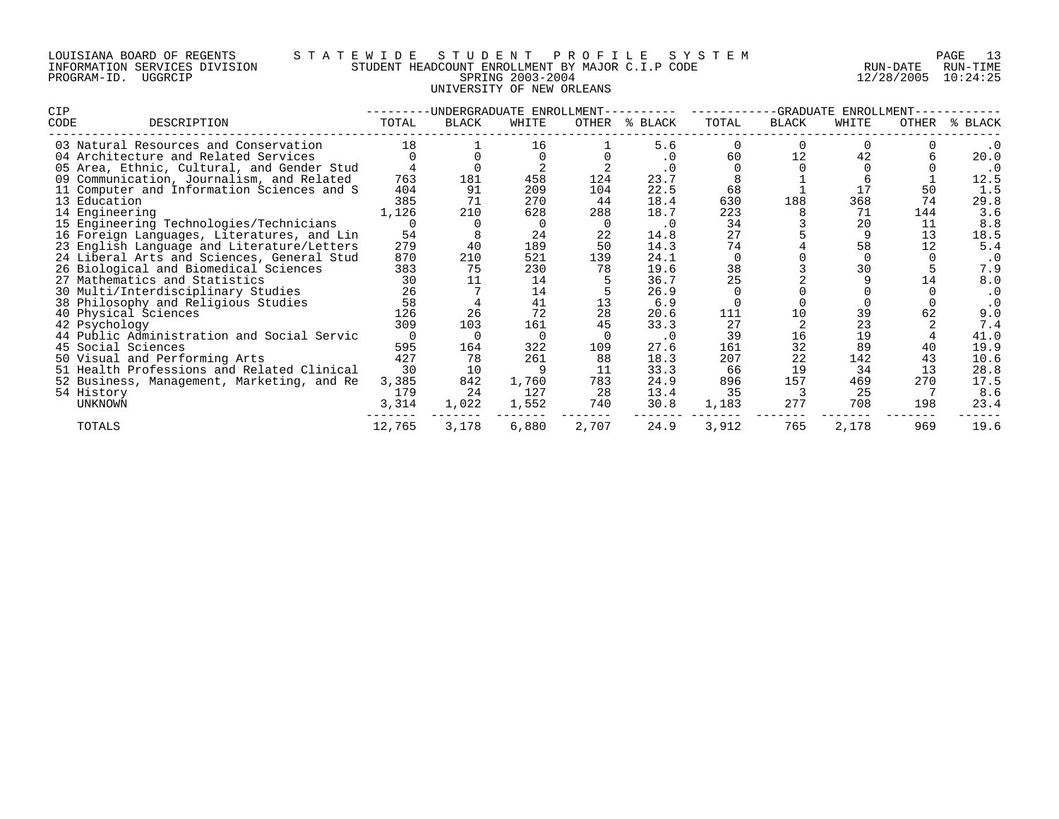# LOUISIANA BOARD OF REGENTS S T A T E W I D E S T U D E N T P R O F I L E S Y S T E M PAGE 13 INFORMATION SERVICES DIVISION STUDENT HEADCOUNT ENROLLMENT BY MAJOR C.I.P CODE RUN-DATE RUN-TIME PROGRAM-ID. UGGRCIP SPRING 2003-2004 12/28/2005 10:24:25 UNIVERSITY OF NEW ORLEANS

| <b>CIP</b>                    | -UNDERGRADUATE ENROLLMENT-                 |        |              |       |       | -GRADUATE<br>ENROLLMENT |       |       |       |       |           |
|-------------------------------|--------------------------------------------|--------|--------------|-------|-------|-------------------------|-------|-------|-------|-------|-----------|
| CODE                          | DESCRIPTION                                | TOTAL  | <b>BLACK</b> | WHITE | OTHER | % BLACK                 | TOTAL | BLACK | WHITE | OTHER | % BLACK   |
|                               | 03 Natural Resources and Conservation      | 18     |              | 16    |       | 5.6                     |       |       |       |       | . 0       |
|                               | 04 Architecture and Related Services       |        |              |       |       | $\cdot$ 0               | 60    | 12    | 42    |       | 20.0      |
|                               | 05 Area, Ethnic, Cultural, and Gender Stud |        |              |       |       |                         |       |       |       |       | . 0       |
|                               | 09 Communication, Journalism, and Related  | 763    | 181          | 458   | 124   | 23.7                    |       |       |       |       | 12.5      |
|                               | 11 Computer and Information Sciences and S | 404    | 91           | 209   | 104   | 22.5                    | 68    |       |       | 50    | 1.5       |
| 13 Education                  |                                            | 385    | 71           | 270   | 44    | 18.4                    | 630   | 188   | 368   | 74    | 29.8      |
| 14 Engineering                |                                            | 1,126  | 210          | 628   | 288   | 18.7                    | 223   |       | 71    | 144   | 3.6       |
|                               | 15 Engineering Technologies/Technicians    |        |              |       |       | . 0                     | 34    |       | 20    | 11    | 8.8       |
|                               | 16 Foreign Languages, Literatures, and Lin | 54     |              | 24    | 22    | 14.8                    | 27    |       |       | 13    | 18.5      |
|                               | 23 English Language and Literature/Letters | 279    | 40           | 189   | 50    | 14.3                    | 74    |       | 58    |       | 5.4       |
|                               | 24 Liberal Arts and Sciences, General Stud | 870    | 210          | 521   | 139   | 24.1                    |       |       |       |       | $\cdot$ 0 |
|                               | 26 Biological and Biomedical Sciences      | 383    | 75           | 230   | 78    | 19.6                    | 38    |       | 30    |       | 7.9       |
| 27 Mathematics and Statistics |                                            | 30     |              | 14    |       | 36.7                    | 25    |       |       | 14    | 8.0       |
|                               | 30 Multi/Interdisciplinary Studies         | 26     |              | 14    |       | 26.9                    |       |       |       |       | $\cdot$ 0 |
|                               | 38 Philosophy and Religious Studies        | 58     |              | 41    | 13    | 6.9                     |       |       |       |       | . 0       |
| 40 Physical Sciences          |                                            | 126    | 26           | 72    | 28    | 20.6                    | 111   | 10    | 39    | 62    | 9.0       |
| 42 Psychology                 |                                            | 309    | 103          | 161   | 45    | 33.3                    | 27    |       | 23    |       | 7.4       |
|                               | 44 Public Administration and Social Servic |        |              |       |       | $\cdot$ 0               | 39    | 16    | 19    |       | 41.0      |
| 45 Social Sciences            |                                            | 595    | 164          | 322   | 109   | 27.6                    | 161   | 32    | 89    | 40    | 19.9      |
| 50 Visual and Performing Arts |                                            | 427    | 78           | 261   | 88    | 18.3                    | 207   | 22    | 142   | 43    | 10.6      |
|                               | 51 Health Professions and Related Clinical | 30     | 10           |       | 11    | 33.3                    | 66    | 19    | 34    | 13    | 28.8      |
|                               | 52 Business, Management, Marketing, and Re | 3,385  | 842          | 1,760 | 783   | 24.9                    | 896   | 157   | 469   | 270   | 17.5      |
| 54 History                    |                                            | 179    | 24           | 127   | 28    | 13.4                    | 35    |       | 25    |       | 8.6       |
| UNKNOWN                       |                                            | 3,314  | 1,022        | 1,552 | 740   | 30.8                    | 1,183 | 277   | 708   | 198   | 23.4      |
| TOTALS                        |                                            | 12,765 | 3,178        | 6,880 | 2,707 | 24.9                    | 3,912 | 765   | 2,178 | 969   | 19.6      |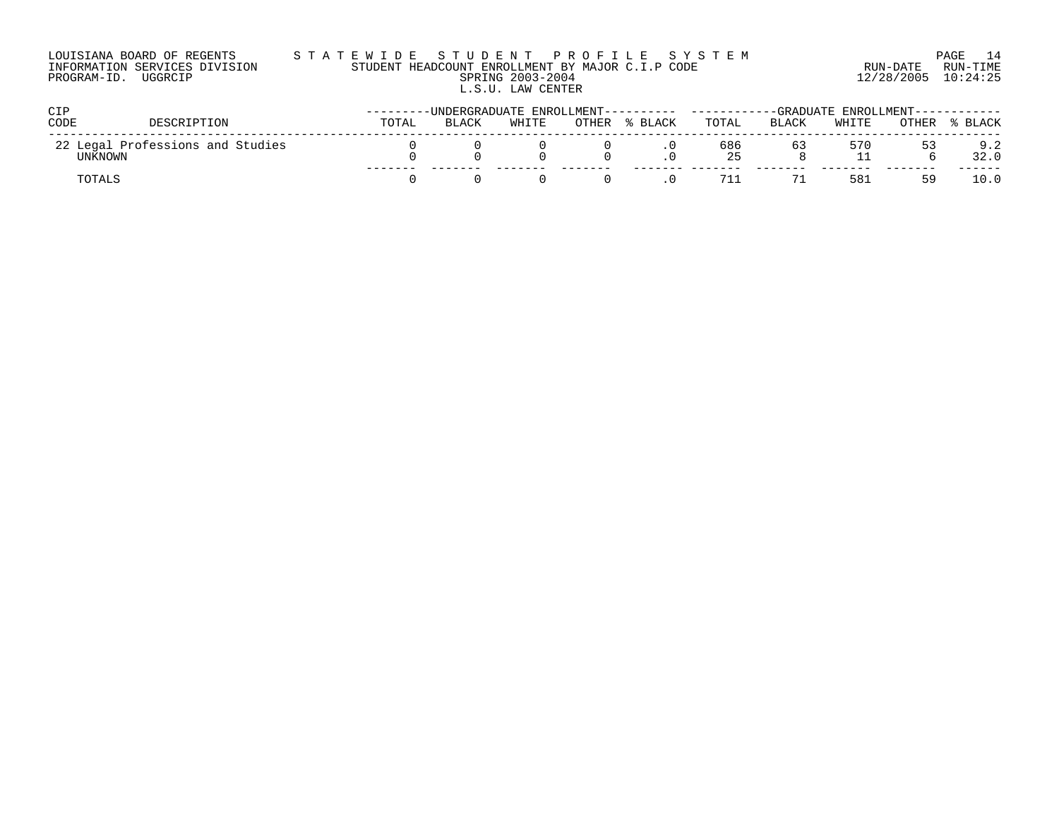| LOUISIANA BOARD OF REGENTS    | STATEWIDE STUDENT PROFILE SYSTEM                 |                     | PAGE 14  |
|-------------------------------|--------------------------------------------------|---------------------|----------|
| INFORMATION SERVICES DIVISION | STUDENT HEADCOUNT ENROLLMENT BY MAJOR C.I.P CODE | RUN-DATE            | RUN-TIME |
| PROGRAM-ID. UGGRCIP           | SPRING 2003-2004                                 | 12/28/2005 10:24:25 |          |
|                               | L.S.U. LAW CENTER                                |                     |          |

| CIP     |                                  | --------UNDERGRADUATE ENROLLMENT----- |       |       |       |              | -----------GRADUATE                                   ENROLLMENT------------ |              |       |       |         |
|---------|----------------------------------|---------------------------------------|-------|-------|-------|--------------|------------------------------------------------------------------------------|--------------|-------|-------|---------|
| CODE    | DESCRIPTION                      | TOTAL                                 | BLACK | WHITE | OTHER | <b>BLACK</b> | TOTAL                                                                        | <b>BLACK</b> | WHITE | OTHER | % BLACK |
| UNKNOWN | 22 Legal Professions and Studies |                                       |       |       |       |              | 686<br>25                                                                    | 63           | 570   | 53    | 9.2     |
| TOTALS  |                                  |                                       |       |       |       |              |                                                                              |              | 581   | h y   |         |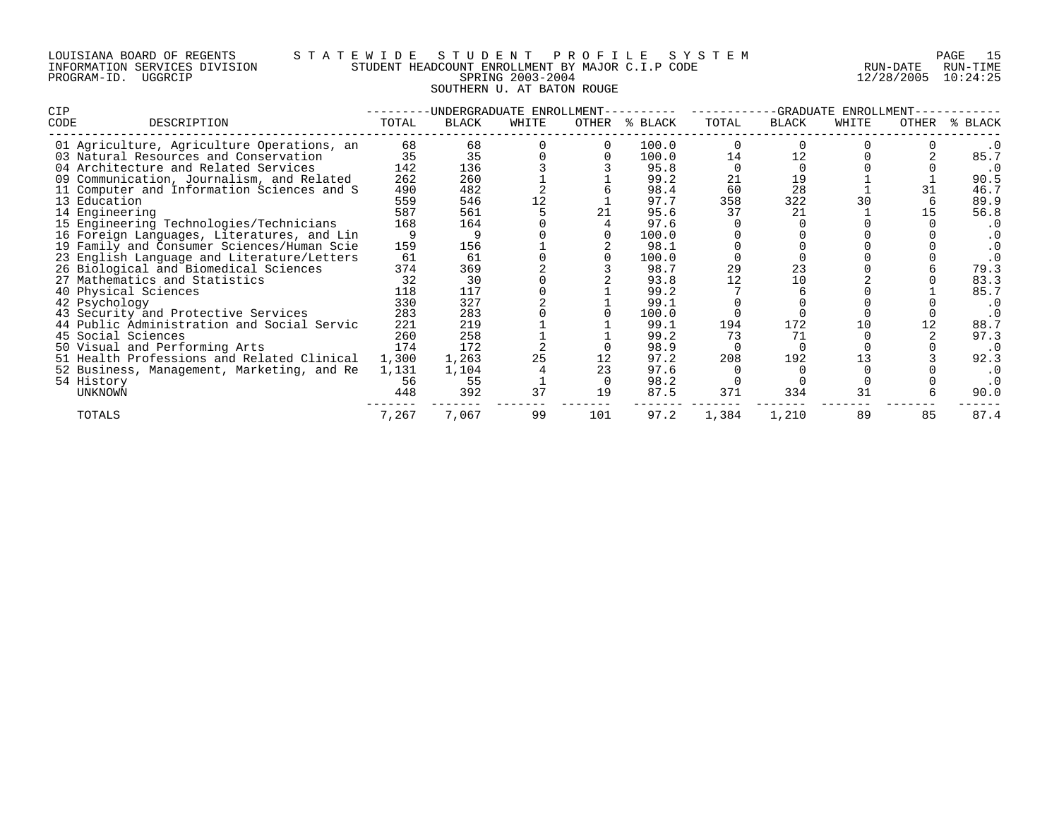# LOUISIANA BOARD OF REGENTS S T A T E W I D E S T U D E N T P R O F I L E S Y S T E M PAGE 15 INFORMATION SERVICES DIVISION STUDENT HEADCOUNT ENROLLMENT BY MAJOR C.I.P CODE RUN-DATE RUN-TIME PROGRAM-ID. UGGRCIP SPRING 2003-2004 SPRING 2003-2004 12/28/2005 10:24:25 SOUTHERN U. AT BATON ROUGE

| CIP  |                                            | -UNDERGRADUATE ENROLLMENT- |       |       |     |               | -GRADUATE ENROLLMENT- |       |       |       |           |
|------|--------------------------------------------|----------------------------|-------|-------|-----|---------------|-----------------------|-------|-------|-------|-----------|
| CODE | DESCRIPTION                                | TOTAL                      | BLACK | WHITE |     | OTHER % BLACK | TOTAL                 | BLACK | WHITE | OTHER | % BLACK   |
|      | 01 Agriculture, Agriculture Operations, an | 68                         | 68    |       |     | 100.0         |                       |       |       |       |           |
|      | 03 Natural Resources and Conservation      | 35                         | 35    |       |     | 100.0         | 14                    | 12    |       |       | 85.7      |
|      | 04 Architecture and Related Services       | 142                        | 136   |       |     | 95.8          |                       |       |       |       | . 0       |
|      | 09 Communication, Journalism, and Related  | 262                        | 260   |       |     | 99.2          | 21                    | 19    |       |       | 90.5      |
|      | 11 Computer and Information Sciences and S | 490                        | 482   |       |     | 98.4          | 60                    | 28    |       |       | 46.7      |
|      | 13 Education                               | 559                        | 546   | 12    |     | 97.7          | 358                   | 322   | 30    |       | 89.9      |
|      | 14 Engineering                             | 587                        | 561   |       | 21  | 95.6          | 37                    | 21    |       |       | 56.8      |
|      | 15 Engineering Technologies/Technicians    | 168                        | 164   |       |     | 97.6          |                       |       |       |       | $\cdot$ 0 |
|      | 16 Foreign Languages, Literatures, and Lin |                            |       |       |     | 100.0         |                       |       |       |       | . 0       |
|      | 19 Family and Consumer Sciences/Human Scie | 159                        | 156   |       |     | 98.1          |                       |       |       |       | . 0       |
|      | 23 English Language and Literature/Letters | 61                         | 61    |       |     | 100.0         |                       |       |       |       | $\cdot$ 0 |
|      | 26 Biological and Biomedical Sciences      | 374                        | 369   |       |     | 98.7          | 29                    | 23    |       |       | 79.3      |
|      | 27 Mathematics and Statistics              | 32                         | 30    |       |     | 93.8          | 12                    | 10    |       |       | 83.3      |
|      | 40 Physical Sciences                       | 118                        | 117   |       |     | 99.2          |                       |       |       |       | 85.7      |
|      | 42 Psychology                              | 330                        | 327   |       |     | 99.1          |                       |       |       |       | . 0       |
|      | 43 Security and Protective Services        | 283                        | 283   |       |     | 100.0         |                       |       |       |       | . 0       |
|      | 44 Public Administration and Social Servic | 221                        | 219   |       |     | 99.1          | 194                   | 172   | 10    |       | 88.7      |
|      | 45 Social Sciences                         | 260                        | 258   |       |     | 99.2          | 73                    | 71    |       |       | 97.3      |
|      | 50 Visual and Performing Arts              | 174                        | 172   |       |     | 98.9          |                       |       |       |       | $\cdot$ 0 |
|      | 51 Health Professions and Related Clinical | 1,300                      | 1,263 | 25    |     | 97.2          | 208                   | 192   |       |       | 92.3      |
|      | 52 Business, Management, Marketing, and Re | 1,131                      | 1,104 |       | 23  | 97.6          |                       |       |       |       | . 0       |
|      | 54 History                                 | 56                         | 55    |       |     | 98.2          |                       |       |       |       |           |
|      | UNKNOWN                                    | 448                        | 392   | 37    | 19  | 87.5          | 371                   | 334   | 31    |       | 90.0      |
|      | TOTALS                                     | 7,267                      | 7,067 | 99    | 101 | 97.2          | 1,384                 | 1,210 | 89    | 85    | 87.4      |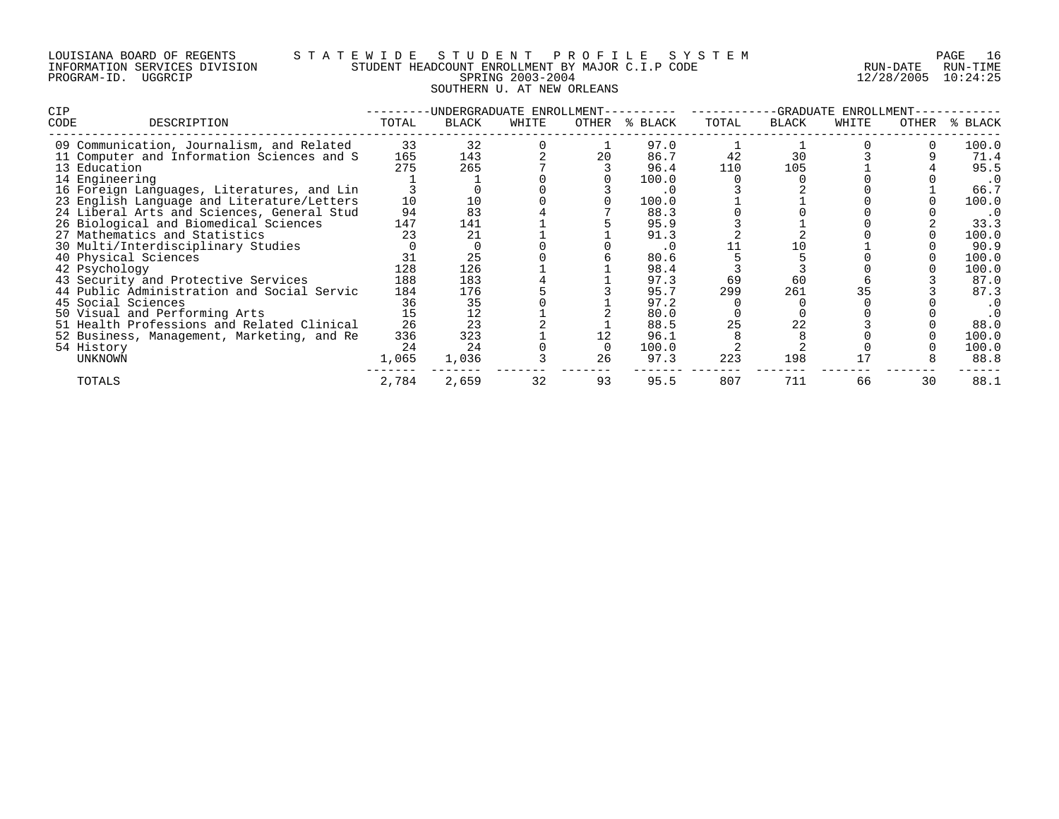# LOUISIANA BOARD OF REGENTS S T A T E W I D E S T U D E N T P R O F I L E S Y S T E M PAGE 16 INFORMATION SERVICES DIVISION STUDENT HEADCOUNT ENROLLMENT BY MAJOR C.I.P CODE RUN-DATE RUN-TIME PROGRAM-ID. UGGRCIP SPRING 2003-2004 SPRING 2003-2004 12/28/2005 10:24:25 SOUTHERN U. AT NEW ORLEANS

| <b>CIP</b>                                 |       | -UNDERGRADUATE ENROLLMENT- |       |       |         | -GRADUATE ENROLLMENT- |       |       |       |         |
|--------------------------------------------|-------|----------------------------|-------|-------|---------|-----------------------|-------|-------|-------|---------|
| CODE<br>DESCRIPTION                        | TOTAL | BLACK                      | WHITE | OTHER | % BLACK | TOTAL                 | BLACK | WHITE | OTHER | % BLACK |
| 09 Communication, Journalism, and Related  | 33    | 32                         |       |       | 97.0    |                       |       |       |       | 100.0   |
| 11 Computer and Information Sciences and S | 165   | 143                        |       | 20    | 86.7    | 42                    | 30    |       |       | 71.4    |
| 13 Education                               | 275   | 265                        |       |       | 96.4    | 110                   | 105   |       |       | 95.5    |
| 14 Engineering                             |       |                            |       |       | 100.0   |                       |       |       |       | . 0     |
| 16 Foreign Languages, Literatures, and Lin |       |                            |       |       | . 0     |                       |       |       |       | 66.7    |
| 23 English Language and Literature/Letters | 10    |                            |       |       | 100.0   |                       |       |       |       | 100.0   |
| 24 Liberal Arts and Sciences, General Stud | 94    | 83                         |       |       | 88.3    |                       |       |       |       | . 0     |
| 26 Biological and Biomedical Sciences      | 147   | 141                        |       |       | 95.9    |                       |       |       |       | 33.3    |
| 27 Mathematics and Statistics              | 23    | 21                         |       |       | 91.3    |                       |       |       |       | 100.0   |
| 30 Multi/Interdisciplinary Studies         |       |                            |       |       | . 0     |                       |       |       |       | 90.9    |
| 40 Physical Sciences                       |       | 25                         |       |       | 80.6    |                       |       |       |       | 100.0   |
| 42 Psychology                              | 128   | 126                        |       |       | 98.4    |                       |       |       |       | 100.0   |
| 43 Security and Protective Services        | 188   | 183                        |       |       | 97.3    | 69                    | 60    |       |       | 87.0    |
| 44 Public Administration and Social Servic | 184   | 176                        |       |       | 95.7    | 299                   | 261   |       |       | 87.3    |
| 45 Social Sciences                         | 36    | 35                         |       |       | 97.2    |                       |       |       |       | . 0     |
| 50 Visual and Performing Arts              | 15    | 12                         |       |       | 80.0    |                       |       |       |       | . 0     |
| 51 Health Professions and Related Clinical | 26    | 23                         |       |       | 88.5    | 25                    | 22    |       |       | 88.0    |
| 52 Business, Management, Marketing, and Re | 336   | 323                        |       |       | 96.1    |                       |       |       |       | 100.0   |
| 54 History                                 | 24    | 24                         |       |       | 100.0   |                       |       |       |       | 100.0   |
| UNKNOWN                                    | 1,065 | 1,036                      |       | 26    | 97.3    | 223                   | 198   |       |       | 88.8    |
| TOTALS                                     | 2,784 | 2,659                      | 32    | 93    | 95.5    | 807                   | 711   | 66    | 30    | 88.1    |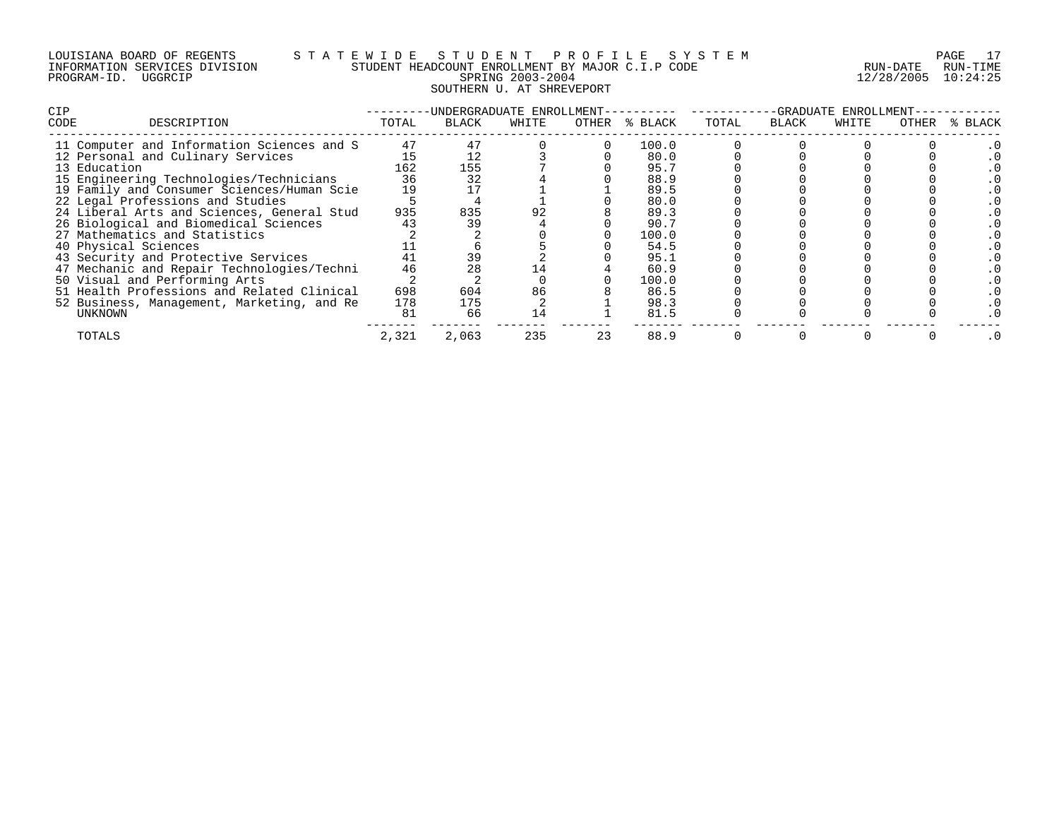# LOUISIANA BOARD OF REGENTS S T A T E W I D E S T U D E N T P R O F I L E S Y S T E M PAGE 17 INFORMATION SERVICES DIVISION STUDENT HEADCOUNT ENROLLMENT BY MAJOR C.I.P CODE RUN-DATE RUN-TIME PROGRAM-ID. UGGRCIP SPRING 2003-2004 12/28/2005 10:24:25 SOUTHERN U. AT SHREVEPORT

| <b>CIP</b>                        | -UNDERGRADUATE ENROLLMENT-                 |       |       |       |  | -GRADUATE ENROLLMENT- |       |       |       |       |         |
|-----------------------------------|--------------------------------------------|-------|-------|-------|--|-----------------------|-------|-------|-------|-------|---------|
| CODE                              | DESCRIPTION                                | TOTAL | BLACK | WHITE |  | OTHER % BLACK         | TOTAL | BLACK | WHITE | OTHER | % BLACK |
|                                   | 11 Computer and Information Sciences and S | 47    |       |       |  | 100.0                 |       |       |       |       |         |
| 12 Personal and Culinary Services |                                            | 15    |       |       |  | 80.0                  |       |       |       |       |         |
| 13 Education                      |                                            | 162   | 155   |       |  | 95.7                  |       |       |       |       |         |
|                                   | 15 Engineering Technologies/Technicians    | 36    | 32    |       |  | 88.9                  |       |       |       |       |         |
|                                   | 19 Family and Consumer Sciences/Human Scie | 19    |       |       |  | 89.5                  |       |       |       |       |         |
| 22 Legal Professions and Studies  |                                            |       |       |       |  | 80.0                  |       |       |       |       |         |
|                                   | 24 Liberal Arts and Sciences, General Stud | 935   | 835   |       |  | 89.3                  |       |       |       |       |         |
|                                   | 26 Biological and Biomedical Sciences      | 43    | 39    |       |  | 90.7                  |       |       |       |       |         |
| 27 Mathematics and Statistics     |                                            |       |       |       |  | 100.0                 |       |       |       |       |         |
| 40 Physical Sciences              |                                            |       |       |       |  | 54.5                  |       |       |       |       |         |
|                                   | 43 Security and Protective Services        | 41    | 39    |       |  | 95.1                  |       |       |       |       |         |
|                                   | 47 Mechanic and Repair Technologies/Techni | 46    |       |       |  | 60.9                  |       |       |       |       |         |
| 50 Visual and Performing Arts     |                                            |       |       |       |  | 100.0                 |       |       |       |       |         |
|                                   | 51 Health Professions and Related Clinical | 698   | 604   | 86    |  | 86.5                  |       |       |       |       |         |
|                                   | 52 Business, Management, Marketing, and Re | 178   | 175   |       |  | 98.3                  |       |       |       |       |         |
| UNKNOWN                           |                                            | 81    | 66    |       |  | 81.5                  |       |       |       |       |         |
| TOTALS                            |                                            | 2,321 | 2,063 | 235   |  | 88.9                  |       |       |       |       |         |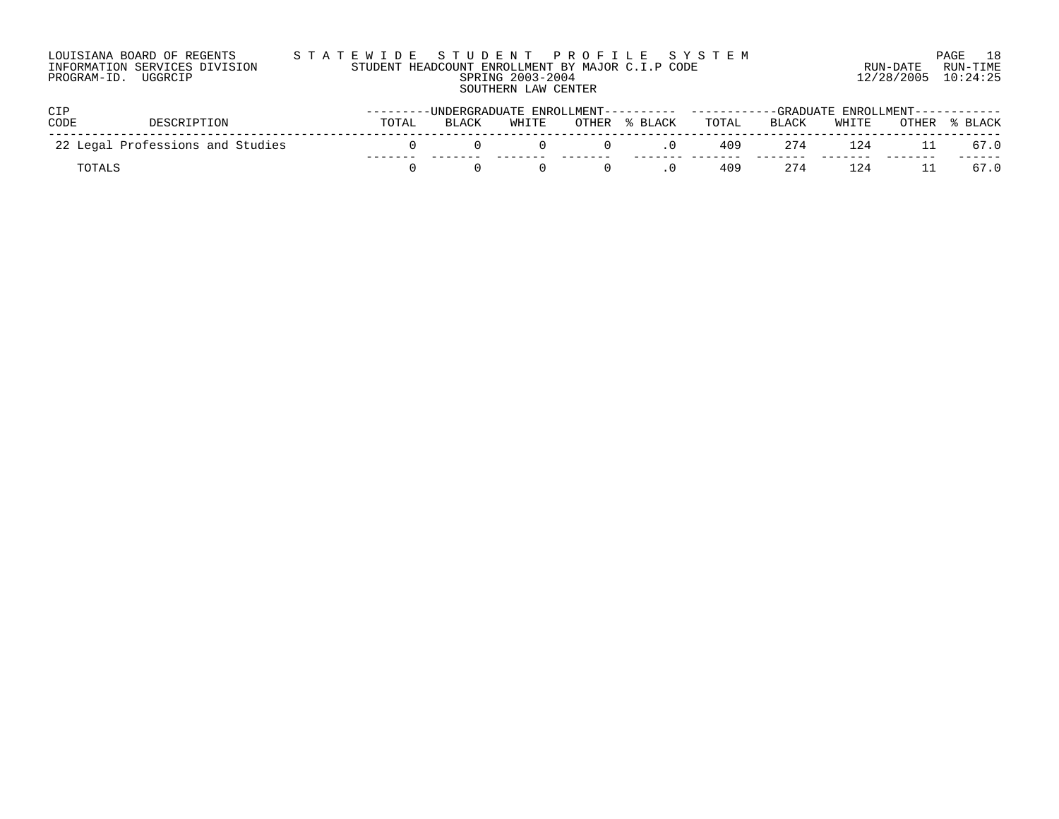| LOUISIANA BOARD OF REGENTS    | STATEWIDE STUDENT PROFILE SYSTEM                 |                         | 18<br>PAGE |
|-------------------------------|--------------------------------------------------|-------------------------|------------|
| INFORMATION SERVICES DIVISION | STUDENT HEADCOUNT ENROLLMENT BY MAJOR C.I.P CODE | RIIN-DATE               | RUN-TIME   |
| PROGRAM-ID. UGGRCIP           | SPRING 2003-2004                                 | $12/28/2005$ $10:24:25$ |            |
|                               | SOUTHERN LAW CENTER                              |                         |            |

| <b>CIP</b>  |                                  |       | ----------UNDERGRADUATE_ENROLLMENT---------- -----------GRADUATE_ENROLLMENT----------- |       |       |         |       |       |       |       |         |
|-------------|----------------------------------|-------|----------------------------------------------------------------------------------------|-------|-------|---------|-------|-------|-------|-------|---------|
| <b>CODE</b> | DESCRIPTION                      | TOTAL | BLACK                                                                                  | WHITE | OTHER | % BLACK | TOTAL | BLACK | WHITE | OTHER | % BLACK |
|             | 22 Legal Professions and Studies |       |                                                                                        |       |       |         | 409   | 274   | 124   |       | 67.0    |
|             |                                  |       |                                                                                        |       |       |         | 409   | 274   | 124   |       | 67.0    |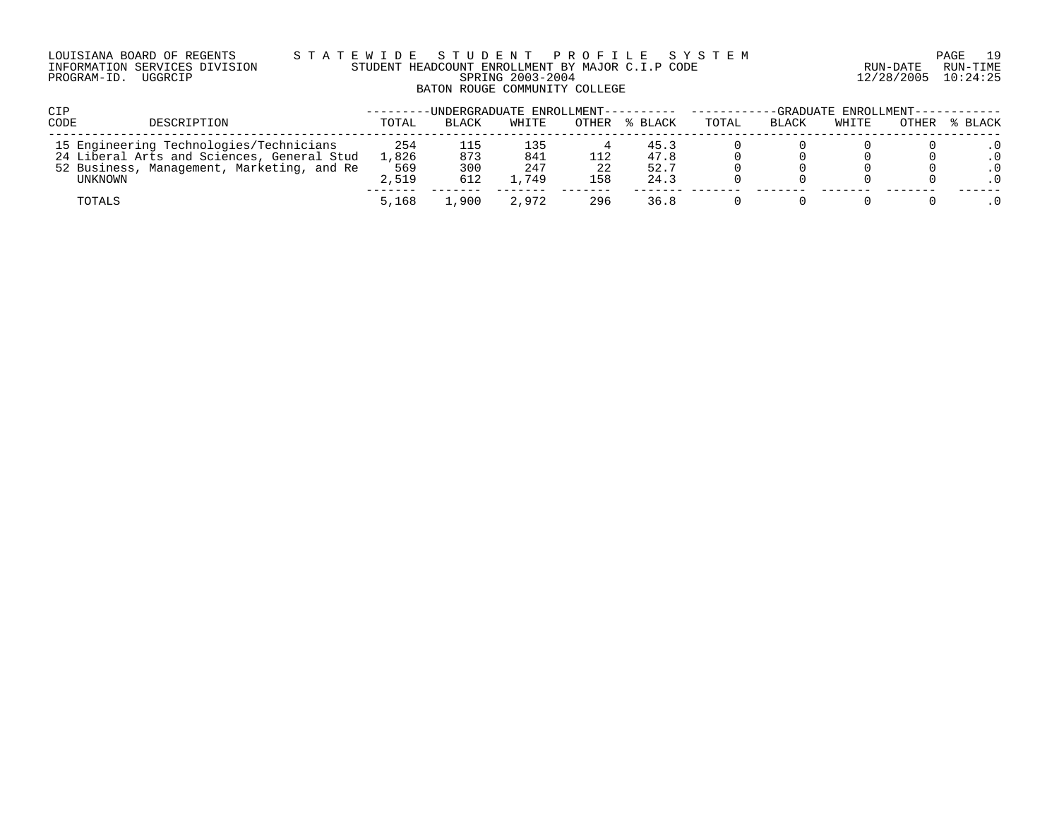## LOUISIANA BOARD OF REGENTS S T A T E W I D E S T U D E N T P R O F I L E S Y S T E M PAGE 19 INFORMATION SERVICES DIVISION STUDENT HEADCOUNT ENROLLMENT BY MAJOR C.I.P CODE RUN-DATE RUN-TIME PROGRAM-ID. UGGRCIP SPRING 2003-2004 12/28/2005 10:24:25 BATON ROUGE COMMUNITY COLLEGE

| <b>CIP</b>                                                                                                                                     |                              |                          |                           |           | -UNDERGRADUATE ENROLLMENT---------- | -GRADUATE ENROLLMENT--- |       |       |       |         |
|------------------------------------------------------------------------------------------------------------------------------------------------|------------------------------|--------------------------|---------------------------|-----------|-------------------------------------|-------------------------|-------|-------|-------|---------|
| <b>CODE</b><br>DESCRIPTION                                                                                                                     | TOTAL                        | BLACK                    | WHITE                     | OTHER     | % BLACK                             | TOTAL                   | BLACK | WHITE | OTHER | % BLACK |
| 15 Engineering Technologies/Technicians<br>24 Liberal Arts and Sciences, General Stud<br>52 Business, Management, Marketing, and Re<br>UNKNOWN | 254<br>1,826<br>569<br>2,519 | 115<br>873<br>300<br>612 | 135<br>841<br>247<br>.749 | 22<br>158 | 45.3<br>47.8<br>52.7<br>24.3        |                         |       |       |       |         |
| TOTALS                                                                                                                                         | 5,168                        | ,900                     | 2,972                     | 296       | 36.8                                |                         |       |       |       |         |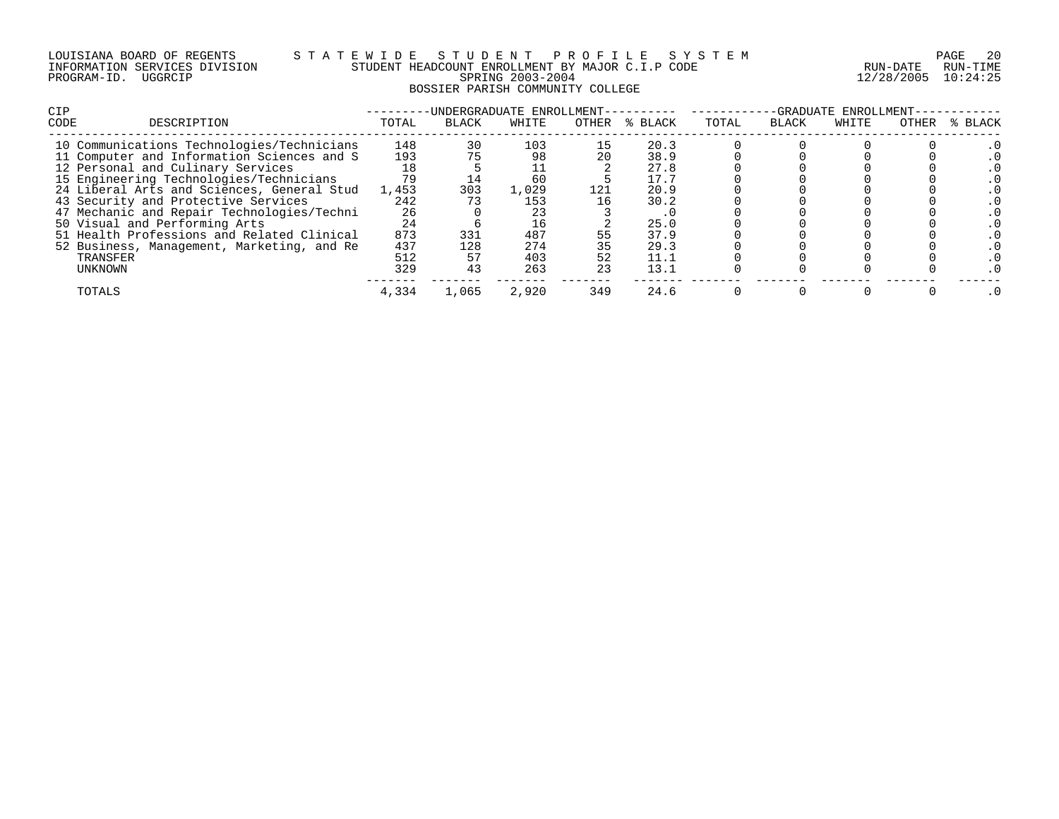| LOUISIANA BOARD OF REGENTS    |         |  |  |
|-------------------------------|---------|--|--|
| INFORMATION SERVICES DIVISION |         |  |  |
| PROGRAM-ID.                   | UGGRCIP |  |  |

# LOUISIANA BOARD OF REGENTS S T A T E W I D E S T U D E N T P R O F I L E S Y S T E M PAGE 20 INFORMATION SERVICES DIVISION STUDENT HEADCOUNT ENROLLMENT BY MAJOR C.I.P CODE RUN-DATE RUN-TIME PROGRAM-ID. UGGRCIP SPRING 2003-2004 12/28/2005 10:24:25 BOSSIER PARISH COMMUNITY COLLEGE

| OTHER | % BLACK |
|-------|---------|
|       |         |
|       |         |
|       |         |
|       |         |
|       |         |
|       |         |
|       |         |
|       |         |
|       |         |
|       |         |
|       |         |
|       |         |
|       |         |
|       |         |
|       |         |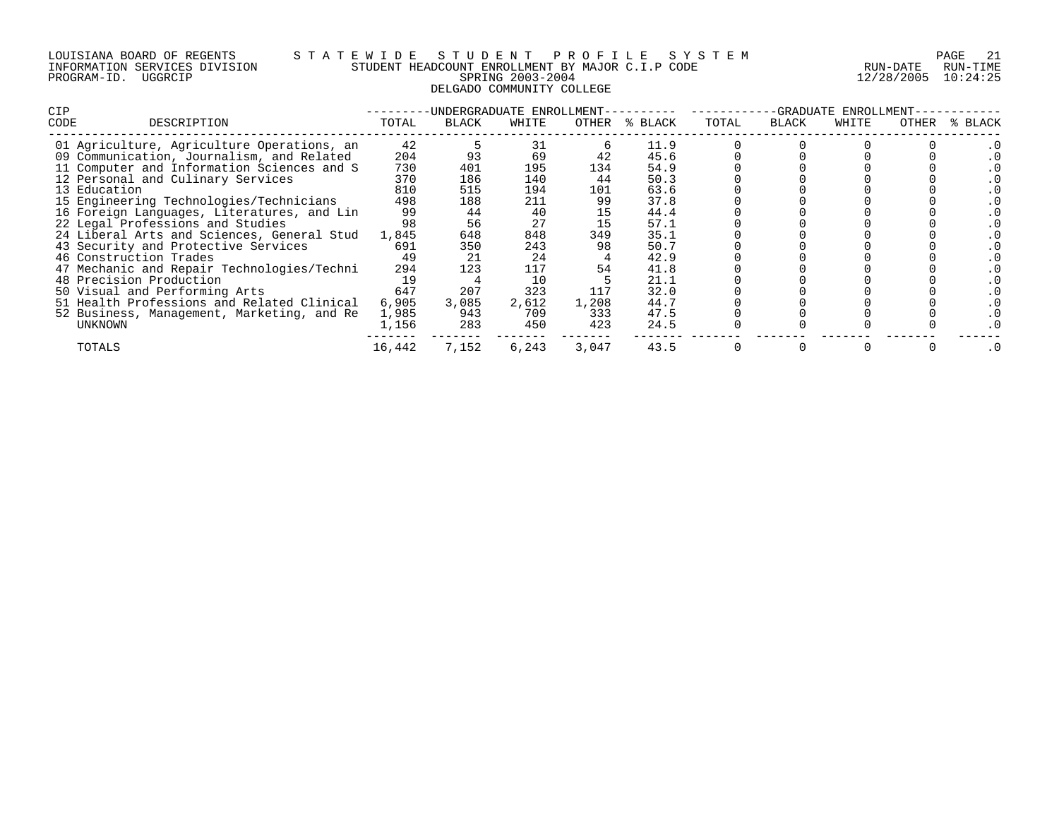#### LOUISIANA BOARD OF REGENTS S T A T E W I D E S T U D E N T P R O F I L E S Y S T E M PAGE 21 INFORMATION SERVICES DIVISION STUDENT HEADCOUNT ENROLLMENT BY MAJOR C.I.P CODE RUN-DATE RUN-TIME PROGRAM-ID. UGGRCIP SPRING 2003-2004 12/28/2005 10:24:25 DELGADO COMMUNITY COLLEGE

| <b>CIP</b> |                                            |        | -UNDERGRADUATE ENROLLMENT-- |       |       |               | -GRADUATE ENROLLMENT- |       |       |       |         |
|------------|--------------------------------------------|--------|-----------------------------|-------|-------|---------------|-----------------------|-------|-------|-------|---------|
| CODE       | DESCRIPTION                                | TOTAL  | BLACK                       | WHITE |       | OTHER % BLACK | TOTAL                 | BLACK | WHITE | OTHER | % BLACK |
|            | 01 Agriculture, Agriculture Operations, an | 42     |                             | 31    |       | 11.9          |                       |       |       |       |         |
|            | 09 Communication, Journalism, and Related  | 204    |                             | 69    |       | 45.6          |                       |       |       |       |         |
|            | 11 Computer and Information Sciences and S | 730    | 401                         | 195   | 134   | 54.9          |                       |       |       |       |         |
|            | 12 Personal and Culinary Services          | 370    | 186                         | 140   | 44    | 50.3          |                       |       |       |       |         |
|            | 13 Education                               | 810    | 515                         | 194   | 101   | 63.6          |                       |       |       |       |         |
|            | 15 Engineering Technologies/Technicians    | 498    | 188                         | 211   | 99    | 37.8          |                       |       |       |       |         |
|            | 16 Foreign Languages, Literatures, and Lin | 99     | 44                          | 40    |       | 44.4          |                       |       |       |       |         |
|            | 22 Legal Professions and Studies           | 98     | 56                          | 27    |       | 57.1          |                       |       |       |       |         |
|            | 24 Liberal Arts and Sciences, General Stud | 1,845  | 648                         | 848   | 349   | 35.1          |                       |       |       |       |         |
|            | 43 Security and Protective Services        | 691    | 350                         | 243   | 98    | 50.7          |                       |       |       |       |         |
|            | 46 Construction Trades                     | 49     | 21                          | 24    |       | 42.9          |                       |       |       |       |         |
|            | 47 Mechanic and Repair Technologies/Techni | 294    | 123                         | 117   | 54    | 41.8          |                       |       |       |       |         |
|            | 48 Precision Production                    | 19     |                             | 10    |       | 21.1          |                       |       |       |       |         |
|            | 50 Visual and Performing Arts              | 647    | 207                         | 323   | 117   | 32.0          |                       |       |       |       |         |
|            | 51 Health Professions and Related Clinical | 6,905  | 3,085                       | 2,612 | 1,208 | 44.7          |                       |       |       |       |         |
|            | 52 Business, Management, Marketing, and Re | 1,985  | 943                         | 709   | 333   | 47.5          |                       |       |       |       |         |
|            | UNKNOWN                                    | 1,156  | 283                         | 450   | 423   | 24.5          |                       |       |       |       |         |
|            | TOTALS                                     | 16,442 | 7,152                       | 6,243 | 3,047 | 43.5          |                       |       |       |       |         |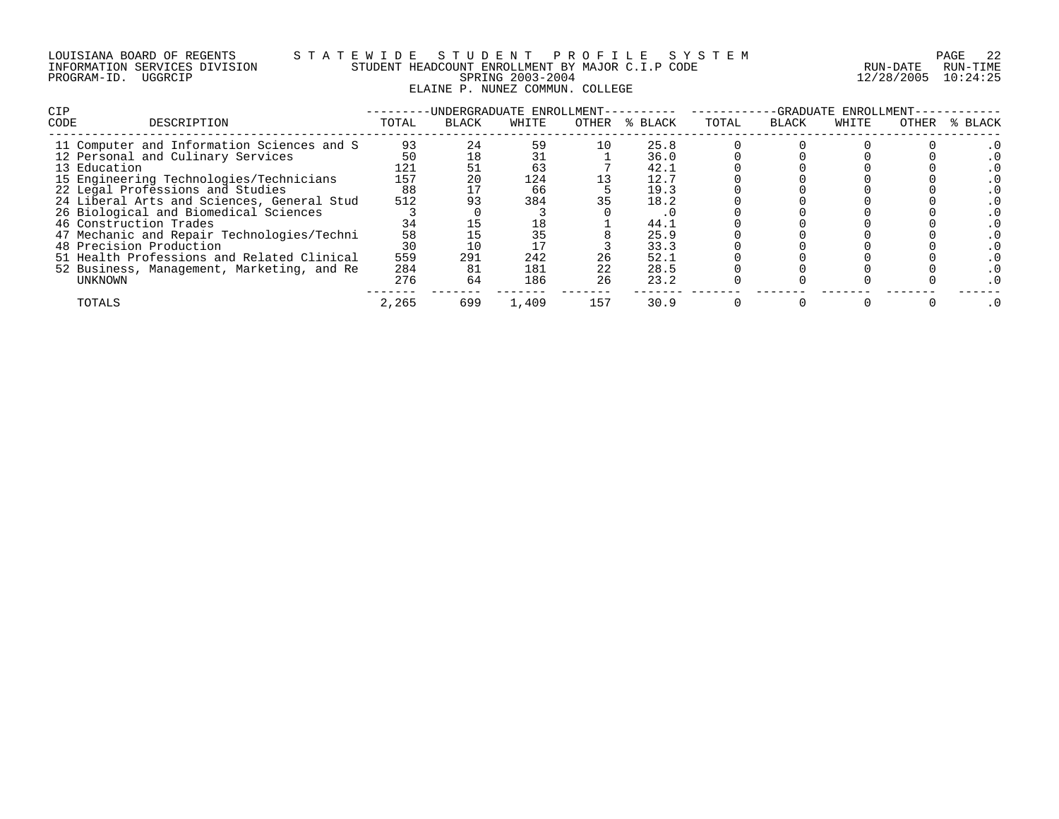# LOUISIANA BOARD OF REGENTS S T A T E W I D E S T U D E N T P R O F I L E S Y S T E M PAGE 22 INFORMATION SERVICES DIVISION STUDENT HEADCOUNT ENROLLMENT BY MAJOR C.I.P CODE RUN-DATE RUN-TIME PROGRAM-ID. UGGRCIP SPRING 2003-2004 12/28/2005 10:24:25 ELAINE P. NUNEZ COMMUN. COLLEGE

| <b>CIP</b>   |                                            |       |              | UNDERGRADUATE ENROLLMENT- |       |         | GRADUATE<br>ENROLLMENT- |       |       |       |         |
|--------------|--------------------------------------------|-------|--------------|---------------------------|-------|---------|-------------------------|-------|-------|-------|---------|
| CODE         | DESCRIPTION                                | TOTAL | <b>BLACK</b> | WHITE                     | OTHER | % BLACK | TOTAL                   | BLACK | WHITE | OTHER | % BLACK |
|              | 11 Computer and Information Sciences and S | 93    | 24           | 59                        |       | 25.8    |                         |       |       |       |         |
|              | 12 Personal and Culinary Services          | 50    | 18           | 31                        |       | 36.0    |                         |       |       |       |         |
| 13 Education |                                            | 121   |              | 63                        |       | 42.1    |                         |       |       |       |         |
|              | 15 Engineering Technologies/Technicians    | 157   | 20           | 124                       |       | 12.7    |                         |       |       |       |         |
|              | 22 Legal Professions and Studies           | 88    |              | 66                        |       | 19.3    |                         |       |       |       |         |
|              | 24 Liberal Arts and Sciences, General Stud | 512   | 93           | 384                       | 35    | 18.2    |                         |       |       |       |         |
|              | 26 Biological and Biomedical Sciences      |       |              |                           |       |         |                         |       |       |       |         |
|              | 46 Construction Trades                     | 34    |              | 18                        |       | 44.1    |                         |       |       |       |         |
|              | 47 Mechanic and Repair Technologies/Techni | 58    |              | 35                        |       | 25.9    |                         |       |       |       |         |
|              | 48 Precision Production                    | 30    | 10           |                           |       | 33.3    |                         |       |       |       |         |
|              | 51 Health Professions and Related Clinical | 559   | 291          | 242                       | 26    | 52.1    |                         |       |       |       |         |
|              | 52 Business, Management, Marketing, and Re | 284   | 81           | 181                       | 22    | 28.5    |                         |       |       |       |         |
| UNKNOWN      |                                            | 276   | 64           | 186                       | 26    | 23.2    |                         |       |       |       |         |
| TOTALS       |                                            | 2,265 | 699          | 1,409                     | 157   | 30.9    |                         |       |       |       |         |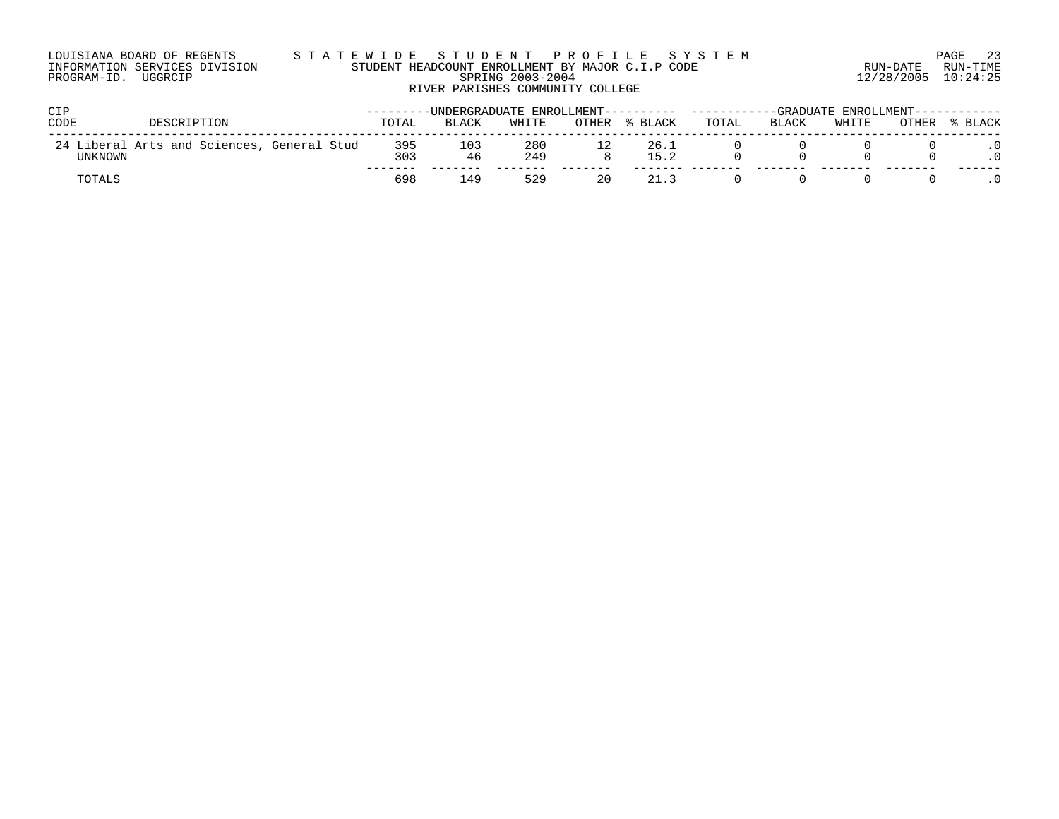| LOUISIANA BOARD OF REGENTS    | STATEWIDE STUDENT PROFILE SYSTEM                                                         |                     | PAGE 23  |
|-------------------------------|------------------------------------------------------------------------------------------|---------------------|----------|
| INFORMATION SERVICES DIVISION | STUDENT HEADCOUNT ENROLLMENT BY MAJOR C.I.P CODE                                         | RUN-DATE            | RUN-TIME |
| PROGRAM-ID. UGGRCIP           | SPRING 2003-2004                                                                         | 12/28/2005 10:24:25 |          |
|                               | RIVER PARISHES COMMUNITY COLLEGE                                                         |                     |          |
| CIP                           | ---------UNDERGRADUATE_ENROLLMENT------------------------GRADUATE_ENROLLMENT------------ |                     |          |

| ◡⊥ェ     |                                            | UNDERGRADOAIE ENROUEMENI |              |            |       |              | GRADOAIE ENROUENIEN |              |       |       |       |
|---------|--------------------------------------------|--------------------------|--------------|------------|-------|--------------|---------------------|--------------|-------|-------|-------|
| CODE    | DESCRIPTION                                | TOTAL                    | <b>BLACK</b> | WHITE      | OTHER | BLACK        | TOTAL               | <b>BLACK</b> | WHITE | OTHER | BLACK |
| UNKNOWN | 24 Liberal Arts and Sciences, General Stud | 395<br>303               | 103<br>46    | 280<br>249 |       | 26.1<br>15.2 |                     |              |       |       |       |
| TOTALS  |                                            | 698                      | i 49         | 529        | 20    |              |                     |              |       |       |       |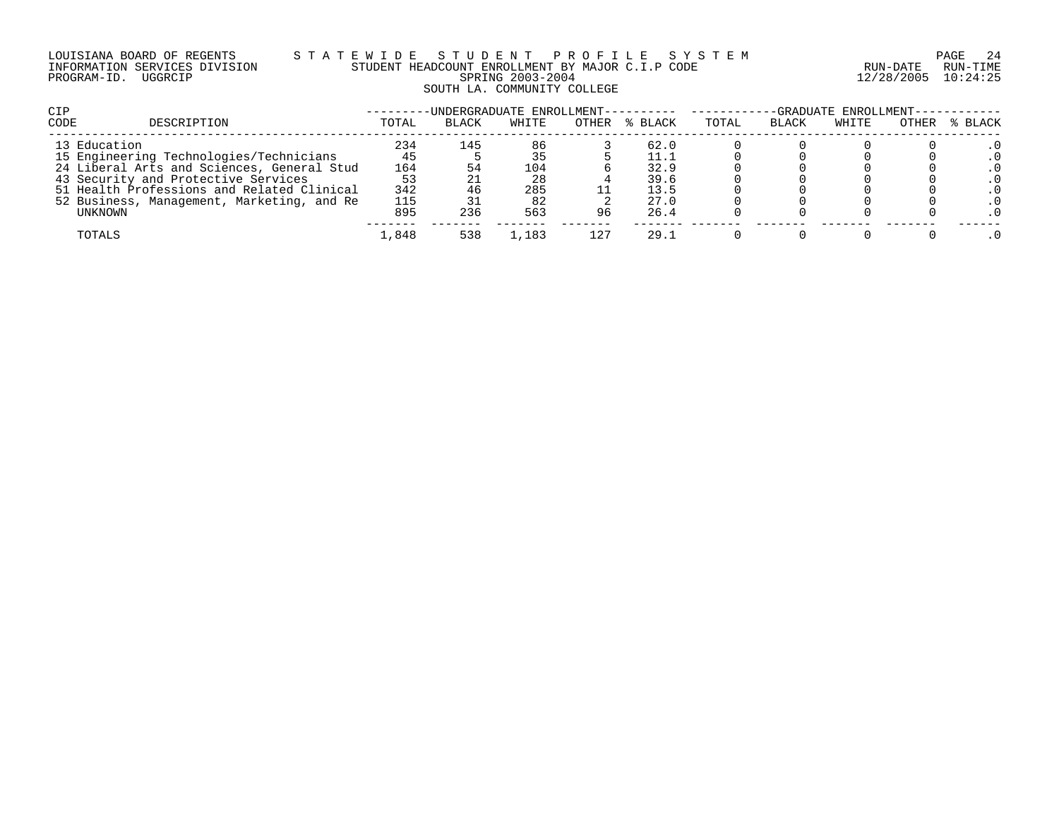## LOUISIANA BOARD OF REGENTS S T A T E W I D E S T U D E N T P R O F I L E S Y S T E M PAGE 24 INFORMATION SERVICES DIVISION STUDENT HEADCOUNT ENROLLMENT BY MAJOR C.I.P CODE RUN-DATE RUN-TIME PROGRAM-ID. UGGRCIP SPRING 2003-2004 12/28/2005 10:24:25 SOUTH LA. COMMUNITY COLLEGE

| <b>CIP</b>                                 |       |              | -UNDERGRADUATE ENROLLMENT---------- |       |         | -GRADUATE ENROLLMENT-- |              |       |       |         |
|--------------------------------------------|-------|--------------|-------------------------------------|-------|---------|------------------------|--------------|-------|-------|---------|
| CODE<br>DESCRIPTION                        | TOTAL | <b>BLACK</b> | WHITE                               | OTHER | % BLACK | TOTAL                  | <b>BLACK</b> | WHITE | OTHER | % BLACK |
| 13 Education                               | 234   | 145          | 86                                  |       | 62.0    |                        |              |       |       |         |
| 15 Engineering Technologies/Technicians    |       |              | 35                                  |       | 11.1    |                        |              |       |       |         |
| 24 Liberal Arts and Sciences, General Stud | 164   |              | 104                                 |       | 32.9    |                        |              |       |       |         |
| 43 Security and Protective Services        | 53    |              | 28                                  |       | 39.6    |                        |              |       |       |         |
| 51 Health Professions and Related Clinical | 342   |              | 285                                 |       | 13.5    |                        |              |       |       |         |
| 52 Business, Management, Marketing, and Re | 115   |              | 82                                  |       | 27.0    |                        |              |       |       |         |
| UNKNOWN                                    | 895   | 236          | 563                                 | 96    | 26.4    |                        |              |       |       |         |
| TOTALS                                     | 1,848 | 538          | .183                                | 127   | 29.1    |                        |              |       |       |         |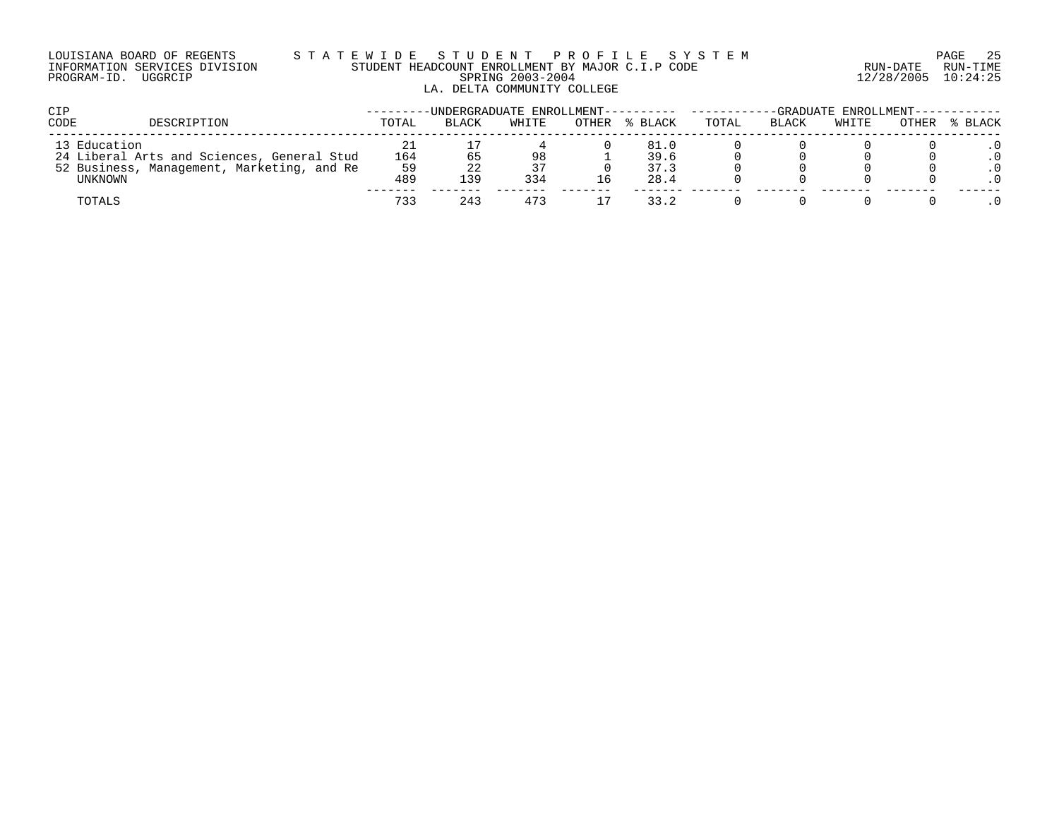### LOUISIANA BOARD OF REGENTS S T A T E W I D E S T U D E N T P R O F I L E S Y S T E M PAGE 25 INFORMATION SERVICES DIVISION STUDENT HEADCOUNT ENROLLMENT BY MAJOR C.I.P CODE RUN-DATE RUN-TIME PROGRAM-ID. UGGRCIP SPRING 2003-2004 12/28/2005 10:24:25 LA. DELTA COMMUNITY COLLEGE

| <b>CIP</b>   |                                                                                          | -UNDERGRADUATE ENROLLMENT---------- |       |          |       | -GRADUATE ENROLLMENT------------ |       |              |       |       |         |
|--------------|------------------------------------------------------------------------------------------|-------------------------------------|-------|----------|-------|----------------------------------|-------|--------------|-------|-------|---------|
| CODE         | DESCRIPTION                                                                              | TOTAL                               | BLACK | WHITE    | OTHER | % BLACK                          | TOTAL | <b>BLACK</b> | WHITE | OTHER | % BLACK |
| 13 Education | 24 Liberal Arts and Sciences, General Stud<br>52 Business, Management, Marketing, and Re | 164<br>59                           | 65    | 98<br>37 |       | 81.0<br>39.6<br>37.3             |       |              |       |       |         |
| UNKNOWN      |                                                                                          | 489                                 | 139   | 334      | 16    | 28.4                             |       |              |       |       |         |
| TOTALS       |                                                                                          | 733                                 | 243   | 473      |       | 33.2                             |       |              |       |       |         |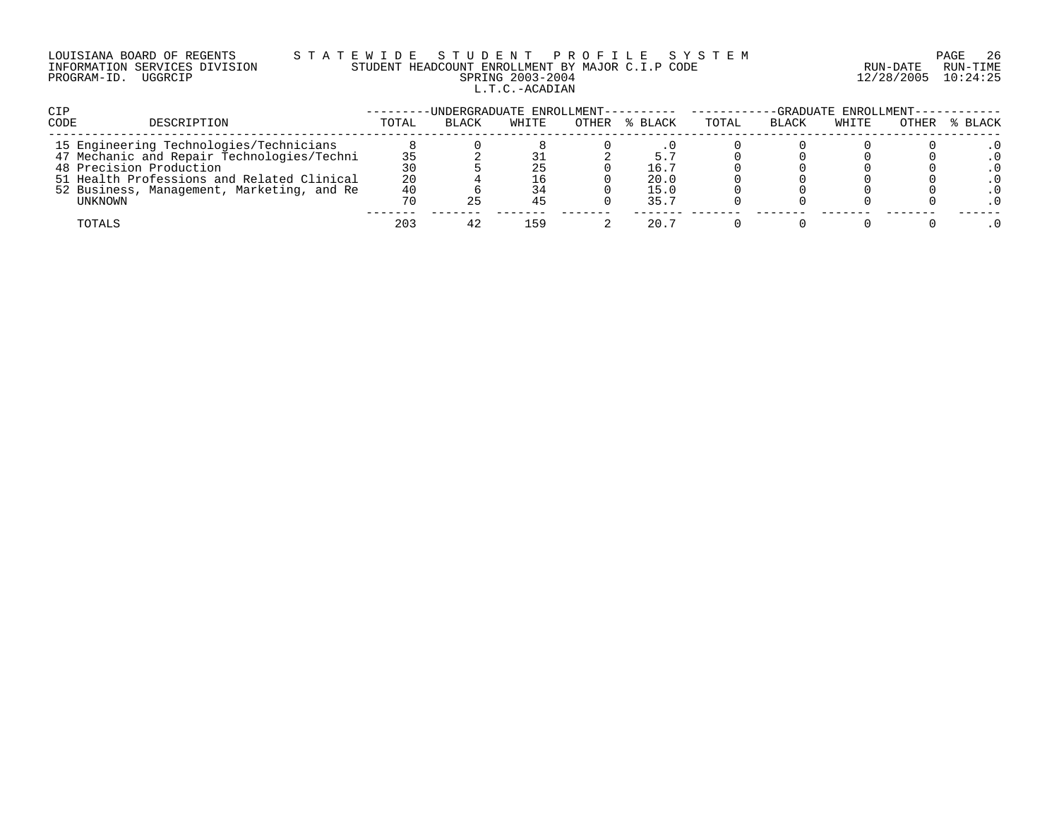# LOUISIANA BOARD OF REGENTS S T A T E W I D E S T U D E N T P R O F I L E S Y S T E M PAGE 26 INFORMATION SERVICES DIVISION STUDENT HEADCOUNT ENROLLMENT BY MAJOR C.I.P CODE RUN-DATE RUN-TIME PROGRAM-ID. UGGRCIP SPRING 2003-2004 12/28/2005 10:24:25 L.T.C.-ACADIAN

| CIP                                        |       | -UNDERGRADUATE ENROLLMENT---------- ------ |       |       |         | -GRADUATE ENROLLMENT----------- |              |       |       |         |
|--------------------------------------------|-------|--------------------------------------------|-------|-------|---------|---------------------------------|--------------|-------|-------|---------|
| CODE<br>DESCRIPTION                        | TOTAL | <b>BLACK</b>                               | WHITE | OTHER | % BLACK | TOTAL                           | <b>BLACK</b> | WHITE | OTHER | % BLACK |
| 15 Engineering Technologies/Technicians    |       |                                            |       |       |         |                                 |              |       |       |         |
| 47 Mechanic and Repair Technologies/Techni |       |                                            |       |       |         |                                 |              |       |       |         |
| 48 Precision Production                    | 30    |                                            | 25    |       | 16.7    |                                 |              |       |       |         |
| 51 Health Professions and Related Clinical | 20    |                                            | 16    |       | 20.0    |                                 |              |       |       |         |
| 52 Business, Management, Marketing, and Re | 40    |                                            | 34    |       | 15.0    |                                 |              |       |       |         |
| UNKNOWN                                    | 70    |                                            | 45    |       | 35.7    |                                 |              |       |       |         |
| TOTALS                                     | 203   |                                            | 159   |       | 20.7    |                                 |              |       |       |         |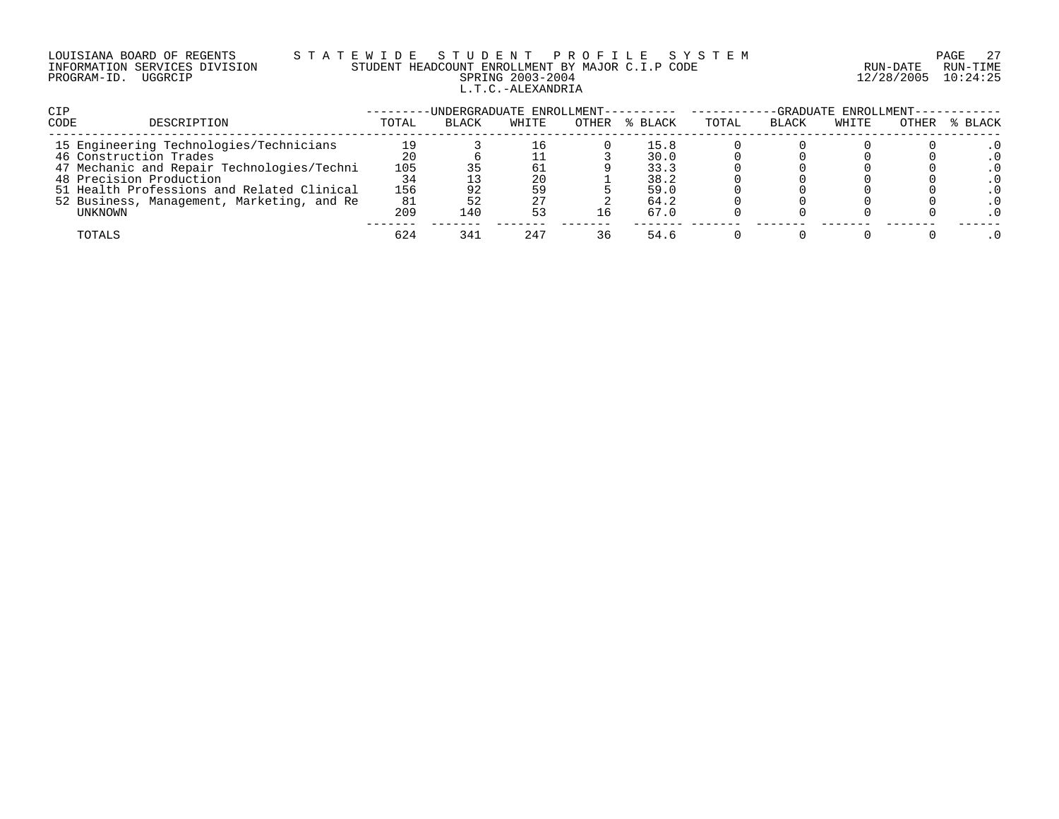# LOUISIANA BOARD OF REGENTS S T A T E W I D E S T U D E N T P R O F I L E S Y S T E M PAGE 27 INFORMATION SERVICES DIVISION STUDENT HEADCOUNT ENROLLMENT BY MAJOR C.I.P CODE RUN-DATE RUN-TIME PROGRAM-ID. UGGRCIP SPRING 2003-2004 12/28/2005 10:24:25 L.T.C.-ALEXANDRIA

| <b>CIP</b>                                 |       | -UNDERGRADUATE ENROLLMENT---------- |       |       |         | -GRADUATE ENROLLMENT--- |              |       |       |         |
|--------------------------------------------|-------|-------------------------------------|-------|-------|---------|-------------------------|--------------|-------|-------|---------|
| CODE<br>DESCRIPTION                        | TOTAL | <b>BLACK</b>                        | WHITE | OTHER | % BLACK | TOTAL                   | <b>BLACK</b> | WHITE | OTHER | % BLACK |
| 15 Engineering Technologies/Technicians    | 19    |                                     | 16    |       | 15.8    |                         |              |       |       |         |
| 46 Construction Trades                     | 20    |                                     |       |       | 30.0    |                         |              |       |       |         |
| 47 Mechanic and Repair Technologies/Techni | 105   |                                     | 61    |       | 33.3    |                         |              |       |       |         |
| 48 Precision Production                    | 34    |                                     | 20    |       | 38.2    |                         |              |       |       |         |
| 51 Health Professions and Related Clinical | 156   |                                     | 59    |       | 59.0    |                         |              |       |       |         |
| 52 Business, Management, Marketing, and Re | 81    |                                     | 27    |       | 64.2    |                         |              |       |       |         |
| UNKNOWN                                    | 209   | 140                                 | 53    |       | 67.0    |                         |              |       |       |         |
| TOTALS                                     | 624   | 341                                 | 247   | 36    | 54.6    |                         |              |       |       |         |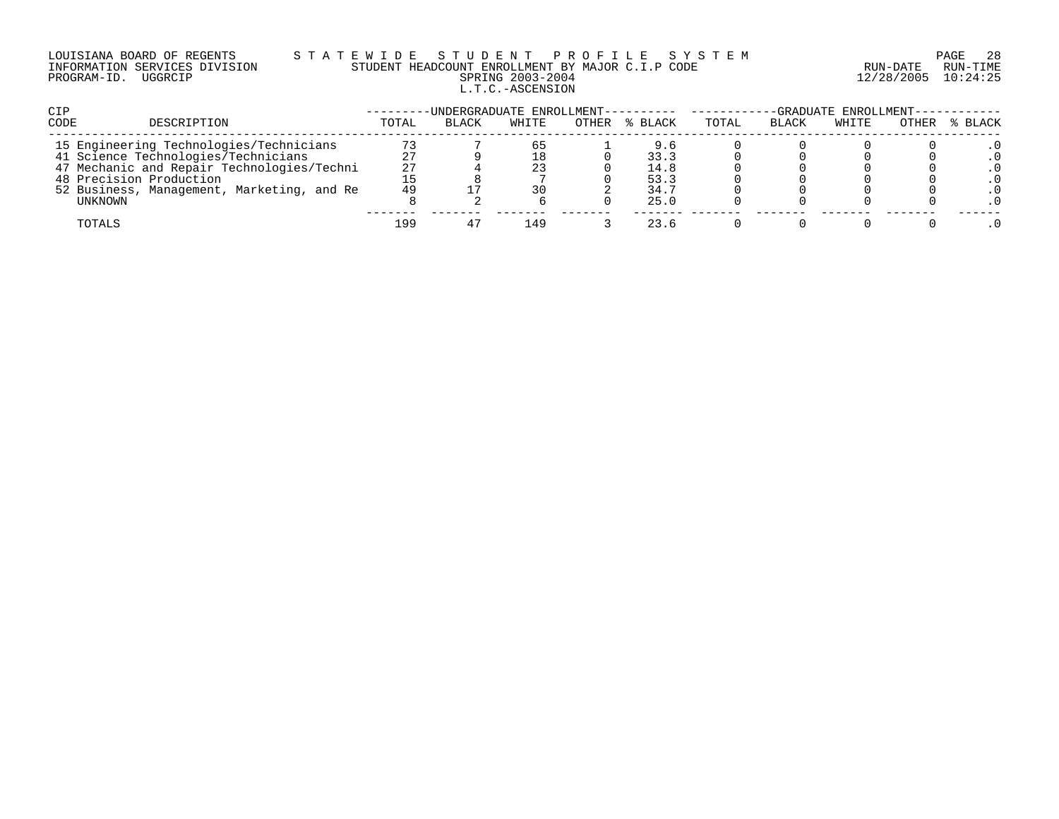# LOUISIANA BOARD OF REGENTS S T A T E W I D E S T U D E N T P R O F I L E S Y S T E M PAGE 28 INFORMATION SERVICES DIVISION STUDENT HEADCOUNT ENROLLMENT BY MAJOR C.I.P CODE RUN-DATE RUN-TIME PROGRAM-ID. UGGRCIP SPRING 2003-2004 12/28/2005 10:24:25 L.T.C.-ASCENSION

| CIP                                        |       | -UNDERGRADUATE ENROLLMENT---------- |       |       |         | -GRADUATE ENROLLMENT----------- |              |       |       |         |
|--------------------------------------------|-------|-------------------------------------|-------|-------|---------|---------------------------------|--------------|-------|-------|---------|
| CODE<br>DESCRIPTION                        | TOTAL | <b>BLACK</b>                        | WHITE | OTHER | % BLACK | TOTAL                           | <b>BLACK</b> | WHITE | OTHER | % BLACK |
| 15 Engineering Technologies/Technicians    |       |                                     | 65    |       | 9.6     |                                 |              |       |       |         |
| 41 Science Technologies/Technicians        | 27    |                                     |       |       | 33.3    |                                 |              |       |       |         |
| 47 Mechanic and Repair Technologies/Techni | 27    |                                     | 23    |       | 14.8    |                                 |              |       |       |         |
| 48 Precision Production                    |       |                                     |       |       | 53.3    |                                 |              |       |       |         |
| 52 Business, Management, Marketing, and Re | 49    |                                     | 30    |       | 34.7    |                                 |              |       |       |         |
| UNKNOWN                                    |       |                                     |       |       | 25.0    |                                 |              |       |       |         |
| TOTALS                                     | 199   |                                     | 149   |       | 23.6    |                                 |              |       |       |         |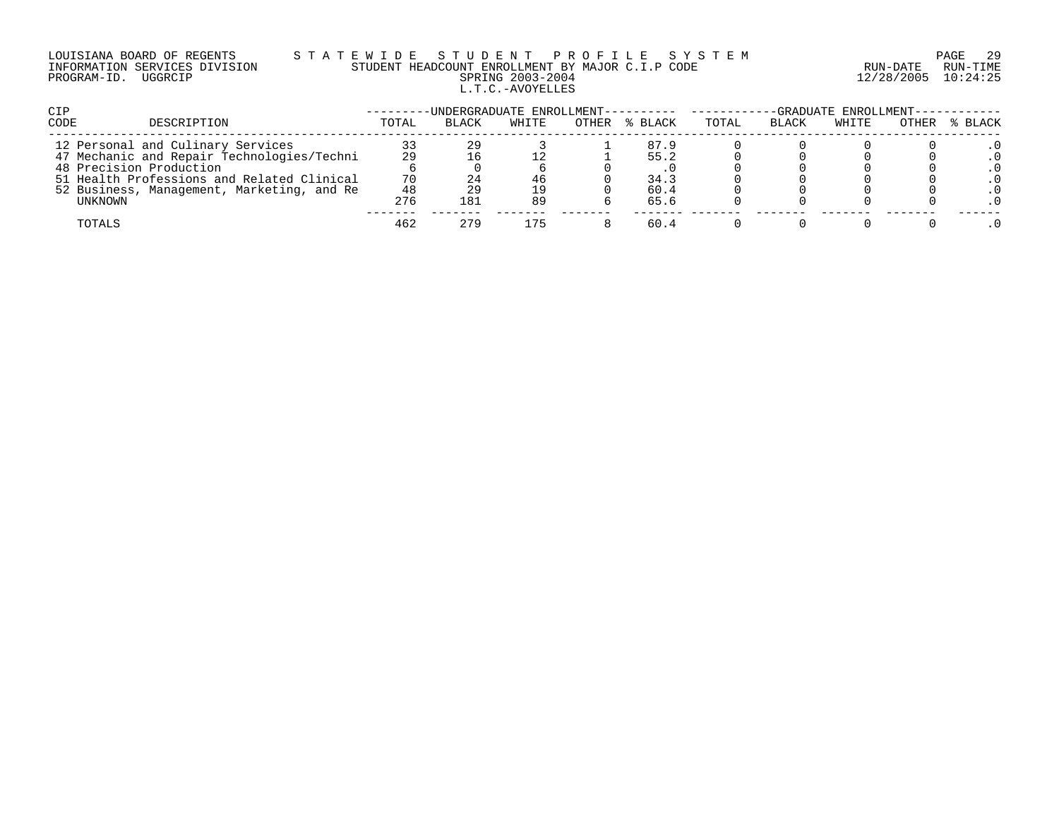# LOUISIANA BOARD OF REGENTS S T A T E W I D E S T U D E N T P R O F I L E S Y S T E M PAGE 29 INFORMATION SERVICES DIVISION STUDENT HEADCOUNT ENROLLMENT BY MAJOR C.I.P CODE RUN-DATE RUN-TIME PROGRAM-ID. UGGRCIP SPRING 2003-2004 12/28/2005 10:24:25 L.T.C.-AVOYELLES

| <b>CIP</b>                                 |       | -UNDERGRADUATE ENROLLMENT---------- |       |       |         | -GRADUATE ENROLLMENT--- |              |       |       |         |
|--------------------------------------------|-------|-------------------------------------|-------|-------|---------|-------------------------|--------------|-------|-------|---------|
| <b>CODE</b><br>DESCRIPTION                 | TOTAL | BLACK                               | WHITE | OTHER | % BLACK | TOTAL                   | <b>BLACK</b> | WHITE | OTHER | % BLACK |
| 12 Personal and Culinary Services          |       | 29                                  |       |       | 87.9    |                         |              |       |       |         |
| 47 Mechanic and Repair Technologies/Techni | 29    |                                     |       |       | 55.2    |                         |              |       |       |         |
| 48 Precision Production                    |       |                                     |       |       |         |                         |              |       |       |         |
| 51 Health Professions and Related Clinical | 70    |                                     | 46    |       | 34.3    |                         |              |       |       |         |
| 52 Business, Management, Marketing, and Re | 48    |                                     | 19    |       | 60.4    |                         |              |       |       |         |
| UNKNOWN                                    | 276   | 181                                 | 89    |       | 65.6    |                         |              |       |       |         |
| TOTALS                                     | 462   | 279                                 | 175   |       | 60.4    |                         |              |       |       |         |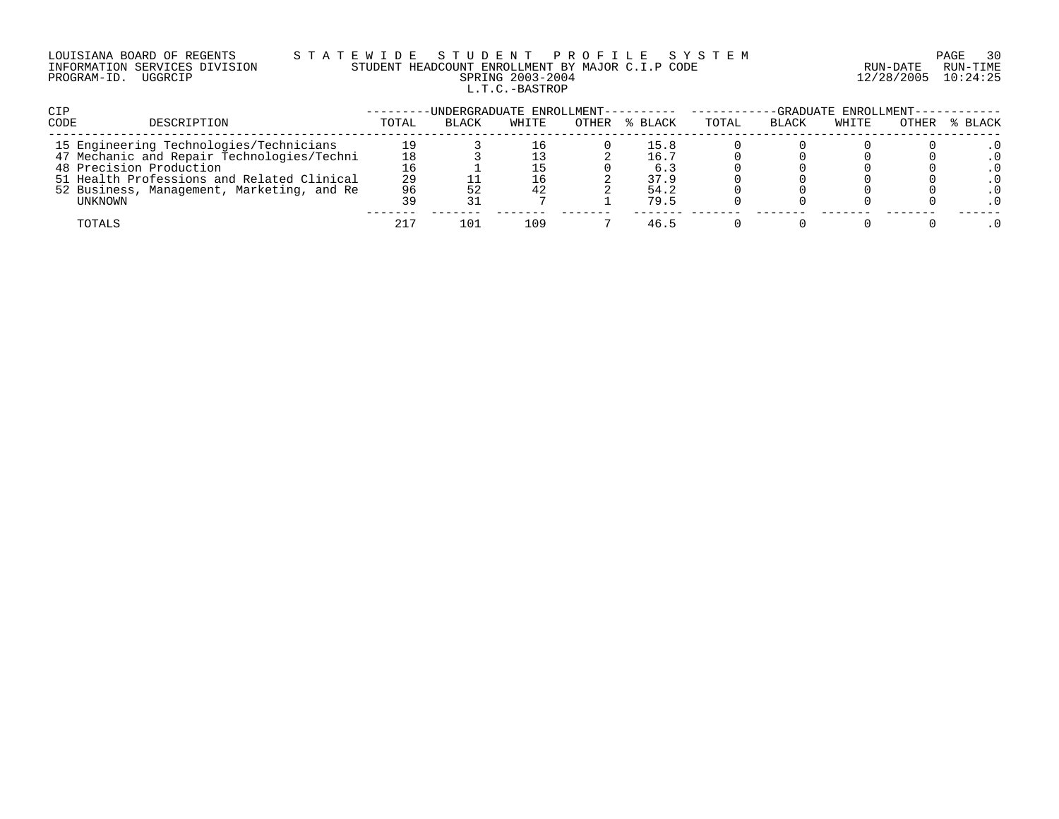# LOUISIANA BOARD OF REGENTS S T A T E W I D E S T U D E N T P R O F I L E S Y S T E M PAGE 30 INFORMATION SERVICES DIVISION STUDENT HEADCOUNT ENROLLMENT BY MAJOR C.I.P CODE RUN-DATE RUN-TIME PROGRAM-ID. UGGRCIP SPRING 2003-2004 12/28/2005 10:24:25 L.T.C.-BASTROP

| CIP                                        |       | -UNDERGRADUATE ENROLLMENT---------- ------ |       |       |         | -GRADUATE ENROLLMENT----------- |              |       |       |         |
|--------------------------------------------|-------|--------------------------------------------|-------|-------|---------|---------------------------------|--------------|-------|-------|---------|
| <b>CODE</b><br>DESCRIPTION                 | TOTAL | <b>BLACK</b>                               | WHITE | OTHER | % BLACK | TOTAL                           | <b>BLACK</b> | WHITE | OTHER | % BLACK |
| 15 Engineering Technologies/Technicians    |       |                                            | 16    |       | 15.8    |                                 |              |       |       |         |
| 47 Mechanic and Repair Technologies/Techni | 18    |                                            |       |       | 16.7    |                                 |              |       |       |         |
| 48 Precision Production                    | 16    |                                            |       |       | 6.3     |                                 |              |       |       |         |
| 51 Health Professions and Related Clinical | 29    |                                            | 16    |       | 37.9    |                                 |              |       |       |         |
| 52 Business, Management, Marketing, and Re | 96    |                                            | 42    |       | 54.2    |                                 |              |       |       |         |
| UNKNOWN                                    | 39    |                                            |       |       | 79.5    |                                 |              |       |       |         |
| TOTALS                                     | 217   | 101                                        | 109   |       | 46.5    |                                 |              |       |       |         |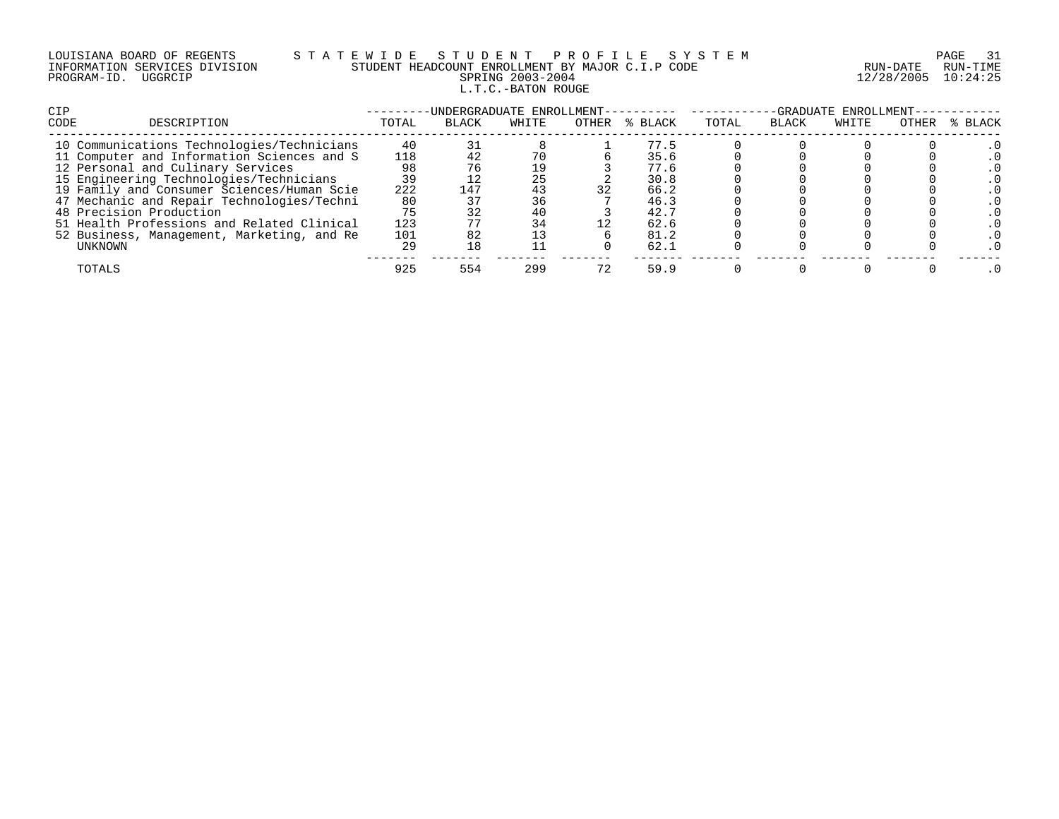| LOUISIANA BOARD OF REGENTS    |         |  |
|-------------------------------|---------|--|
| INFORMATION SERVICES DIVISION |         |  |
| PROGRAM-ID.                   | UGGRCIP |  |

# S T A T E W I D E S T U D E N T P R O F I L E S Y S T E M PAGE 31 PAGE 31 STUDENT HEADCOUNT ENROLLMENT BY MAJOR C.I.P CODE STUDENT HEADCOUNT ENROLLMENT BY MAJOR C.I.P CODE PRING 2003-2004 12/28/2005 10:24:25 L.T.C.-BATON ROUGE

| <b>CIP</b>                                 |       | -UNDERGRADUATE ENROLLMENT- |       |       |         | -GRADUATE ENROLLMENT- |              |       |       |         |  |
|--------------------------------------------|-------|----------------------------|-------|-------|---------|-----------------------|--------------|-------|-------|---------|--|
| CODE<br>DESCRIPTION                        | TOTAL | <b>BLACK</b>               | WHITE | OTHER | % BLACK | TOTAL                 | <b>BLACK</b> | WHITE | OTHER | % BLACK |  |
| 10 Communications Technologies/Technicians | 40    |                            |       |       | 77.5    |                       |              |       |       |         |  |
| 11 Computer and Information Sciences and S | 118   |                            | 70    |       | 35.6    |                       |              |       |       |         |  |
| 12 Personal and Culinary Services          | 98    |                            | 19    |       | 77.6    |                       |              |       |       |         |  |
| 15 Engineering Technologies/Technicians    | 39    |                            | 25    |       | 30.8    |                       |              |       |       |         |  |
| 19 Family and Consumer Sciences/Human Scie | 222   | 147                        | 43    | 32    | 66.2    |                       |              |       |       |         |  |
| 47 Mechanic and Repair Technologies/Techni | 80    |                            | 36    |       | 46.3    |                       |              |       |       |         |  |
| 48 Precision Production                    | 75    |                            | 40    |       | 42.7    |                       |              |       |       |         |  |
| 51 Health Professions and Related Clinical | 123   |                            | 34    |       | 62.6    |                       |              |       |       |         |  |
| 52 Business, Management, Marketing, and Re | 101   |                            |       |       | 81.2    |                       |              |       |       |         |  |
| UNKNOWN                                    | 29    | 18                         |       |       | 62.1    |                       |              |       |       |         |  |
| TOTALS                                     | 925   | 554                        | 299   |       | 59.9    |                       |              |       |       |         |  |
|                                            |       |                            |       |       |         |                       |              |       |       |         |  |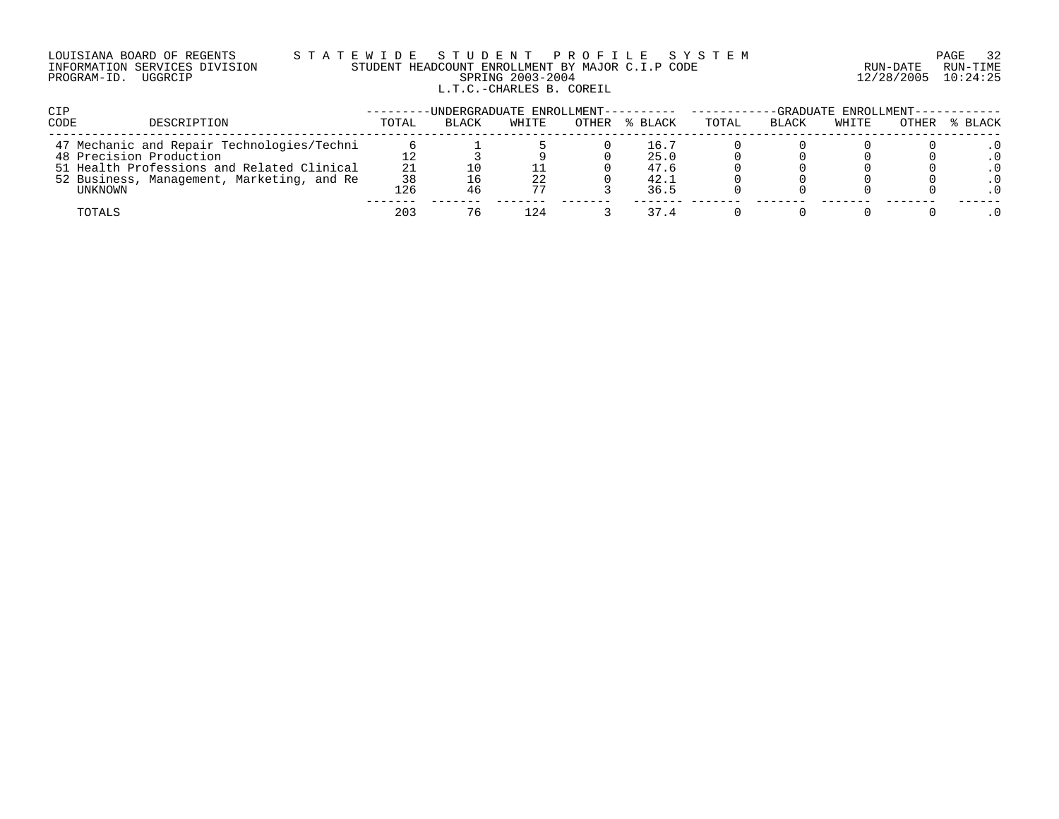# LOUISIANA BOARD OF REGENTS S T A T E W I D E S T U D E N T P R O F I L E S Y S T E M PAGE 32 INFORMATION SERVICES DIVISION STUDENT HEADCOUNT ENROLLMENT BY MAJOR C.I.P CODE RUN-DATE RUN-TIME PROGRAM-ID. UGGRCIP SPRING 2003-2004 12/28/2005 10:24:25 L.T.C.-CHARLES B. COREIL

| <b>CIP</b>                                 |       |              | -UNDERGRADUATE ENROLLMENT---------- |       |         | -GRADUATE ENROLLMENT--------- |              |       |       |         |
|--------------------------------------------|-------|--------------|-------------------------------------|-------|---------|-------------------------------|--------------|-------|-------|---------|
| <b>CODE</b><br>DESCRIPTION                 | TOTAL | <b>BLACK</b> | WHITE                               | OTHER | % BLACK | TOTAL                         | <b>BLACK</b> | WHITE | OTHER | % BLACK |
| 47 Mechanic and Repair Technologies/Techni |       |              |                                     |       | 16.7    |                               |              |       |       |         |
| 48 Precision Production                    |       |              |                                     |       | 25.0    |                               |              |       |       |         |
| 51 Health Professions and Related Clinical | 21    |              |                                     |       | 47.6    |                               |              |       |       |         |
| 52 Business, Management, Marketing, and Re | 38    |              | 22                                  |       | 42.1    |                               |              |       |       |         |
| UNKNOWN                                    | 126   |              | 77                                  |       | 36.5    |                               |              |       |       |         |
| TOTALS                                     | 203   | 76           | 124                                 |       | 37.4    |                               |              |       |       |         |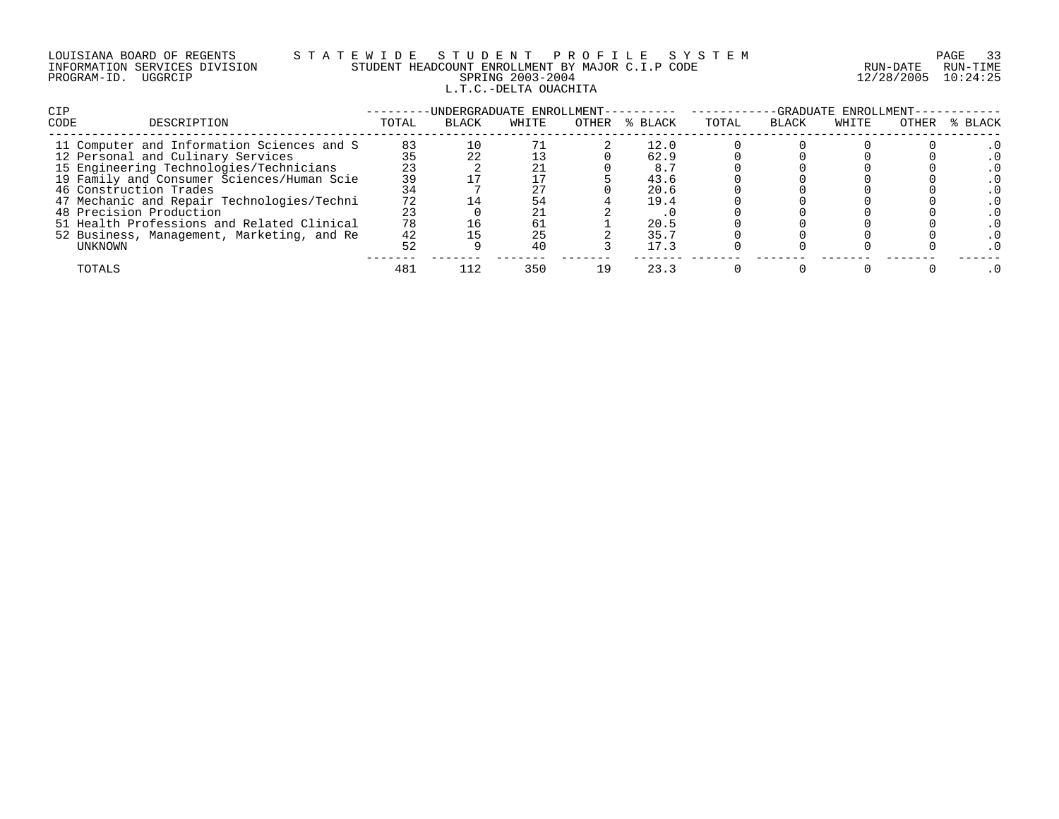|             | LOUISIANA BOARD OF REGENTS    |  |
|-------------|-------------------------------|--|
|             | INFORMATION SERVICES DIVISION |  |
| PROGRAM-ID. | UGGRCIP                       |  |

# S T A T E W I D E S T U D E N T P R O F I L E S Y S T E M PAGE 33 STUDENT HEADCOUNT ENROLLMENT BY MAJOR C.I.P CODE STUDENT HEADCOUNT ENROLLMENT BY MAJOR C.I.P CODE PRING 2003-2004 12/28/2005 10:24:25 L.T.C.-DELTA OUACHITA

| <b>CIP</b>                                 |       | -UNDERGRADUATE ENROLLMENT- |       |       |         | -GRADUATE ENROLLMENT- |              |       |       |         |  |
|--------------------------------------------|-------|----------------------------|-------|-------|---------|-----------------------|--------------|-------|-------|---------|--|
| CODE<br>DESCRIPTION                        | TOTAL | <b>BLACK</b>               | WHITE | OTHER | % BLACK | TOTAL                 | <b>BLACK</b> | WHITE | OTHER | % BLACK |  |
| 11 Computer and Information Sciences and S | 83    |                            |       |       | 12.0    |                       |              |       |       |         |  |
| 12 Personal and Culinary Services          |       |                            |       |       | 62.9    |                       |              |       |       |         |  |
| 15 Engineering Technologies/Technicians    | 23    |                            |       |       | 8.5     |                       |              |       |       |         |  |
| 19 Family and Consumer Sciences/Human Scie | 39    |                            |       |       | 43.6    |                       |              |       |       |         |  |
| 46 Construction Trades                     |       |                            |       |       | 20.6    |                       |              |       |       |         |  |
| 47 Mechanic and Repair Technologies/Techni | 72    |                            | 54    |       | 19.4    |                       |              |       |       |         |  |
| 48 Precision Production                    | 23    |                            | 21    |       |         |                       |              |       |       |         |  |
| 51 Health Professions and Related Clinical | 78    |                            | 61    |       | 20.5    |                       |              |       |       |         |  |
| 52 Business, Management, Marketing, and Re | 42    |                            | 25    |       | 35.7    |                       |              |       |       |         |  |
| UNKNOWN                                    | 52    |                            | 40    |       | 17.3    |                       |              |       |       |         |  |
| TOTALS                                     | 481   |                            | 350   |       | 23.3    |                       |              |       |       |         |  |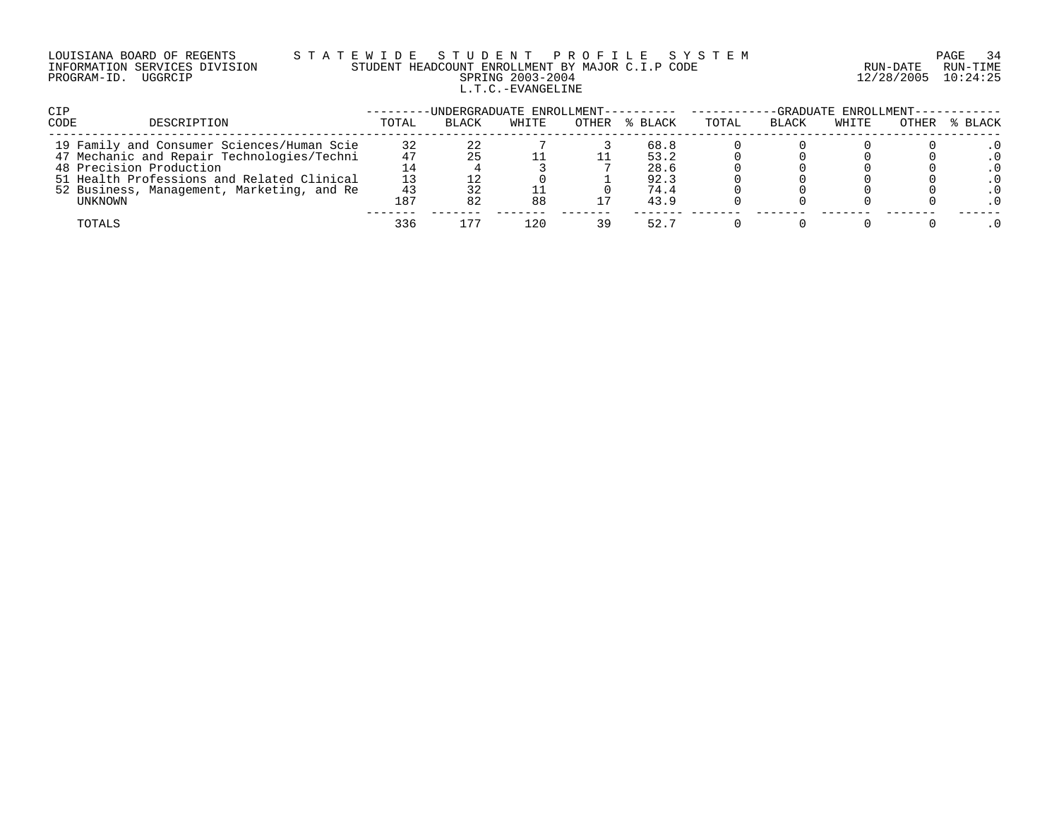# LOUISIANA BOARD OF REGENTS S T A T E W I D E S T U D E N T P R O F I L E S Y S T E M PAGE 34 INFORMATION SERVICES DIVISION STUDENT HEADCOUNT ENROLLMENT BY MAJOR C.I.P CODE RUN-DATE RUN-TIME PROGRAM-ID. UGGRCIP SPRING 2003-2004 12/28/2005 10:24:25 L.T.C.-EVANGELINE

| <b>CIP</b>                                 |       | -UNDERGRADUATE ENROLLMENT---------- |       |       |         | -GRADUATE ENROLLMENT-- |              |       |       |         |
|--------------------------------------------|-------|-------------------------------------|-------|-------|---------|------------------------|--------------|-------|-------|---------|
| <b>CODE</b><br>DESCRIPTION                 | TOTAL | <b>BLACK</b>                        | WHITE | OTHER | % BLACK | TOTAL                  | <b>BLACK</b> | WHITE | OTHER | % BLACK |
| 19 Family and Consumer Sciences/Human Scie | 32    |                                     |       |       | 68.8    |                        |              |       |       |         |
| 47 Mechanic and Repair Technologies/Techni | 47    |                                     |       |       | 53.2    |                        |              |       |       |         |
| 48 Precision Production                    |       |                                     |       |       | 28.6    |                        |              |       |       |         |
| 51 Health Professions and Related Clinical |       |                                     |       |       | 92.3    |                        |              |       |       |         |
| 52 Business, Management, Marketing, and Re | 43    |                                     |       |       | 74.4    |                        |              |       |       |         |
| UNKNOWN                                    | 187   | 82                                  | 88    |       | 43.9    |                        |              |       |       |         |
| TOTALS                                     | 336   |                                     | 120   | 39    | 52.7    |                        |              |       |       |         |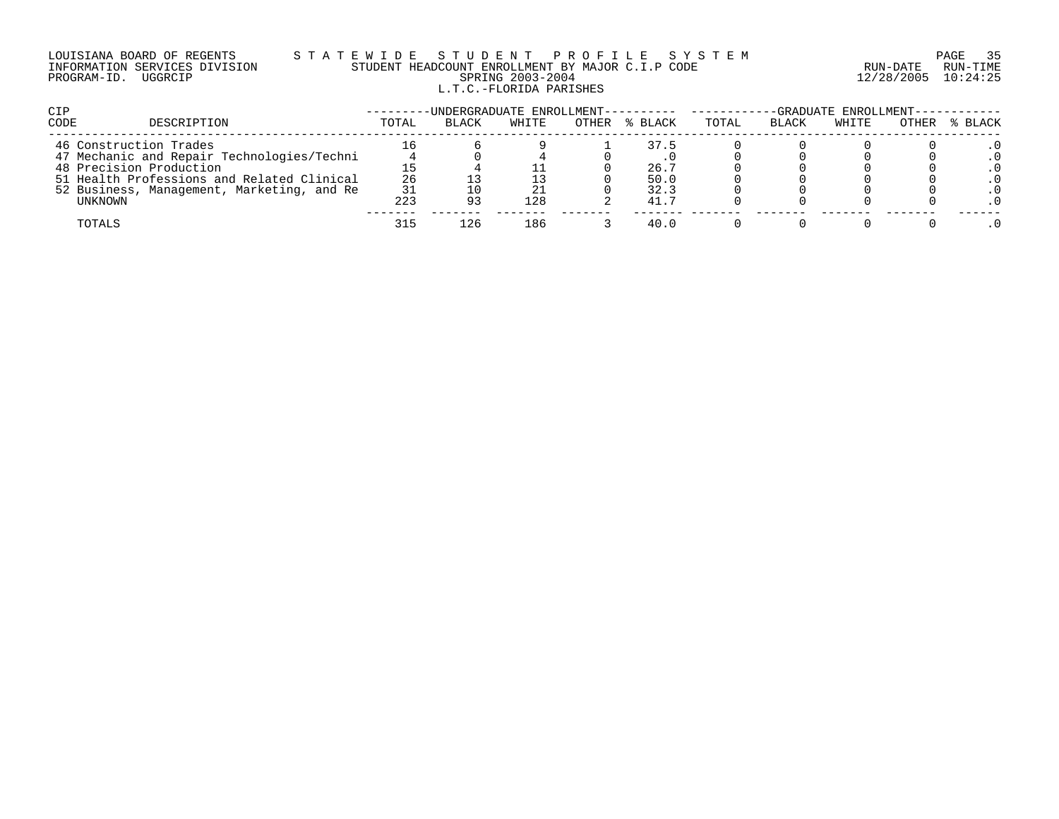# LOUISIANA BOARD OF REGENTS S T A T E W I D E S T U D E N T P R O F I L E S Y S T E M PAGE 35 INFORMATION SERVICES DIVISION STUDENT HEADCOUNT ENROLLMENT BY MAJOR C.I.P CODE RUN-DATE RUN-TIME PROGRAM-ID. UGGRCIP SPRING 2003-2004 12/28/2005 10:24:25 L.T.C.-FLORIDA PARISHES

| <b>CIP</b> |                                            |       | -UNDERGRADUATE ENROLLMENT---------- ------ |       |       |         | -GRADUATE ENROLLMENT----------- |              |       |       |         |
|------------|--------------------------------------------|-------|--------------------------------------------|-------|-------|---------|---------------------------------|--------------|-------|-------|---------|
| CODE       | DESCRIPTION                                | TOTAL | <b>BLACK</b>                               | WHITE | OTHER | % BLACK | TOTAL                           | <b>BLACK</b> | WHITE | OTHER | % BLACK |
|            | 46 Construction Trades                     |       |                                            |       |       | 37.5    |                                 |              |       |       |         |
|            | 47 Mechanic and Repair Technologies/Techni |       |                                            |       |       |         |                                 |              |       |       |         |
|            | 48 Precision Production                    |       |                                            |       |       | 26.7    |                                 |              |       |       |         |
|            | 51 Health Professions and Related Clinical | 26    |                                            |       |       | 50.0    |                                 |              |       |       |         |
|            | 52 Business, Management, Marketing, and Re | 31    |                                            |       |       | 32.3    |                                 |              |       |       |         |
|            | UNKNOWN                                    | 223   | 93                                         | 128   |       | 41.7    |                                 |              |       |       |         |
|            | TOTALS                                     | 315   | 126                                        | 186   |       | 40.0    |                                 |              |       |       |         |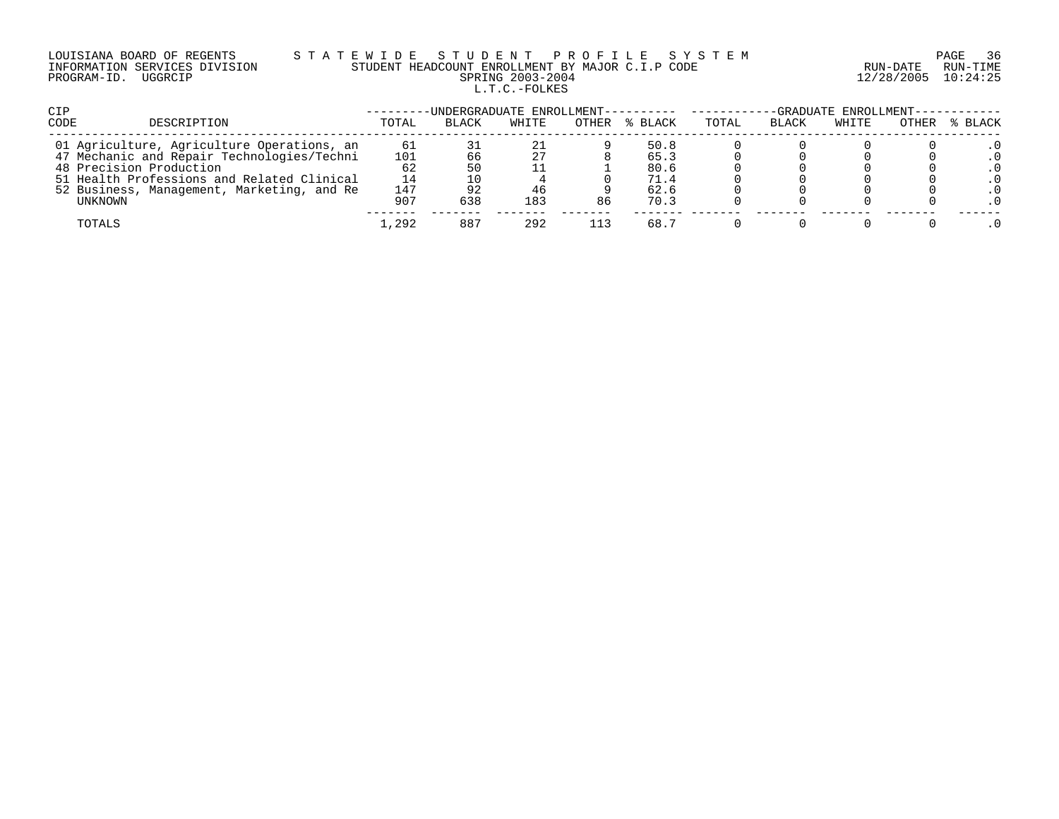# LOUISIANA BOARD OF REGENTS S T A T E W I D E S T U D E N T P R O F I L E S Y S T E M PAGE 36 INFORMATION SERVICES DIVISION STUDENT HEADCOUNT ENROLLMENT BY MAJOR C.I.P CODE RUN-DATE RUN-TIME PROGRAM-ID. UGGRCIP SPRING 2003-2004 12/28/2005 10:24:25 L.T.C.-FOLKES

| CIP                                                                                      |           | -UNDERGRADUATE ENROLLMENT---------- |          |       |              | -GRADUATE ENROLLMENT----------- |              |       |       |         |
|------------------------------------------------------------------------------------------|-----------|-------------------------------------|----------|-------|--------------|---------------------------------|--------------|-------|-------|---------|
| CODE<br>DESCRIPTION                                                                      | TOTAL     | BLACK                               | WHITE    | OTHER | % BLACK      | TOTAL                           | <b>BLACK</b> | WHITE | OTHER | % BLACK |
| 01 Agriculture, Agriculture Operations, an<br>47 Mechanic and Repair Technologies/Techni | 61<br>101 | 66                                  | 21<br>27 |       | 50.8<br>65.3 |                                 |              |       |       |         |
| 48 Precision Production                                                                  | 62        | 50                                  |          |       | 80.6         |                                 |              |       |       |         |
| 51 Health Professions and Related Clinical<br>52 Business, Management, Marketing, and Re | 14<br>147 |                                     | 46       |       | 71.4<br>62.6 |                                 |              |       |       |         |
| UNKNOWN                                                                                  | 907       | 638                                 | 183      | 86    | 70.3         |                                 |              |       |       |         |
| TOTALS                                                                                   | 1,292     | 887                                 | 292      |       | 68.7         |                                 |              |       |       |         |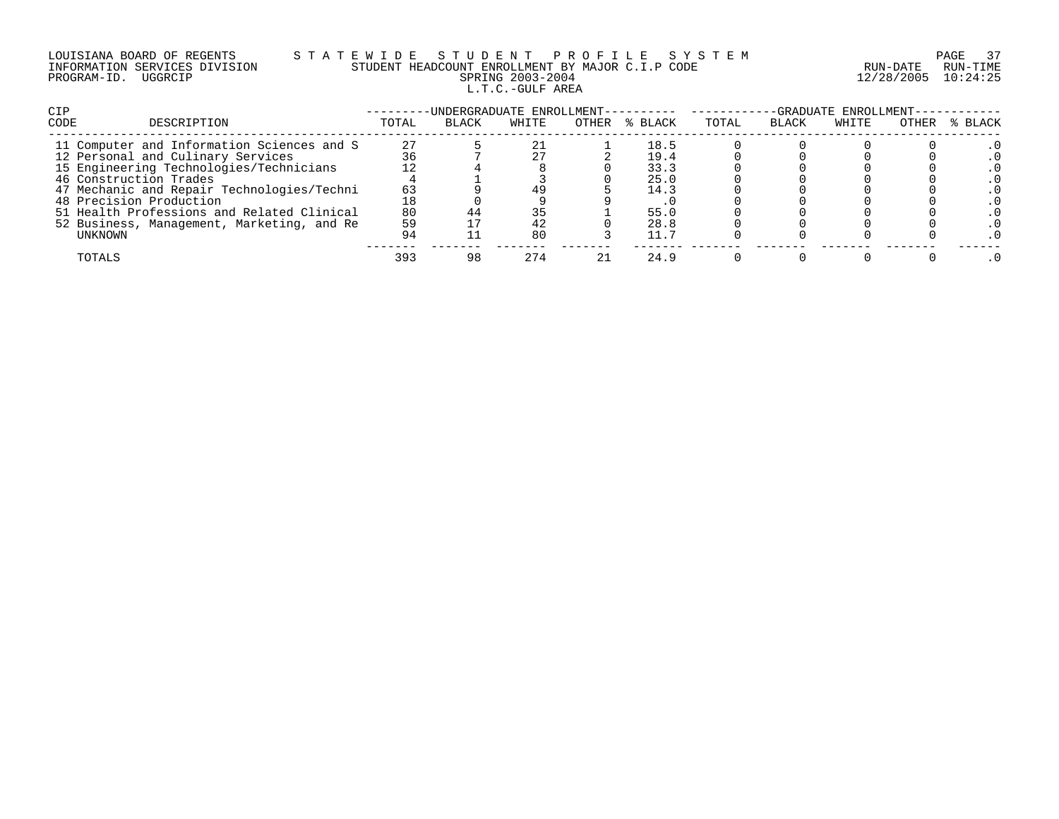|                     | LOUISIANA BOARD OF REGENTS    |  |
|---------------------|-------------------------------|--|
|                     | INFORMATION SERVICES DIVISION |  |
| PROGRAM-ID. UGGRCIP |                               |  |

# LOUISIANA BOARD OF REGENTS S T A T E W I D E S T U D E N T P R O F I L E S Y S T E M PAGE 37 INFORMATION SERVICES DIVISION STUDENT HEADCOUNT ENROLLMENT BY MAJOR C.I.P CODE RUN-DATE RUN-TIME PRING 2003-2004 12/28/2005 10:24:25 L.T.C.-GULF AREA

| <b>CIP</b>                                 | -GRADUATE ENROLLMENT-<br>UNDERGRADUATE ENROLLMENT---------- |              |       |  |               |       |              |       |       |         |  |  |
|--------------------------------------------|-------------------------------------------------------------|--------------|-------|--|---------------|-------|--------------|-------|-------|---------|--|--|
| CODE<br>DESCRIPTION                        | TOTAL                                                       | <b>BLACK</b> | WHITE |  | OTHER % BLACK | TOTAL | <b>BLACK</b> | WHITE | OTHER | % BLACK |  |  |
| 11 Computer and Information Sciences and S | 27                                                          |              |       |  | 18.5          |       |              |       |       |         |  |  |
| 12 Personal and Culinary Services          | 36                                                          |              |       |  | 19.4          |       |              |       |       |         |  |  |
| 15 Engineering Technologies/Technicians    |                                                             |              |       |  | 33.3          |       |              |       |       |         |  |  |
| 46 Construction Trades                     |                                                             |              |       |  | 25.0          |       |              |       |       |         |  |  |
| 47 Mechanic and Repair Technologies/Techni | 63                                                          |              | 49    |  | 14.3          |       |              |       |       |         |  |  |
| 48 Precision Production                    |                                                             |              |       |  |               |       |              |       |       |         |  |  |
| 51 Health Professions and Related Clinical | 80                                                          |              | 35    |  | 55.0          |       |              |       |       |         |  |  |
| 52 Business, Management, Marketing, and Re | 59                                                          |              | 42    |  | 28.8          |       |              |       |       |         |  |  |
| UNKNOWN                                    | 94                                                          |              | 80    |  | 11.7          |       |              |       |       |         |  |  |
| TOTALS                                     | 393                                                         | 98           | 274   |  | 24.9          |       |              |       |       |         |  |  |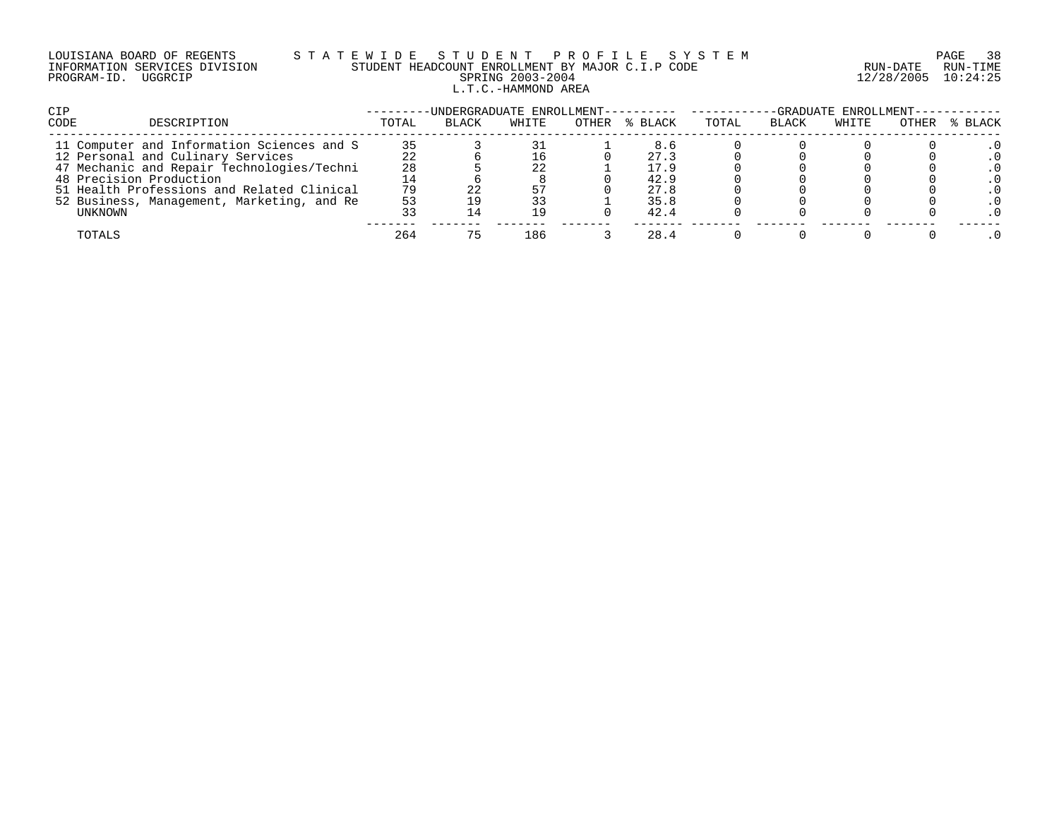# LOUISIANA BOARD OF REGENTS S T A T E W I D E S T U D E N T P R O F I L E S Y S T E M PAGE 38 INFORMATION SERVICES DIVISION STUDENT HEADCOUNT ENROLLMENT BY MAJOR C.I.P CODE RUN-DATE RUN-TIME PROGRAM-ID. UGGRCIP SPRING 2003-2004 12/28/2005 10:24:25 L.T.C.-HAMMOND AREA

| <b>CIP</b>                                 |       | -UNDERGRADUATE ENROLLMENT---------- ------ |       |               |       |              | -GRADUATE ENROLLMENT--- |       |         |
|--------------------------------------------|-------|--------------------------------------------|-------|---------------|-------|--------------|-------------------------|-------|---------|
| CODE<br>DESCRIPTION                        | TOTAL | BLACK                                      | WHITE | OTHER % BLACK | TOTAL | <b>BLACK</b> | WHITE                   | OTHER | % BLACK |
| 11 Computer and Information Sciences and S | 35    |                                            |       | 8.6           |       |              |                         |       |         |
| 12 Personal and Culinary Services          | 22    |                                            |       | 27.3          |       |              |                         |       |         |
| 47 Mechanic and Repair Technologies/Techni | 28    |                                            | 22    | 17.9          |       |              |                         |       |         |
| 48 Precision Production                    |       |                                            |       | 42.9          |       |              |                         |       |         |
| 51 Health Professions and Related Clinical | 79    |                                            |       | 27.8          |       |              |                         |       |         |
| 52 Business, Management, Marketing, and Re | 53    |                                            | 33    | 35.8          |       |              |                         |       |         |
| UNKNOWN                                    |       |                                            | 19    | 42.4          |       |              |                         |       |         |
| TOTALS                                     | 264   |                                            | 186   | 28.4          |       |              |                         |       |         |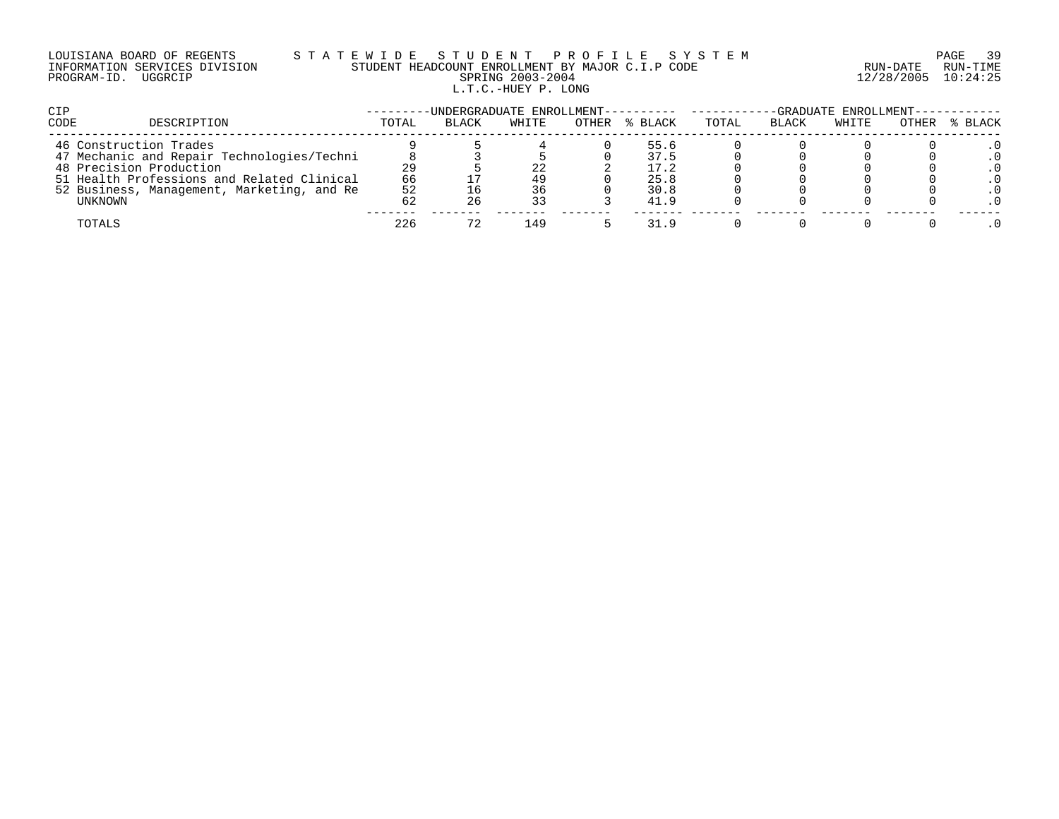# LOUISIANA BOARD OF REGENTS S T A T E W I D E S T U D E N T P R O F I L E S Y S T E M PAGE 39 INFORMATION SERVICES DIVISION STUDENT HEADCOUNT ENROLLMENT BY MAJOR C.I.P CODE RUN-DATE RUN-TIME PROGRAM-ID. UGGRCIP SPRING 2003-2004 12/28/2005 10:24:25 L.T.C.-HUEY P. LONG

| <b>CIP</b>                                 |       | -UNDERGRADUATE ENROLLMENT---------- ------ |       |       |         |       |              | -GRADUATE ENROLLMENT----------- |       |         |
|--------------------------------------------|-------|--------------------------------------------|-------|-------|---------|-------|--------------|---------------------------------|-------|---------|
| CODE<br>DESCRIPTION                        | TOTAL | <b>BLACK</b>                               | WHITE | OTHER | % BLACK | TOTAL | <b>BLACK</b> | WHITE                           | OTHER | % BLACK |
| 46 Construction Trades                     |       |                                            |       |       | 55.6    |       |              |                                 |       |         |
| 47 Mechanic and Repair Technologies/Techni |       |                                            |       |       | 37.5    |       |              |                                 |       |         |
| 48 Precision Production                    | 29    |                                            | 22    |       | 17.2    |       |              |                                 |       |         |
| 51 Health Professions and Related Clinical | 66    |                                            | 49    |       | 25.8    |       |              |                                 |       |         |
| 52 Business, Management, Marketing, and Re | 52    |                                            | 36    |       | 30.8    |       |              |                                 |       |         |
| UNKNOWN                                    | 62    | 26                                         | 33    |       | 41.9    |       |              |                                 |       |         |
| TOTALS                                     | 226   |                                            | 149   |       | 31.9    |       |              |                                 |       |         |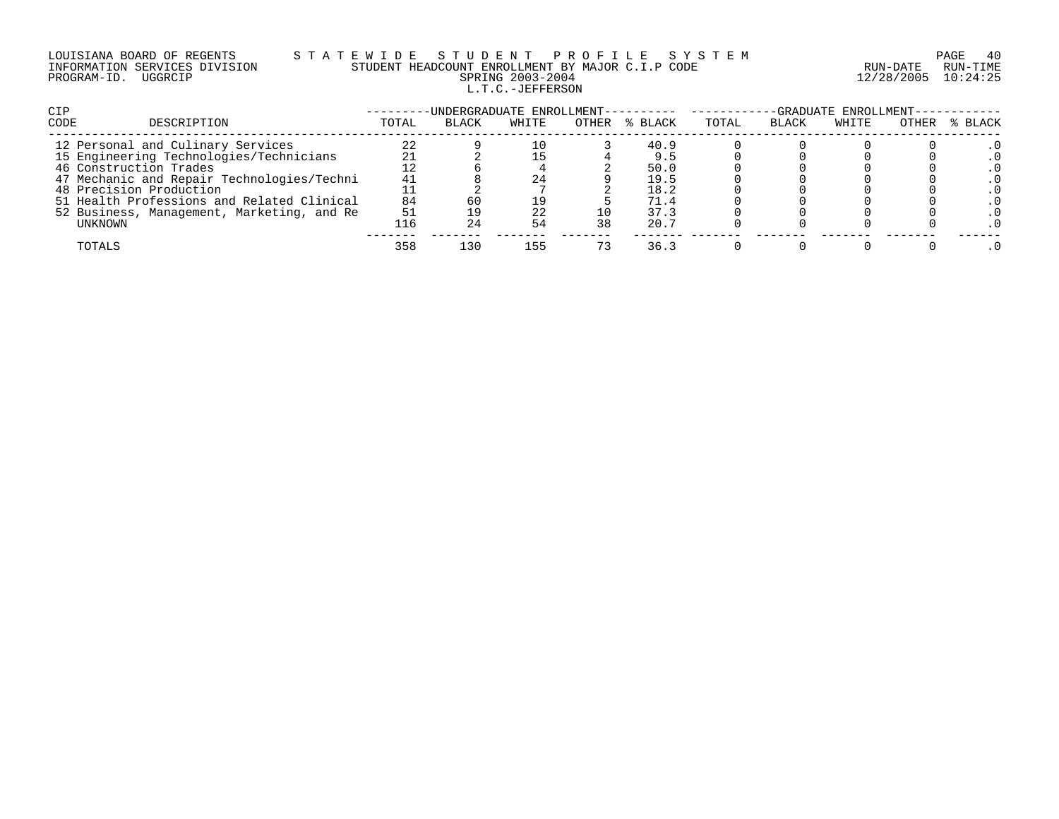# LOUISIANA BOARD OF REGENTS S T A T E W I D E S T U D E N T P R O F I L E S Y S T E M PAGE 40 INFORMATION SERVICES DIVISION STUDENT HEADCOUNT ENROLLMENT BY MAJOR C.I.P CODE RUN-DATE RUN-TIME PROGRAM-ID. UGGRCIP SPRING 2003-2004 12/28/2005 10:24:25 L.T.C.-JEFFERSON

| <b>CIP</b>                                 |       | -UNDERGRADUATE ENROLLMENT- |       |       |         |       |              | -GRADUATE ENROLLMENT- |       |         |
|--------------------------------------------|-------|----------------------------|-------|-------|---------|-------|--------------|-----------------------|-------|---------|
| CODE<br>DESCRIPTION                        | TOTAL | <b>BLACK</b>               | WHITE | OTHER | % BLACK | TOTAL | <b>BLACK</b> | WHITE                 | OTHER | % BLACK |
| 12 Personal and Culinary Services          | 22    |                            | 10    |       | 40.9    |       |              |                       |       |         |
| 15 Engineering Technologies/Technicians    |       |                            |       |       | 9.5     |       |              |                       |       |         |
| 46 Construction Trades                     |       |                            |       |       | 50.0    |       |              |                       |       |         |
| 47 Mechanic and Repair Technologies/Techni | 41    |                            | 24    |       | 19.5    |       |              |                       |       |         |
| 48 Precision Production                    |       |                            |       |       | 18.2    |       |              |                       |       |         |
| 51 Health Professions and Related Clinical | 84    |                            | 19    |       | 71.4    |       |              |                       |       |         |
| 52 Business, Management, Marketing, and Re | 51    |                            | 22    |       | 37.3    |       |              |                       |       |         |
| UNKNOWN                                    | 116   | 24                         | 54    | 38    | 20.7    |       |              |                       |       |         |
| TOTALS                                     | 358   | 130                        | 155   |       | 36.3    |       |              |                       |       |         |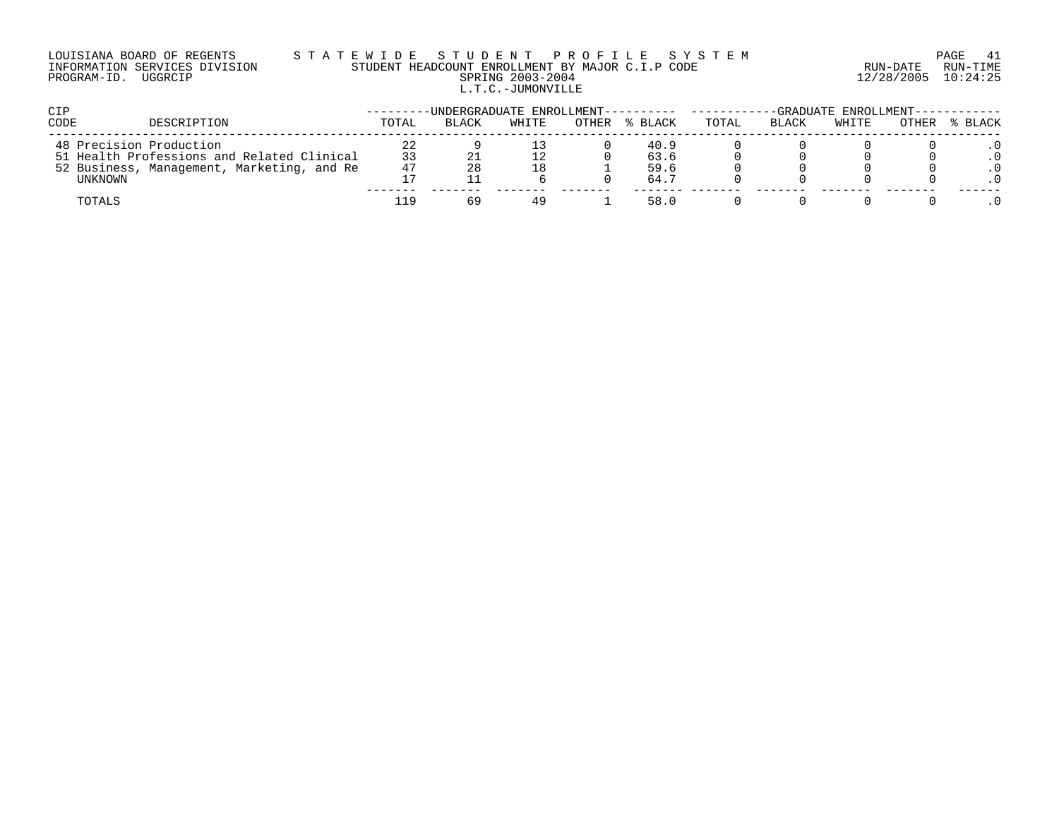#### LOUISIANA BOARD OF REGENTS S T A T E W I D E S T U D E N T P R O F I L E S Y S T E M PAGE 41 INFORMATION SERVICES DIVISION STUDENT HEADCOUNT ENROLLMENT BY MAJOR C.I.P CODE RUN-DATE RUN-TIME PROGRAM-ID. UGGRCIP SPRING 2003-2004 12/28/2005 10:24:25 L.T.C.-JUMONVILLE

| <b>CIP</b>                                                                               |          | -UNDERGRADUATE ENROLLMENT---------- |       |       |              |       |              | -GRADUATE ENROLLMENT--- |       |         |
|------------------------------------------------------------------------------------------|----------|-------------------------------------|-------|-------|--------------|-------|--------------|-------------------------|-------|---------|
| CODE<br>DESCRIPTION                                                                      | TOTAL    | <b>BLACK</b>                        | WHITE | OTHER | % BLACK      | TOTAL | <b>BLACK</b> | WHITE                   | OTHER | % BLACK |
| 48 Precision Production                                                                  | 22       |                                     |       |       | 40.9         |       |              |                         |       |         |
| 51 Health Professions and Related Clinical<br>52 Business, Management, Marketing, and Re | 33<br>47 |                                     | 18    |       | 63.6<br>59.6 |       |              |                         |       |         |
| UNKNOWN                                                                                  | 17       |                                     |       |       | 64.7         |       |              |                         |       |         |
| TOTALS                                                                                   | 1 Q      | 69                                  | 49    |       | 58.0         |       |              |                         |       |         |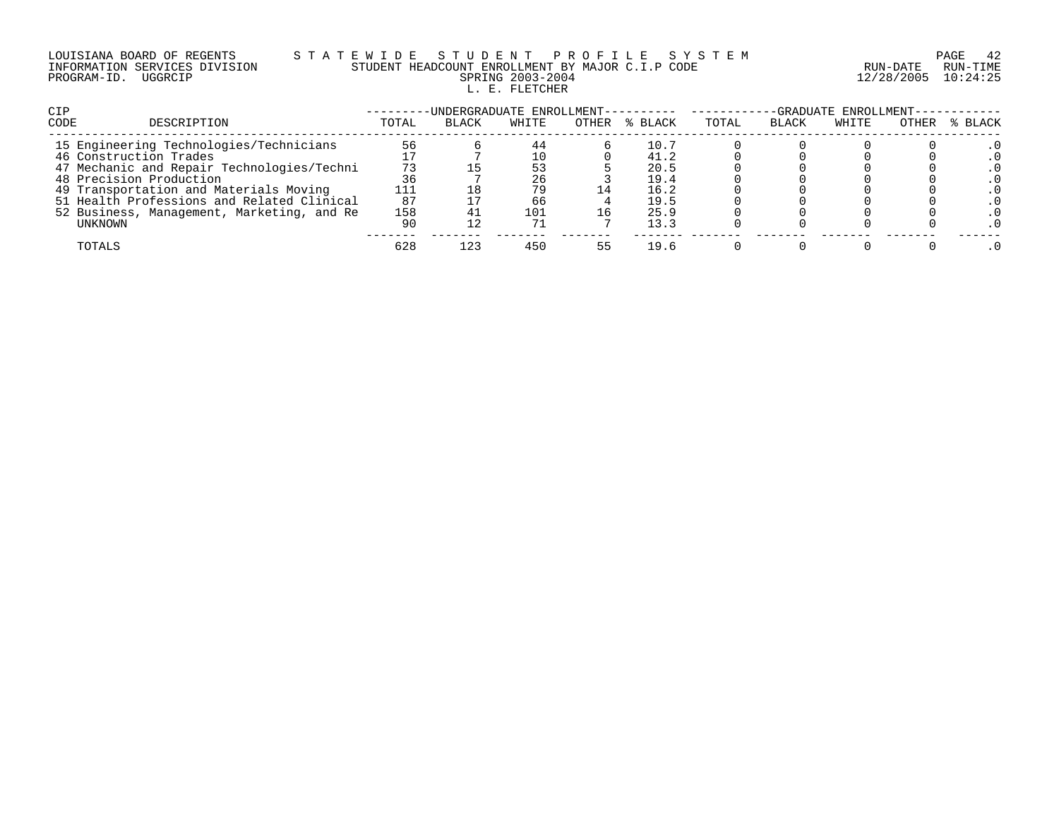| LOUISIANA BOARD OF REGENTS    |         |  |
|-------------------------------|---------|--|
| INFORMATION SERVICES DIVISION |         |  |
| PROGRAM-ID.                   | UGGRCIP |  |

# LOUISIANA BOARD OF REGENTS S T A T E W I D E S T U D E N T P R O F I L E S Y S T E M PAGE 42 INFORMATION SERVICES DIVISION STUDENT HEADCOUNT ENROLLMENT BY MAJOR C.I.P CODE RUN-DATE RUN-TIME PRING 2003-2004 12/28/2005 10:24:25 L. E. FLETCHER

| CIP                                        |       | -UNDERGRADUATE ENROLLMENT- |       |       |         |       |              | -GRADUATE ENROLLMENT- |       |         |
|--------------------------------------------|-------|----------------------------|-------|-------|---------|-------|--------------|-----------------------|-------|---------|
| CODE<br>DESCRIPTION                        | TOTAL | <b>BLACK</b>               | WHITE | OTHER | % BLACK | TOTAL | <b>BLACK</b> | WHITE                 | OTHER | % BLACK |
| 15 Engineering Technologies/Technicians    | 56    |                            | 44    |       | 10.7    |       |              |                       |       |         |
| 46 Construction Trades                     |       |                            |       |       | 41.2    |       |              |                       |       |         |
| 47 Mechanic and Repair Technologies/Techni | 73    |                            | 53    |       | 20.5    |       |              |                       |       |         |
| 48 Precision Production                    | 36    |                            | 26    |       | 19.4    |       |              |                       |       |         |
| 49 Transportation and Materials Moving     |       |                            | 79    | 14    | 16.2    |       |              |                       |       |         |
| 51 Health Professions and Related Clinical | 87    |                            | 66    |       | 19.5    |       |              |                       |       |         |
| 52 Business, Management, Marketing, and Re | 158   |                            | 101   |       | 25.9    |       |              |                       |       |         |
| UNKNOWN                                    | 90    |                            | 71    |       | 13.3    |       |              |                       |       |         |
| TOTALS                                     | 628   | 123                        | 450   | 55    | 19.6    |       |              |                       |       |         |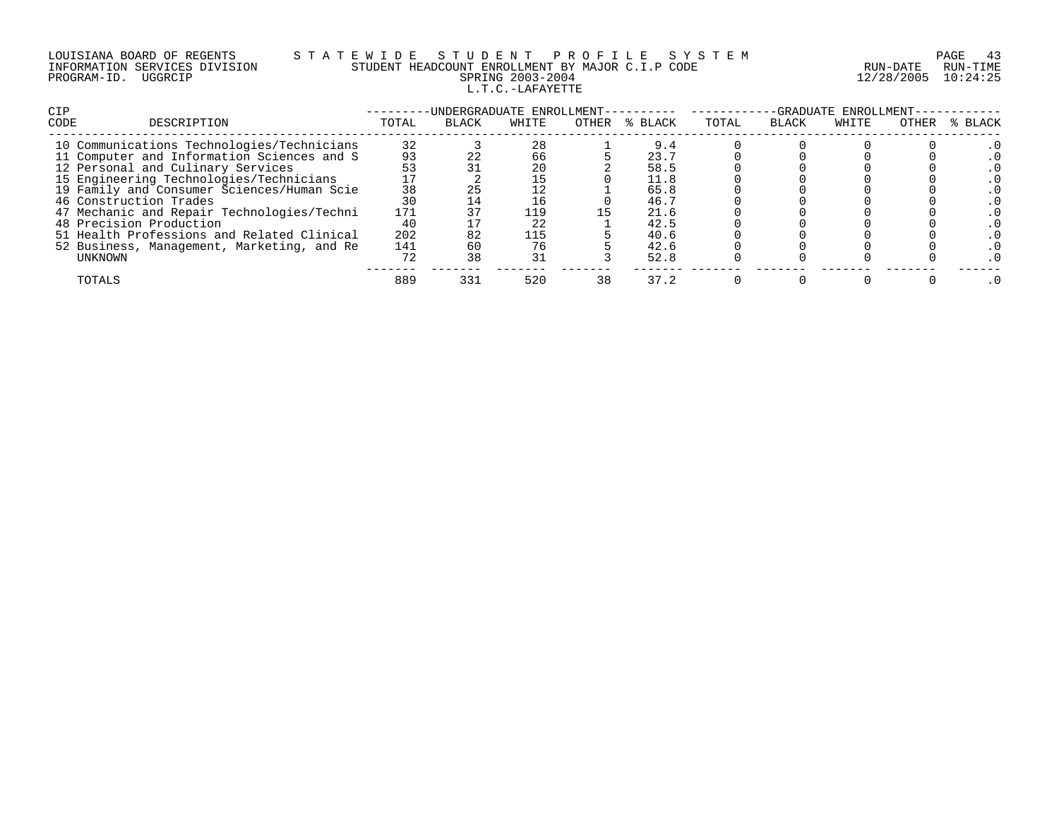|             | LOUISIANA BOARD OF REGENTS    |
|-------------|-------------------------------|
|             | INFORMATION SERVICES DIVISION |
| PROGRAM-ID. | UGGRCIP                       |

# S T A T E W I D E S T U D E N T P R O F I L E S Y S T E M PAGE 43<br>STUDENT HEADCOUNT ENROLLMENT BY MAJOR C.I.P CODE RUN - DATE RUN-TIME STUDENT HEADCOUNT ENROLLMENT BY MAJOR C.I.P CODE PRING 2003-2004 12/28/2005 10:24:25 L.T.C.-LAFAYETTE

| <b>CIP</b>                                 |       |              | -UNDERGRADUATE ENROLLMENT- |       |         |       |              | -GRADUATE ENROLLMENT- |       |         |
|--------------------------------------------|-------|--------------|----------------------------|-------|---------|-------|--------------|-----------------------|-------|---------|
| CODE<br>DESCRIPTION                        | TOTAL | <b>BLACK</b> | WHITE                      | OTHER | % BLACK | TOTAL | <b>BLACK</b> | WHITE                 | OTHER | % BLACK |
| 10 Communications Technologies/Technicians | 32    |              | 28                         |       | 9.4     |       |              |                       |       |         |
| 11 Computer and Information Sciences and S | 93    |              | 66                         |       | 23.7    |       |              |                       |       |         |
| 12 Personal and Culinary Services          | 53    |              | 20                         |       | 58.5    |       |              |                       |       |         |
| 15 Engineering Technologies/Technicians    |       |              | 15                         |       | 11.8    |       |              |                       |       |         |
| 19 Family and Consumer Sciences/Human Scie | 38    |              |                            |       | 65.8    |       |              |                       |       |         |
| 46 Construction Trades                     | 30    |              | 16                         |       | 46.7    |       |              |                       |       |         |
| 47 Mechanic and Repair Technologies/Techni | 171   |              | 119                        |       | 21.6    |       |              |                       |       |         |
| 48 Precision Production                    | 40    |              | 22                         |       | 42.5    |       |              |                       |       |         |
| 51 Health Professions and Related Clinical | 202   | 82           | 115                        |       | 40.6    |       |              |                       |       |         |
| 52 Business, Management, Marketing, and Re | 141   | 60           | 76                         |       | 42.6    |       |              |                       |       |         |
| UNKNOWN                                    | 72    | 38           | 31                         |       | 52.8    |       |              |                       |       |         |
| TOTALS                                     | 889   | 331          | 520                        | 38    | 37.2    |       |              |                       |       |         |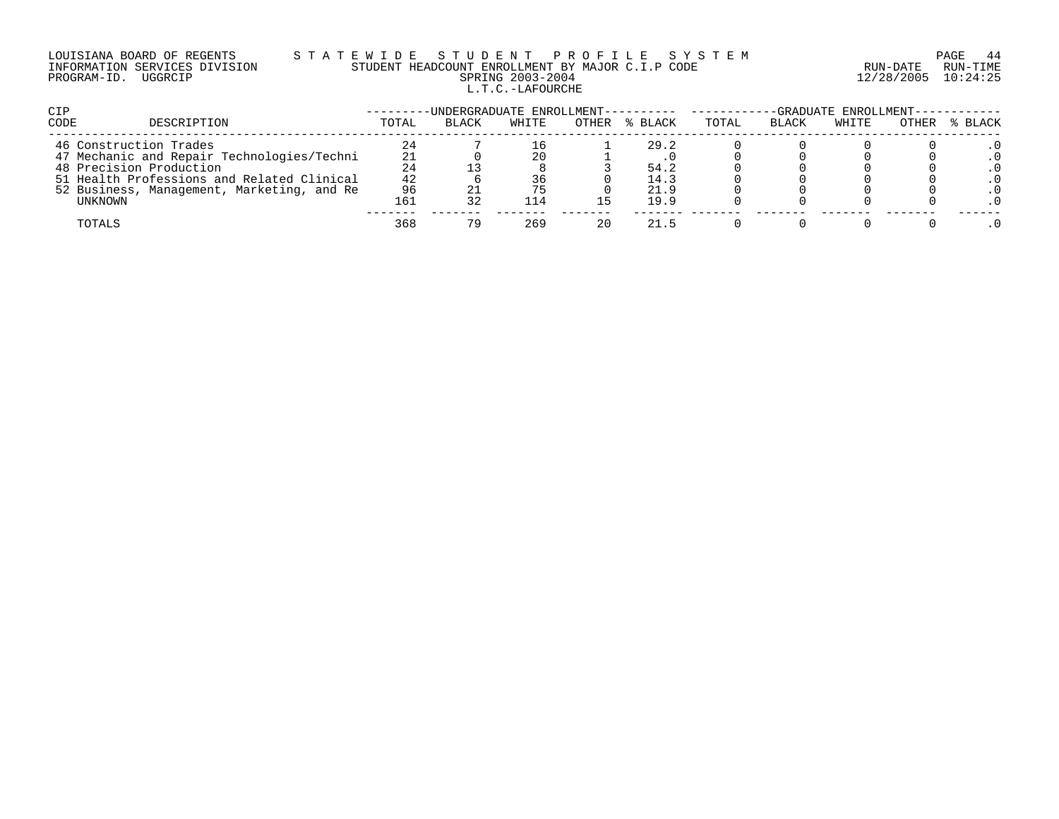## LOUISIANA BOARD OF REGENTS S T A T E W I D E S T U D E N T P R O F I L E S Y S T E M PAGE 44 INFORMATION SERVICES DIVISION STUDENT HEADCOUNT ENROLLMENT BY MAJOR C.I.P CODE RUN-DATE RUN-TIME PROGRAM-ID. UGGRCIP SPRING 2003-2004 12/28/2005 10:24:25 L.T.C.-LAFOURCHE

| <b>CIP</b>                                 |       | -UNDERGRADUATE ENROLLMENT---------- |       |       |         |       |              | -GRADUATE ENROLLMENT-- |       |         |
|--------------------------------------------|-------|-------------------------------------|-------|-------|---------|-------|--------------|------------------------|-------|---------|
| <b>CODE</b><br>DESCRIPTION                 | TOTAL | <b>BLACK</b>                        | WHITE | OTHER | % BLACK | TOTAL | <b>BLACK</b> | WHITE                  | OTHER | % BLACK |
| 46 Construction Trades                     | 24    |                                     |       |       | 29.2    |       |              |                        |       |         |
| 47 Mechanic and Repair Technologies/Techni | 21    |                                     | 20    |       |         |       |              |                        |       |         |
| 48 Precision Production                    | 24    |                                     |       |       | 54.2    |       |              |                        |       |         |
| 51 Health Professions and Related Clinical | 42    |                                     | 36    |       | 14.3    |       |              |                        |       |         |
| 52 Business, Management, Marketing, and Re | 96    |                                     |       |       | 21.9    |       |              |                        |       |         |
| UNKNOWN                                    | 161   |                                     | 114   |       | 19.9    |       |              |                        |       |         |
| TOTALS                                     | 368   |                                     | 269   | 20    | 21.5    |       |              |                        |       |         |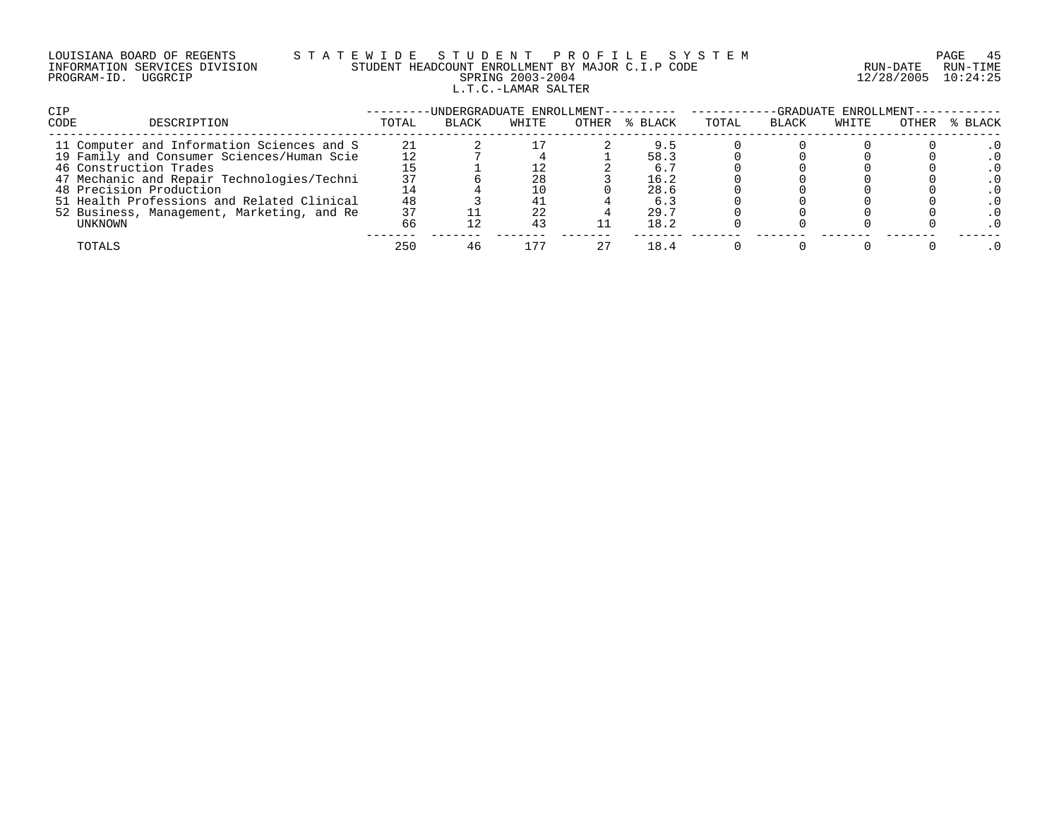| LOUISIANA BOARD OF REGENTS    |         |  |
|-------------------------------|---------|--|
| INFORMATION SERVICES DIVISION |         |  |
| PROGRAM-ID.                   | UGGRCIP |  |

# LOUISIANA BOARD OF REGENTS S T A T E W I D E S T U D E N T P R O F I L E S Y S T E M PAGE 45 INFORMATION SERVICES DIVISION STUDENT HEADCOUNT ENROLLMENT BY MAJOR C.I.P CODE RUN-DATE RUN-TIME PROGRAM-ID. UGGRCIP SPRING 2003-2004 12/28/2005 10:24:25 L.T.C.-LAMAR SALTER

| <b>CIP</b>                                 |       |              |       |       |         | -UNDERGRADUATE ENROLLMENT---------- -------<br>-GRADUATE ENROLLMENT-- |       |       |       |         |
|--------------------------------------------|-------|--------------|-------|-------|---------|-----------------------------------------------------------------------|-------|-------|-------|---------|
| <b>CODE</b><br>DESCRIPTION                 | TOTAL | <b>BLACK</b> | WHITE | OTHER | % BLACK | TOTAL                                                                 | BLACK | WHITE | OTHER | % BLACK |
| 11 Computer and Information Sciences and S | 21    |              |       |       | 9.5     |                                                                       |       |       |       |         |
| 19 Family and Consumer Sciences/Human Scie | 12    |              |       |       | 58.3    |                                                                       |       |       |       |         |
| 46 Construction Trades                     |       |              |       |       | 6.5     |                                                                       |       |       |       |         |
| 47 Mechanic and Repair Technologies/Techni | 37    |              | 28    |       | 16.2    |                                                                       |       |       |       |         |
| 48 Precision Production                    |       |              | 10    |       | 28.6    |                                                                       |       |       |       |         |
| 51 Health Professions and Related Clinical | 48    |              | 41    |       | 6.3     |                                                                       |       |       |       |         |
| 52 Business, Management, Marketing, and Re | 37    |              | 22    |       | 29.7    |                                                                       |       |       |       |         |
| UNKNOWN                                    | 66    |              | 43    |       | 18.2    |                                                                       |       |       |       |         |
| TOTALS                                     | 250   |              | 177   | 27    | 18.4    |                                                                       |       |       |       |         |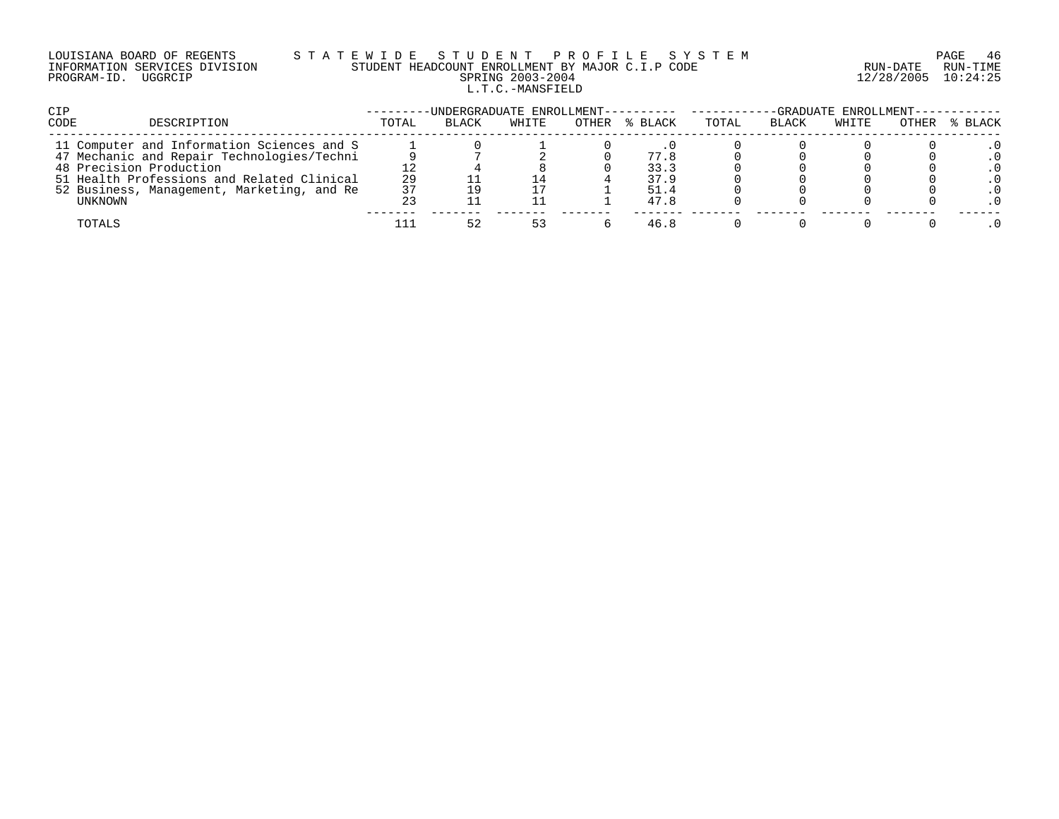## LOUISIANA BOARD OF REGENTS S T A T E W I D E S T U D E N T P R O F I L E S Y S T E M PAGE 46 INFORMATION SERVICES DIVISION STUDENT HEADCOUNT ENROLLMENT BY MAJOR C.I.P CODE RUN-DATE RUN-TIME PROGRAM-ID. UGGRCIP SPRING 2003-2004 12/28/2005 10:24:25 L.T.C.-MANSFIELD

| CIP                                        |       | -UNDERGRADUATE ENROLLMENT---------- ------ |       |               | -GRADUATE ENROLLMENT- |       |       |       |         |
|--------------------------------------------|-------|--------------------------------------------|-------|---------------|-----------------------|-------|-------|-------|---------|
| CODE<br>DESCRIPTION                        | TOTAL | <b>BLACK</b>                               | WHITE | OTHER % BLACK | TOTAL                 | BLACK | WHITE | OTHER | % BLACK |
| 11 Computer and Information Sciences and S |       |                                            |       |               |                       |       |       |       |         |
| 47 Mechanic and Repair Technologies/Techni |       |                                            |       | 77.8          |                       |       |       |       |         |
| 48 Precision Production                    |       |                                            |       | 33.3          |                       |       |       |       |         |
| 51 Health Professions and Related Clinical | 29    |                                            | 14    | 37.9          |                       |       |       |       |         |
| 52 Business, Management, Marketing, and Re | 37    |                                            |       | 51.4          |                       |       |       |       |         |
| UNKNOWN                                    |       |                                            |       | 47.8          |                       |       |       |       |         |
| TOTALS                                     |       | 52                                         | 53    | 46.8          |                       |       |       |       |         |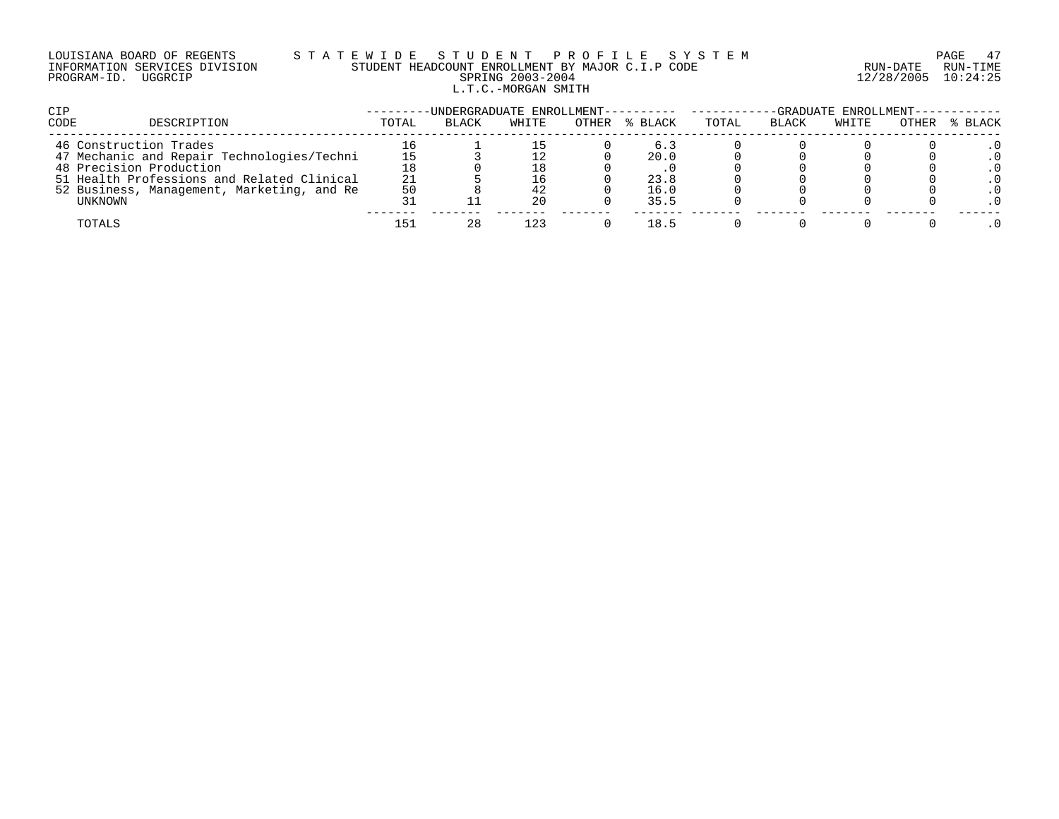# LOUISIANA BOARD OF REGENTS S T A T E W I D E S T U D E N T P R O F I L E S Y S T E M PAGE 47 INFORMATION SERVICES DIVISION STUDENT HEADCOUNT ENROLLMENT BY MAJOR C.I.P CODE RUN-DATE RUN-TIME PROGRAM-ID. UGGRCIP SPRING 2003-2004 12/28/2005 10:24:25 L.T.C.-MORGAN SMITH

| <b>CIP</b> |                                            |       | -UNDERGRADUATE ENROLLMENT---------- |       |       |         | -GRADUATE ENROLLMENT-- |              |       |       |         |
|------------|--------------------------------------------|-------|-------------------------------------|-------|-------|---------|------------------------|--------------|-------|-------|---------|
| CODE       | DESCRIPTION                                | TOTAL | <b>BLACK</b>                        | WHITE | OTHER | % BLACK | TOTAL                  | <b>BLACK</b> | WHITE | OTHER | % BLACK |
|            | 46 Construction Trades                     |       |                                     |       |       | 6.3     |                        |              |       |       |         |
|            | 47 Mechanic and Repair Technologies/Techni |       |                                     |       |       | 20.0    |                        |              |       |       |         |
|            | 48 Precision Production                    |       |                                     | 18    |       |         |                        |              |       |       |         |
|            | 51 Health Professions and Related Clinical | 21    |                                     | 16    |       | 23.8    |                        |              |       |       |         |
|            | 52 Business, Management, Marketing, and Re | 50    |                                     | 42    |       | 16.0    |                        |              |       |       |         |
|            | UNKNOWN                                    |       |                                     | 20    |       | 35.5    |                        |              |       |       |         |
|            | TOTALS                                     | 151   | 28                                  | 123   |       | 18.5    |                        |              |       |       |         |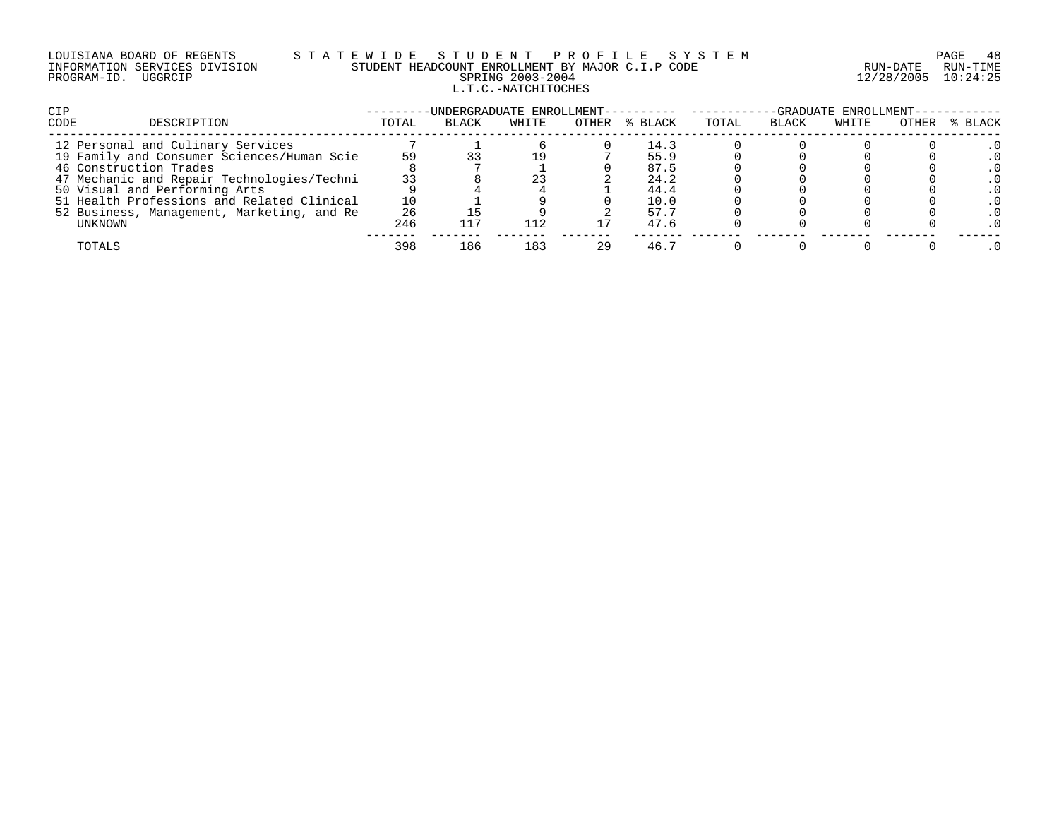# LOUISIANA BOARD OF REGENTS S T A T E W I D E S T U D E N T P R O F I L E S Y S T E M PAGE 48 INFORMATION SERVICES DIVISION STUDENT HEADCOUNT ENROLLMENT BY MAJOR C.I.P CODE RUN-DATE RUN-TIME PROGRAM-ID. UGGRCIP SPRING 2003-2004 12/28/2005 10:24:25 L.T.C.-NATCHITOCHES

| <b>CIP</b>                                 |       |       |       |    |               | -GRADUATE ENROLLMENT--<br>-UNDERGRADUATE ENROLLMENT---------- ------- |       |       |       |         |
|--------------------------------------------|-------|-------|-------|----|---------------|-----------------------------------------------------------------------|-------|-------|-------|---------|
| CODE<br>DESCRIPTION                        | TOTAL | BLACK | WHITE |    | OTHER % BLACK | TOTAL                                                                 | BLACK | WHITE | OTHER | % BLACK |
| 12 Personal and Culinary Services          |       |       |       |    | 14.3          |                                                                       |       |       |       |         |
| 19 Family and Consumer Sciences/Human Scie | 59    |       |       |    | 55.9          |                                                                       |       |       |       |         |
| 46 Construction Trades                     |       |       |       |    | 87.5          |                                                                       |       |       |       |         |
| 47 Mechanic and Repair Technologies/Techni | 33    |       | 23    |    | 24.2          |                                                                       |       |       |       |         |
| 50 Visual and Performing Arts              |       |       |       |    | 44.4          |                                                                       |       |       |       |         |
| 51 Health Professions and Related Clinical | 10    |       |       |    | 10.0          |                                                                       |       |       |       |         |
| 52 Business, Management, Marketing, and Re | 26    |       |       |    | 57.7          |                                                                       |       |       |       |         |
| UNKNOWN                                    | 246   | 117   | 112   |    | 47.6          |                                                                       |       |       |       |         |
| TOTALS                                     | 398   | 186   | 183   | 29 | 46.7          |                                                                       |       |       |       |         |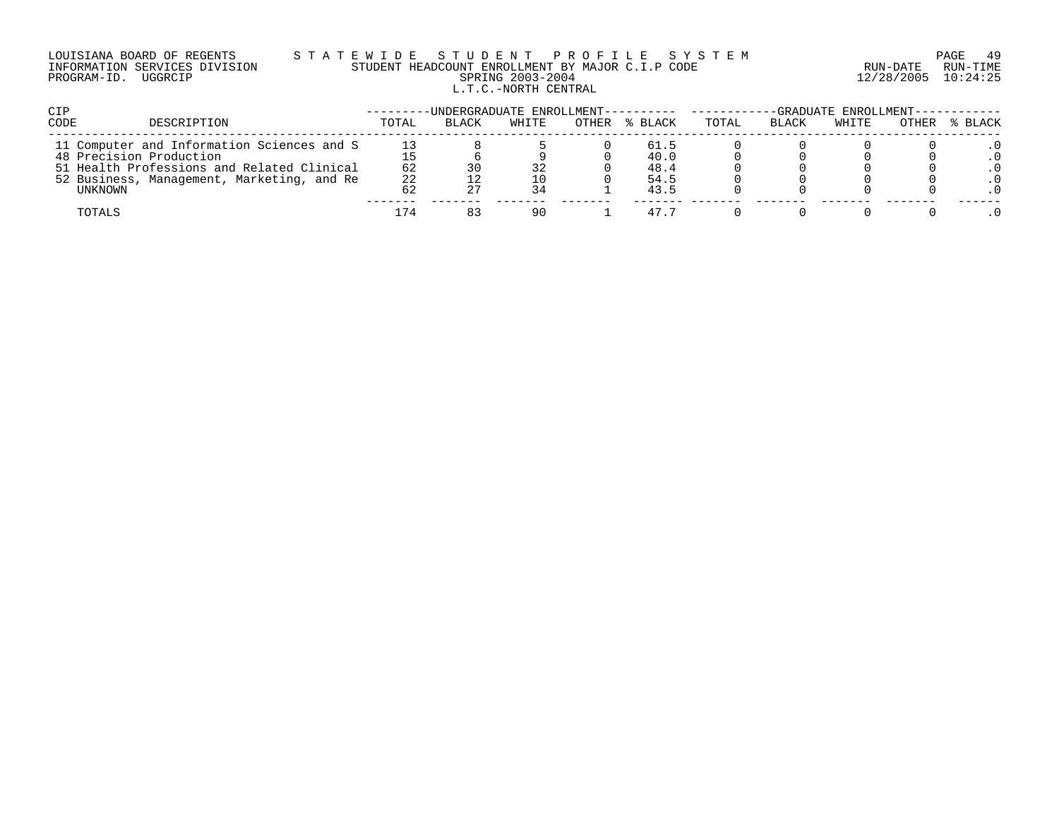### LOUISIANA BOARD OF REGENTS S T A T E W I D E S T U D E N T P R O F I L E S Y S T E M PAGE 49 INFORMATION SERVICES DIVISION STUDENT HEADCOUNT ENROLLMENT BY MAJOR C.I.P CODE RUN-DATE RUN-TIME PROGRAM-ID. UGGRCIP SPRING 2003-2004 12/28/2005 10:24:25 L.T.C.-NORTH CENTRAL

| CIP                                        |       | -UNDERGRADUATE ENROLLMENT---------- |       |       |         | -GRADUATE ENROLLMENT----- |              |       |       |         |
|--------------------------------------------|-------|-------------------------------------|-------|-------|---------|---------------------------|--------------|-------|-------|---------|
| CODE<br>DESCRIPTION                        | TOTAL | <b>BLACK</b>                        | WHITE | OTHER | % BLACK | TOTAL                     | <b>BLACK</b> | WHITE | OTHER | % BLACK |
| 11 Computer and Information Sciences and S |       |                                     |       |       | 61.5    |                           |              |       |       |         |
| 48 Precision Production                    |       |                                     |       |       | 40.0    |                           |              |       |       |         |
| 51 Health Professions and Related Clinical | 62    |                                     | 32    |       | 48.4    |                           |              |       |       |         |
| 52 Business, Management, Marketing, and Re | 22    |                                     | 10    |       | 54.5    |                           |              |       |       |         |
| UNKNOWN                                    |       |                                     | 34    |       | 43.5    |                           |              |       |       |         |
| TOTALS                                     | 174   |                                     | 90    |       | 47.5    |                           |              |       |       |         |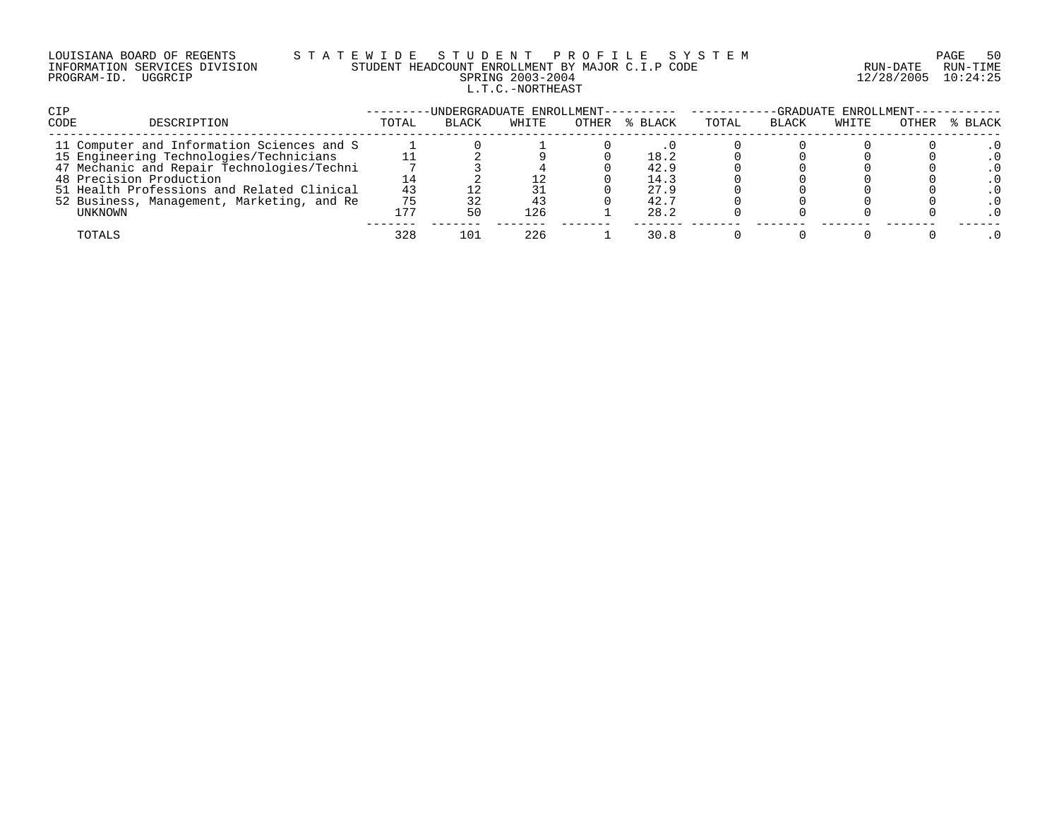| LOUISIANA BOARD OF REGENTS    |         |  |
|-------------------------------|---------|--|
| INFORMATION SERVICES DIVISION |         |  |
| PROGRAM-ID.                   | UGGRCIP |  |

# LOUISIANA BOARD OF REGENTS S T A T E W I D E S T U D E N T P R O F I L E S Y S T E M PAGE 50 INFORMATION SERVICES DIVISION STUDENT HEADCOUNT ENROLLMENT BY MAJOR C.I.P CODE RUN-DATE RUN-TIME PRING 2003-2004 12/28/2005 10:24:25 L.T.C.-NORTHEAST

| <b>CIP</b>                                 |       | -UNDERGRADUATE ENROLLMENT- |       |               | -GRADUATE ENROLLMENT- |              |       |       |         |
|--------------------------------------------|-------|----------------------------|-------|---------------|-----------------------|--------------|-------|-------|---------|
| CODE<br>DESCRIPTION                        | TOTAL | BLACK                      | WHITE | OTHER % BLACK | TOTAL                 | <b>BLACK</b> | WHITE | OTHER | % BLACK |
| 11 Computer and Information Sciences and S |       |                            |       |               |                       |              |       |       |         |
| 15 Engineering Technologies/Technicians    |       |                            |       | 18.2          |                       |              |       |       |         |
| 47 Mechanic and Repair Technologies/Techni |       |                            |       | 42.9          |                       |              |       |       |         |
| 48 Precision Production                    |       |                            |       | 14.3          |                       |              |       |       |         |
| 51 Health Professions and Related Clinical | 43    |                            |       | 27.9          |                       |              |       |       |         |
| 52 Business, Management, Marketing, and Re | 75    |                            | 43    | 42.7          |                       |              |       |       |         |
| UNKNOWN                                    | 177   |                            | 126   | 28.2          |                       |              |       |       |         |
| TOTALS                                     | 328   | 101                        | 226   | 30.8          |                       |              |       |       |         |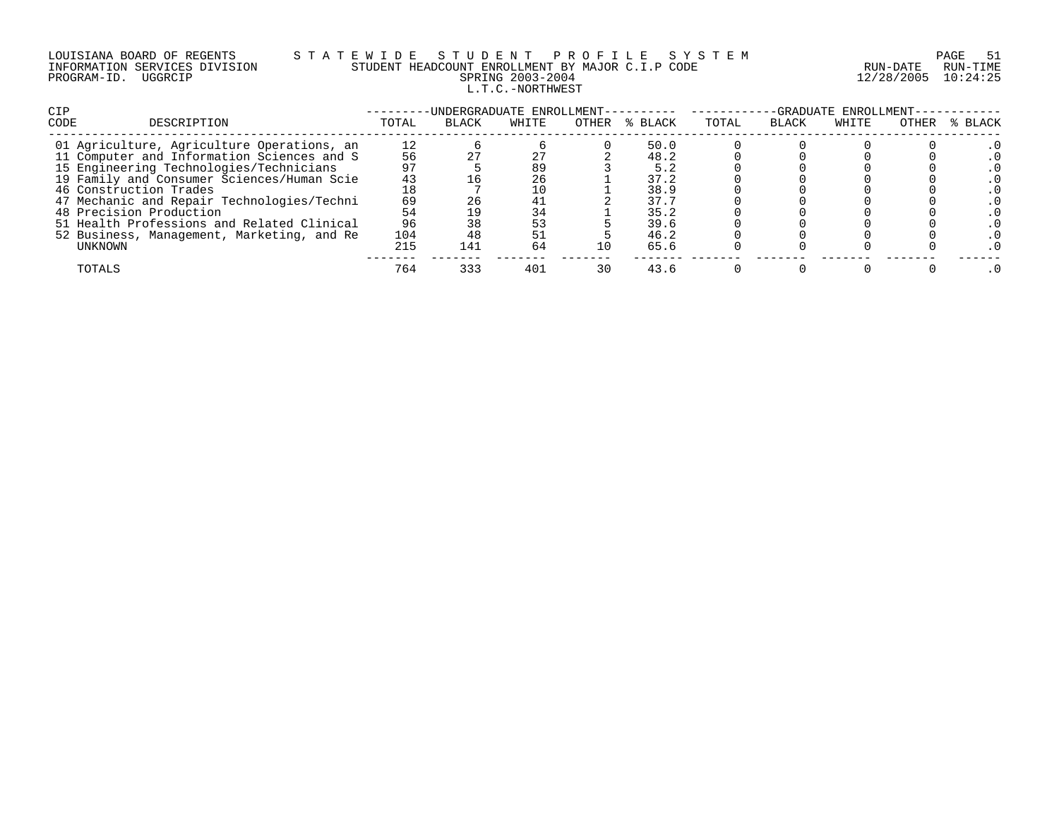|             | LOUISIANA BOARD OF REGENTS    |  |
|-------------|-------------------------------|--|
|             | INFORMATION SERVICES DIVISION |  |
| PROGRAM-ID. | UGGRCIP                       |  |

# S T A T E W I D E S T U D E N T P R O F I L E S Y S T E M PAGE 51 PAGE 51 STUDENT HEADCOUNT ENROLLMENT BY MAJOR C.I.P CODE STUDENT HEADCOUNT ENROLLMENT BY MAJOR C.I.P CODE PRING 2003-2004 12/28/2005 10:24:25 L.T.C.-NORTHWEST

| <b>CIP</b> |                                            |       | -UNDERGRADUATE ENROLLMENT- |       |       |         | -GRADUATE ENROLLMENT- |              |       |       |         |  |
|------------|--------------------------------------------|-------|----------------------------|-------|-------|---------|-----------------------|--------------|-------|-------|---------|--|
| CODE       | DESCRIPTION                                | TOTAL | <b>BLACK</b>               | WHITE | OTHER | % BLACK | TOTAL                 | <b>BLACK</b> | WHITE | OTHER | % BLACK |  |
|            | 01 Agriculture, Agriculture Operations, an | 12    |                            |       |       | 50.0    |                       |              |       |       |         |  |
|            | 11 Computer and Information Sciences and S | 56    |                            |       |       | 48.2    |                       |              |       |       |         |  |
|            | 15 Engineering Technologies/Technicians    |       |                            | 89    |       | 5.2     |                       |              |       |       |         |  |
|            | 19 Family and Consumer Sciences/Human Scie | 43    |                            | 26    |       | 37.2    |                       |              |       |       |         |  |
|            | 46 Construction Trades                     |       |                            |       |       | 38.9    |                       |              |       |       |         |  |
|            | 47 Mechanic and Repair Technologies/Techni | 69    |                            | 41    |       | 37.7    |                       |              |       |       |         |  |
|            | 48 Precision Production                    | 54    |                            | 34    |       | 35.2    |                       |              |       |       |         |  |
|            | 51 Health Professions and Related Clinical | 96    |                            | 53    |       | 39.6    |                       |              |       |       |         |  |
|            | 52 Business, Management, Marketing, and Re | 104   |                            |       |       | 46.2    |                       |              |       |       |         |  |
|            | UNKNOWN                                    | 215   | 141                        | 64    | 1 O   | 65.6    |                       |              |       |       |         |  |
|            | TOTALS                                     | 764   | 333                        | 401   | 30    | 43.6    |                       |              |       |       |         |  |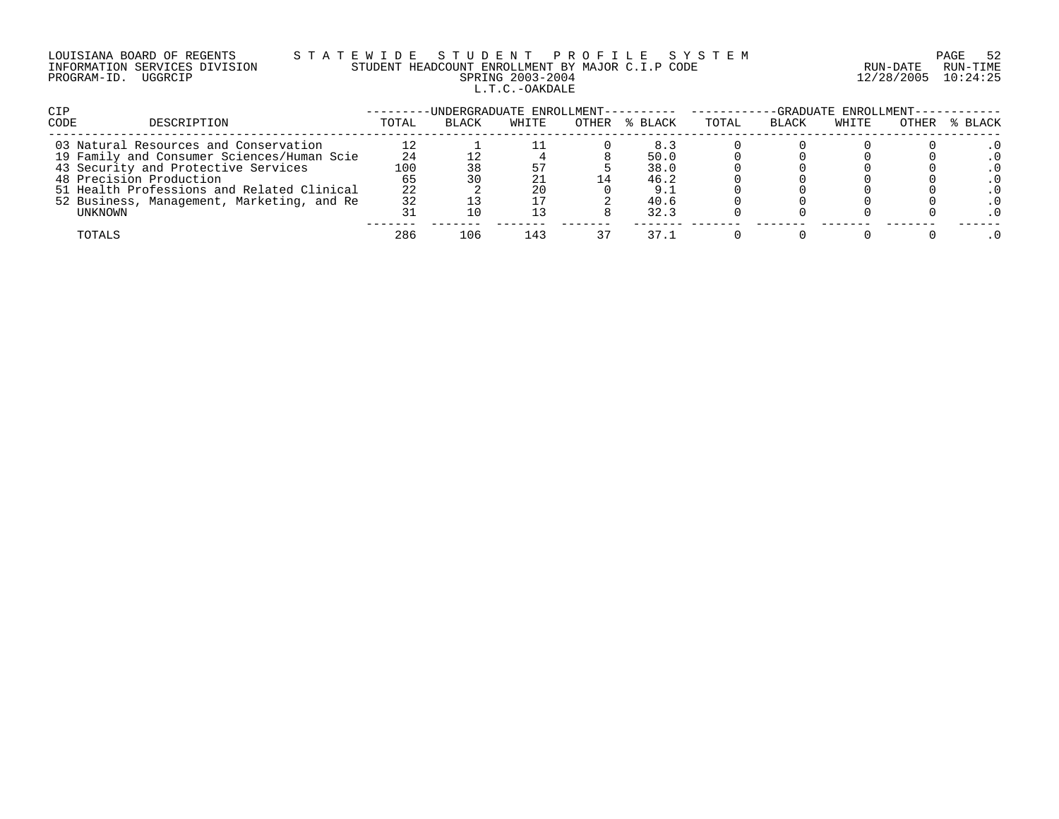# LOUISIANA BOARD OF REGENTS S T A T E W I D E S T U D E N T P R O F I L E S Y S T E M PAGE 52 INFORMATION SERVICES DIVISION STUDENT HEADCOUNT ENROLLMENT BY MAJOR C.I.P CODE RUN-DATE RUN-TIME PROGRAM-ID. UGGRCIP SPRING 2003-2004 12/28/2005 10:24:25 L.T.C.-OAKDALE

| <b>CIP</b>                                 |       | -UNDERGRADUATE ENROLLMENT---------- ------ |       |       |         | -GRADUATE ENROLLMENT-- |              |       |       |         |
|--------------------------------------------|-------|--------------------------------------------|-------|-------|---------|------------------------|--------------|-------|-------|---------|
| CODE<br>DESCRIPTION                        | TOTAL | <b>BLACK</b>                               | WHITE | OTHER | % BLACK | TOTAL                  | <b>BLACK</b> | WHITE | OTHER | % BLACK |
| 03 Natural Resources and Conservation      |       |                                            |       |       | 8.3     |                        |              |       |       |         |
| 19 Family and Consumer Sciences/Human Scie | 24    |                                            |       |       | 50.0    |                        |              |       |       |         |
| 43 Security and Protective Services        | 100   |                                            |       |       | 38.0    |                        |              |       |       |         |
| 48 Precision Production                    | 65    |                                            |       |       | 46.2    |                        |              |       |       |         |
| 51 Health Professions and Related Clinical | 22    |                                            | 20    |       | 9. .    |                        |              |       |       |         |
| 52 Business, Management, Marketing, and Re | 32    |                                            |       |       | 40.6    |                        |              |       |       |         |
| UNKNOWN                                    |       |                                            |       |       | 32.3    |                        |              |       |       |         |
| TOTALS                                     | 286   | 106                                        | 143   |       | 37.1    |                        |              |       |       |         |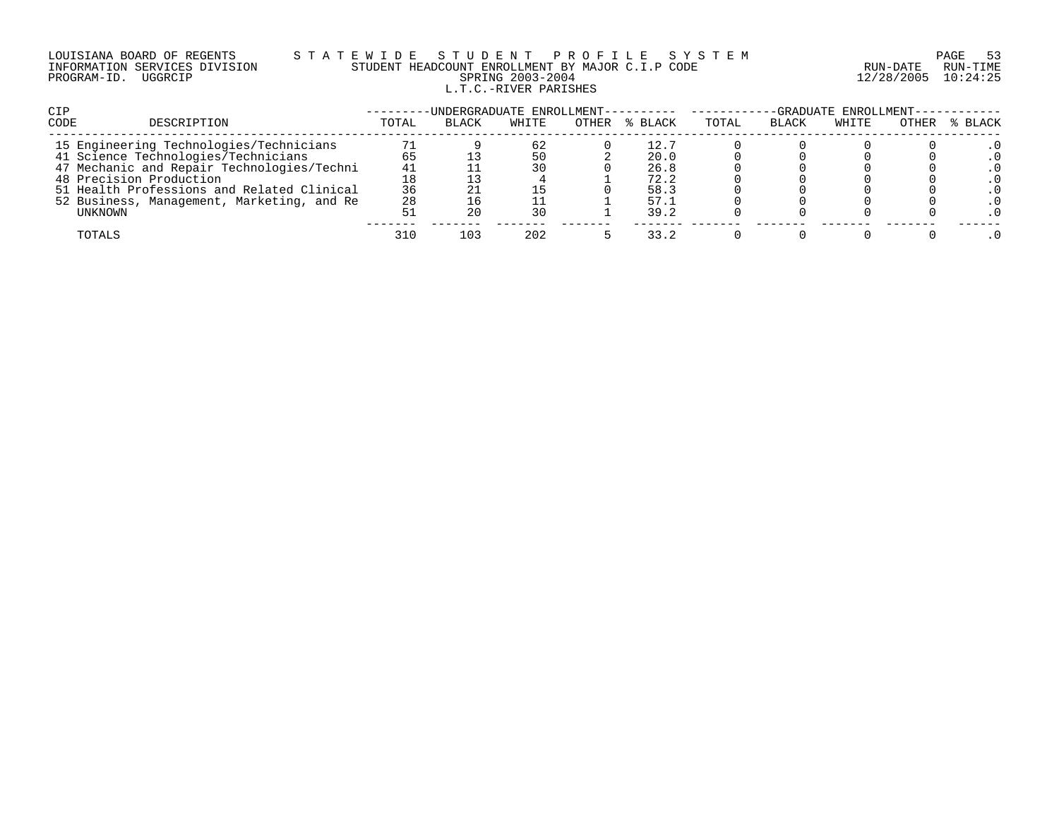# LOUISIANA BOARD OF REGENTS S T A T E W I D E S T U D E N T P R O F I L E S Y S T E M PAGE 53 INFORMATION SERVICES DIVISION STUDENT HEADCOUNT ENROLLMENT BY MAJOR C.I.P CODE RUN-DATE RUN-TIME PROGRAM-ID. UGGRCIP SPRING 2003-2004 12/28/2005 10:24:25 L.T.C.-RIVER PARISHES

| <b>CIP</b>                                 |       | -UNDERGRADUATE ENROLLMENT---------- ------- |       |       |         | -GRADUATE ENROLLMENT-- |              |       |       |         |
|--------------------------------------------|-------|---------------------------------------------|-------|-------|---------|------------------------|--------------|-------|-------|---------|
| <b>CODE</b><br>DESCRIPTION                 | TOTAL | <b>BLACK</b>                                | WHITE | OTHER | % BLACK | TOTAL                  | <b>BLACK</b> | WHITE | OTHER | % BLACK |
| 15 Engineering Technologies/Technicians    |       |                                             | 62    |       | 12.7    |                        |              |       |       |         |
| 41 Science Technologies/Technicians        | 65    |                                             | 50    |       | 20.0    |                        |              |       |       |         |
| 47 Mechanic and Repair Technologies/Techni | 41    |                                             | 30    |       | 26.8    |                        |              |       |       |         |
| 48 Precision Production                    | 18    |                                             |       |       | 72.2    |                        |              |       |       |         |
| 51 Health Professions and Related Clinical | 36    |                                             |       |       | 58.3    |                        |              |       |       |         |
| 52 Business, Management, Marketing, and Re | 28    |                                             |       |       | 57.1    |                        |              |       |       |         |
| UNKNOWN                                    |       |                                             | 30    |       | 39.2    |                        |              |       |       |         |
| TOTALS                                     | 310   | 103                                         | 202   |       | 33.2    |                        |              |       |       |         |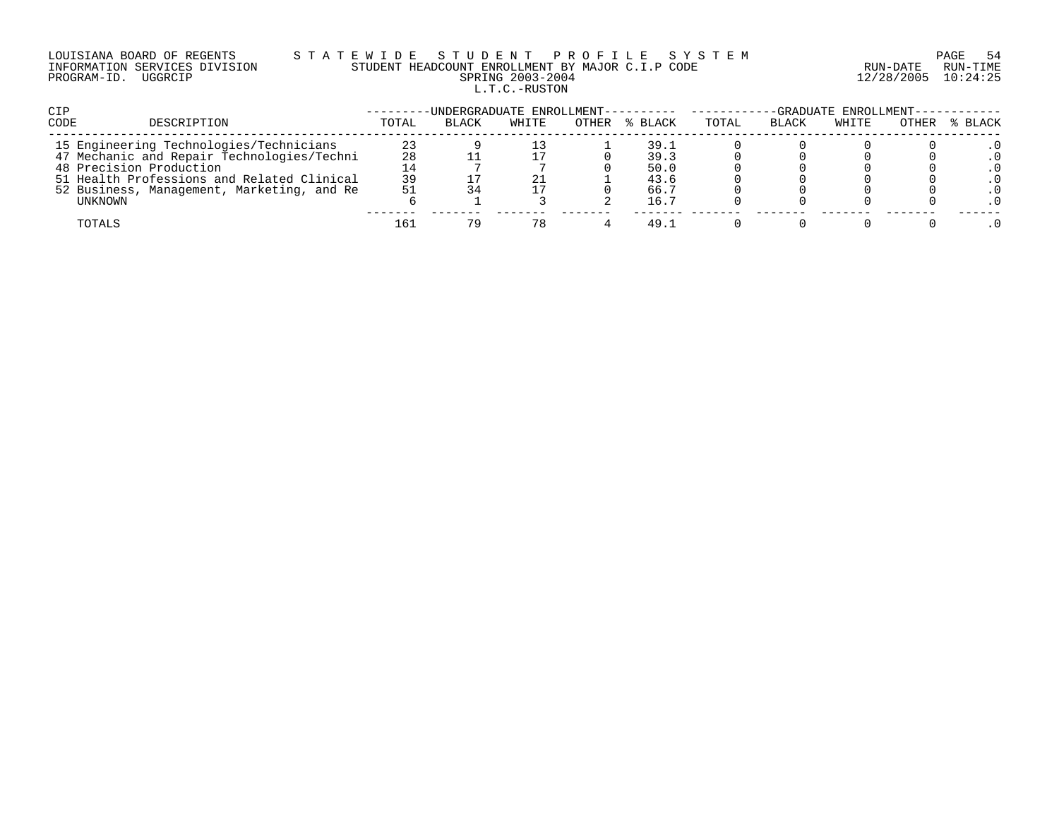# LOUISIANA BOARD OF REGENTS S T A T E W I D E S T U D E N T P R O F I L E S Y S T E M PAGE 54 INFORMATION SERVICES DIVISION STUDENT HEADCOUNT ENROLLMENT BY MAJOR C.I.P CODE RUN-DATE RUN-TIME PROGRAM-ID. UGGRCIP SPRING 2003-2004 12/28/2005 10:24:25 L.T.C.-RUSTON

| CIP                                        |       | -UNDERGRADUATE ENROLLMENT---------- ------ |       |       |         | -GRADUATE ENROLLMENT----------- |       |       |       |         |
|--------------------------------------------|-------|--------------------------------------------|-------|-------|---------|---------------------------------|-------|-------|-------|---------|
| CODE<br>DESCRIPTION                        | TOTAL | <b>BLACK</b>                               | WHITE | OTHER | % BLACK | TOTAL                           | BLACK | WHITE | OTHER | % BLACK |
| 15 Engineering Technologies/Technicians    | 23    |                                            |       |       | 39.1    |                                 |       |       |       |         |
| 47 Mechanic and Repair Technologies/Techni | 28    |                                            |       |       | 39.3    |                                 |       |       |       |         |
| 48 Precision Production                    |       |                                            |       |       | 50.0    |                                 |       |       |       |         |
| 51 Health Professions and Related Clinical | 39    |                                            | 21    |       | 43.6    |                                 |       |       |       |         |
| 52 Business, Management, Marketing, and Re | 51    |                                            |       |       | 66.7    |                                 |       |       |       |         |
| UNKNOWN                                    |       |                                            |       |       | 16.7    |                                 |       |       |       |         |
| TOTALS                                     | 161   | 79                                         | 78    |       | 49.1    |                                 |       |       |       |         |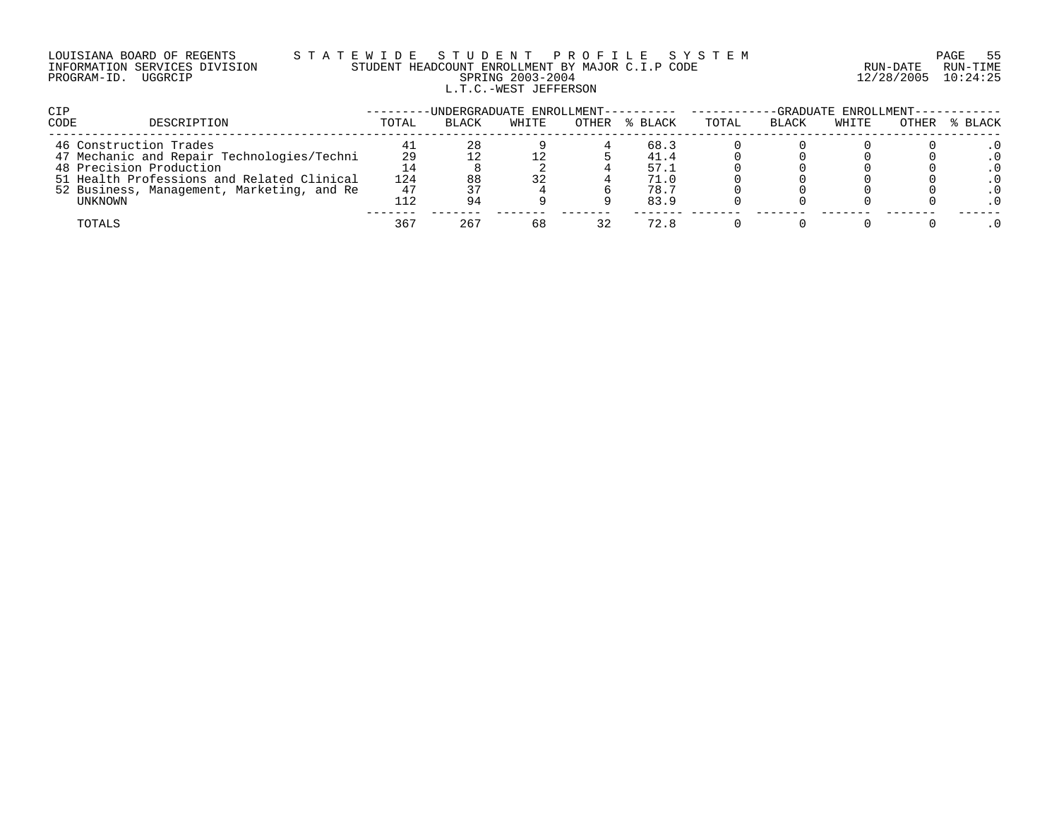# LOUISIANA BOARD OF REGENTS S T A T E W I D E S T U D E N T P R O F I L E S Y S T E M PAGE 55 INFORMATION SERVICES DIVISION STUDENT HEADCOUNT ENROLLMENT BY MAJOR C.I.P CODE RUN-DATE RUN-TIME PROGRAM-ID. UGGRCIP SPRING 2003-2004 12/28/2005 10:24:25 L.T.C.-WEST JEFFERSON

| <b>CIP</b>                                 |       | -UNDERGRADUATE ENROLLMENT---------- |       |       |         | -GRADUATE ENROLLMENT--- |              |       |       |         |
|--------------------------------------------|-------|-------------------------------------|-------|-------|---------|-------------------------|--------------|-------|-------|---------|
| <b>CODE</b><br>DESCRIPTION                 | TOTAL | <b>BLACK</b>                        | WHITE | OTHER | % BLACK | TOTAL                   | <b>BLACK</b> | WHITE | OTHER | % BLACK |
| 46 Construction Trades                     |       | 28                                  |       |       | 68.3    |                         |              |       |       |         |
| 47 Mechanic and Repair Technologies/Techni | 29    |                                     |       |       | 41.4    |                         |              |       |       |         |
| 48 Precision Production                    |       |                                     |       |       | 57.1    |                         |              |       |       |         |
| 51 Health Professions and Related Clinical | 124   | 88                                  | 32    |       | 71.0    |                         |              |       |       |         |
| 52 Business, Management, Marketing, and Re | 47    |                                     |       |       | 78.7    |                         |              |       |       |         |
| UNKNOWN                                    | 12ء   | 94                                  |       |       | 83.9    |                         |              |       |       |         |
| TOTALS                                     | 367   | 267                                 | 68    | 32    | 72.8    |                         |              |       |       |         |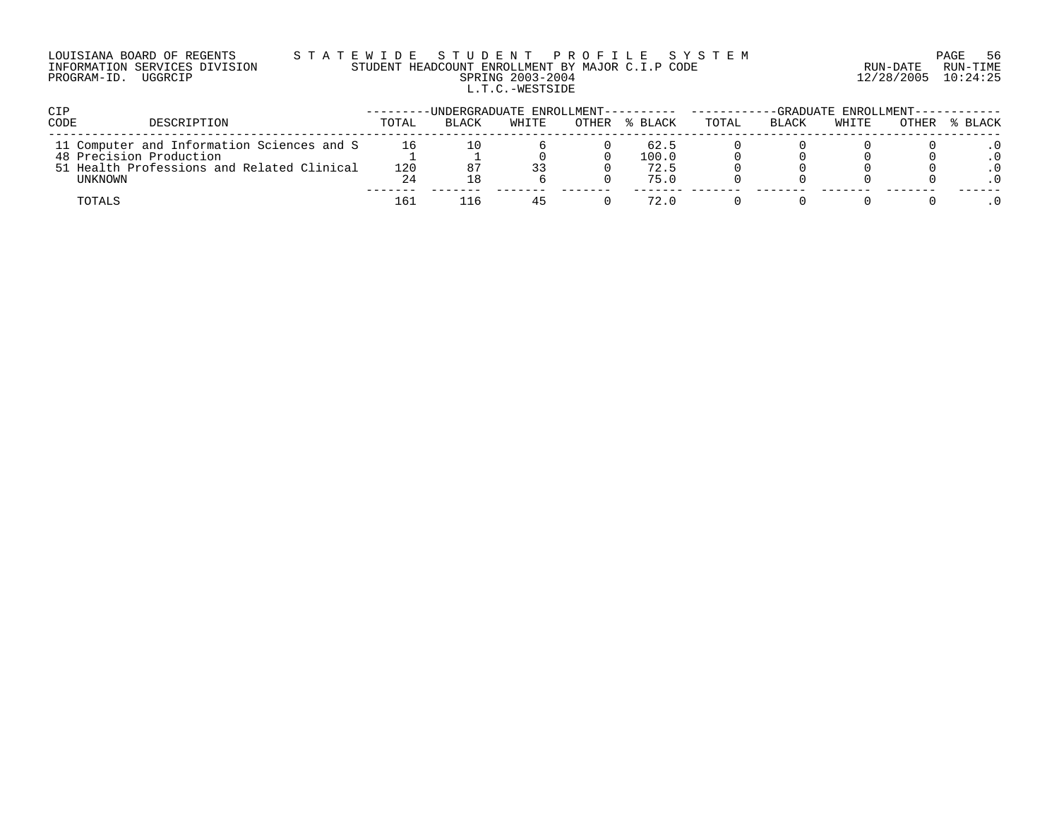### LOUISIANA BOARD OF REGENTS S T A T E W I D E S T U D E N T P R O F I L E S Y S T E M PAGE 56 INFORMATION SERVICES DIVISION STUDENT HEADCOUNT ENROLLMENT BY MAJOR C.I.P CODE RUN-DATE RUN-TIME PROGRAM-ID. UGGRCIP SPRING 2003-2004 12/28/2005 10:24:25 L.T.C.-WESTSIDE

| <b>CIP</b>                                                                                                                            |                 | -UNDERGRADUATE ENROLLMENT---------- |       |       |                               | -GRADUATE ENROLLMENT------------ |       |       |       |         |
|---------------------------------------------------------------------------------------------------------------------------------------|-----------------|-------------------------------------|-------|-------|-------------------------------|----------------------------------|-------|-------|-------|---------|
| CODE<br>DESCRIPTION                                                                                                                   | TOTAL           | <b>BLACK</b>                        | WHITE | OTHER | % BLACK                       | TOTAL                            | BLACK | WHITE | OTHER | % BLACK |
| 11 Computer and Information Sciences and S<br>48 Precision Production<br>51 Health Professions and Related Clinical<br><b>UNKNOWN</b> | 16<br>120<br>24 |                                     | 33    |       | 62.5<br>100.0<br>72.5<br>75.0 |                                  |       |       |       |         |
| TOTALS                                                                                                                                | 161             | ା ଲ                                 | 45    |       | 72.0                          |                                  |       |       |       |         |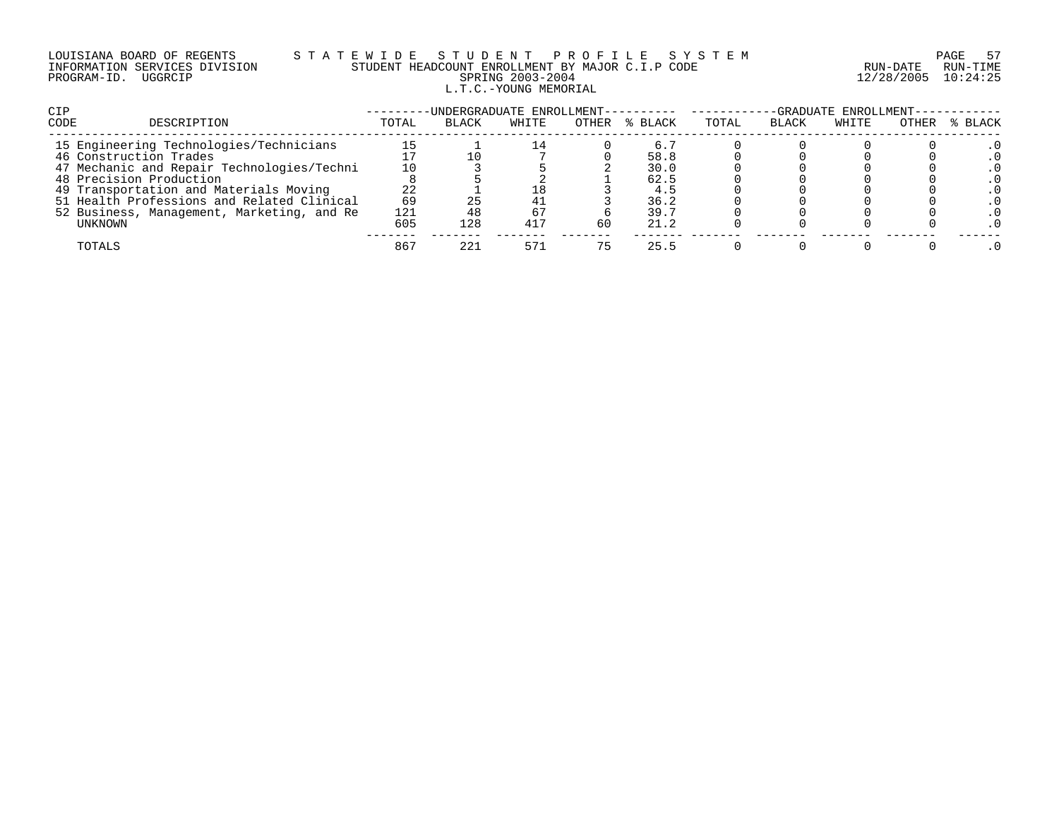# LOUISIANA BOARD OF REGENTS S T A T E W I D E S T U D E N T P R O F I L E S Y S T E M PAGE 57 INFORMATION SERVICES DIVISION STUDENT HEADCOUNT ENROLLMENT BY MAJOR C.I.P CODE RUN-DATE RUN-TIME PROGRAM-ID. UGGRCIP SPRING 2003-2004 12/28/2005 10:24:25 L.T.C.-YOUNG MEMORIAL

| <b>CIP</b>                                 |       | -UNDERGRADUATE ENROLLMENT- |       |       |         | -GRADUATE ENROLLMENT- |              |       |       |         |
|--------------------------------------------|-------|----------------------------|-------|-------|---------|-----------------------|--------------|-------|-------|---------|
| <b>CODE</b><br>DESCRIPTION                 | TOTAL | <b>BLACK</b>               | WHITE | OTHER | % BLACK | TOTAL                 | <b>BLACK</b> | WHITE | OTHER | % BLACK |
| 15 Engineering Technologies/Technicians    |       |                            |       |       | 6.5     |                       |              |       |       |         |
| 46 Construction Trades                     |       |                            |       |       | 58.8    |                       |              |       |       |         |
| 47 Mechanic and Repair Technologies/Techni | 10    |                            |       |       | 30.0    |                       |              |       |       |         |
| 48 Precision Production                    |       |                            |       |       | 62.5    |                       |              |       |       |         |
| 49 Transportation and Materials Moving     | 22    |                            |       |       | 4.5     |                       |              |       |       |         |
| 51 Health Professions and Related Clinical | 69    |                            | 41    |       | 36.2    |                       |              |       |       |         |
| 52 Business, Management, Marketing, and Re | 121   |                            | 67    |       | 39.7    |                       |              |       |       |         |
| UNKNOWN                                    | 605   | 128                        | 417   | 60    | 21.2    |                       |              |       |       |         |
| TOTALS                                     | 867   | 221                        | 571   |       | 25.5    |                       |              |       |       |         |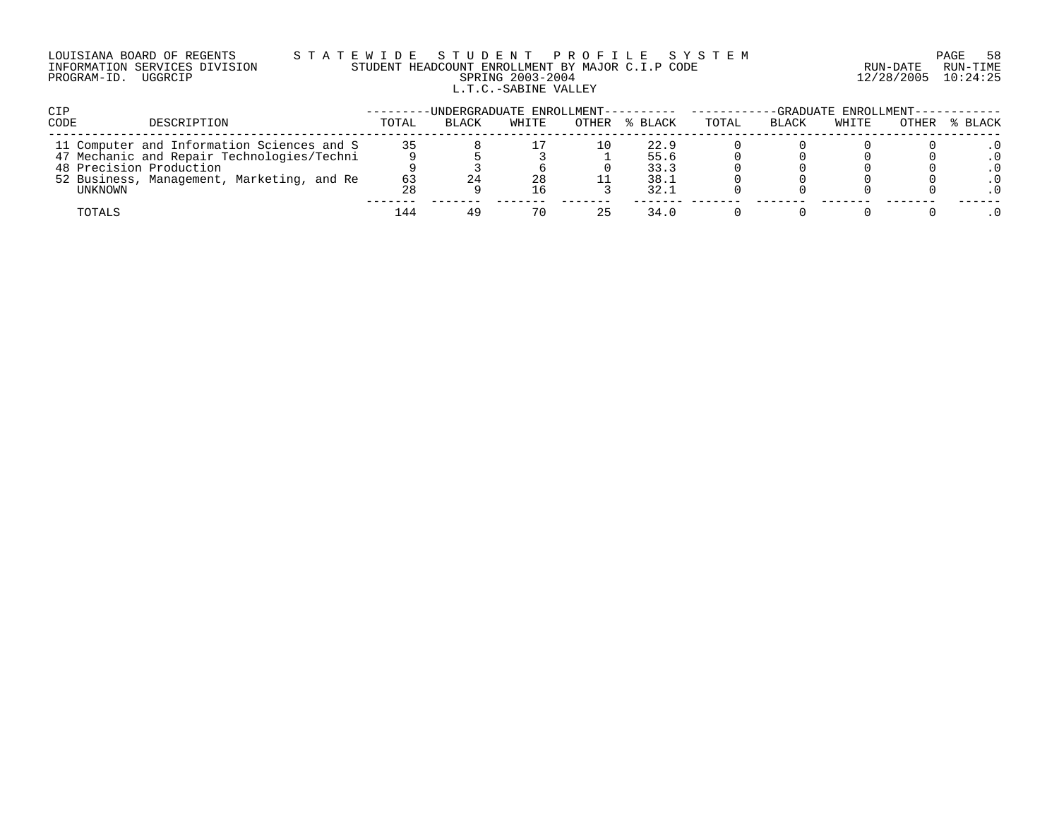#### LOUISIANA BOARD OF REGENTS S T A T E W I D E S T U D E N T P R O F I L E S Y S T E M PAGE 58 INFORMATION SERVICES DIVISION STUDENT HEADCOUNT ENROLLMENT BY MAJOR C.I.P CODE RUN-DATE RUN-TIME PROGRAM-ID. UGGRCIP SPRING 2003-2004 12/28/2005 10:24:25 L.T.C.-SABINE VALLEY

| <b>CIP</b>                                 |       | -UNDERGRADUATE ENROLLMENT---------- ------ |       |          |         | -GRADUATE ENROLLMENT----------- |              |       |       |         |
|--------------------------------------------|-------|--------------------------------------------|-------|----------|---------|---------------------------------|--------------|-------|-------|---------|
| <b>CODE</b><br>DESCRIPTION                 | TOTAL | <b>BLACK</b>                               | WHITE | OTHER    | % BLACK | TOTAL                           | <b>BLACK</b> | WHITE | OTHER | % BLACK |
| 11 Computer and Information Sciences and S | 35    |                                            |       | $10^{-}$ | 22.9    |                                 |              |       |       |         |
| 47 Mechanic and Repair Technologies/Techni |       |                                            |       |          | 55.6    |                                 |              |       |       |         |
| 48 Precision Production                    |       |                                            |       |          | 33.3    |                                 |              |       |       |         |
| 52 Business, Management, Marketing, and Re | 63    |                                            | 28    |          | 38.1    |                                 |              |       |       |         |
| UNKNOWN                                    | 28    |                                            | 16    |          | 32.1    |                                 |              |       |       |         |
| TOTALS                                     | 144   | 49                                         | 70    | 25       | 34.0    |                                 |              |       |       |         |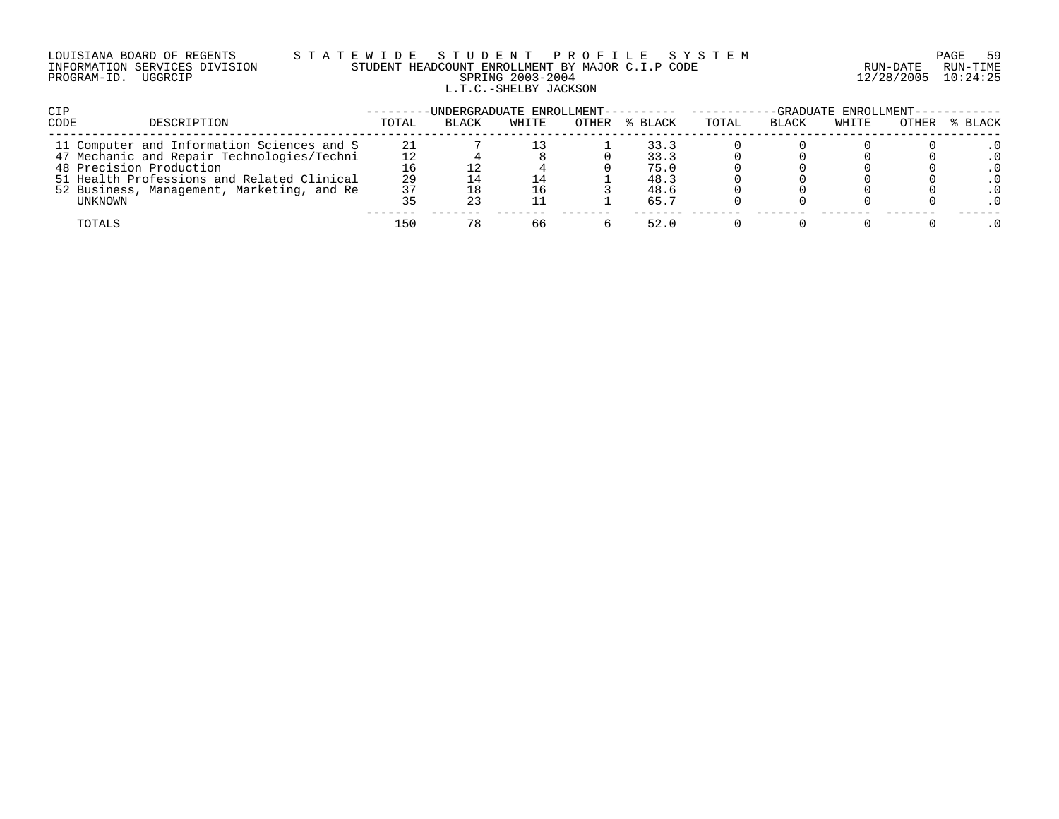# LOUISIANA BOARD OF REGENTS S T A T E W I D E S T U D E N T P R O F I L E S Y S T E M PAGE 59 INFORMATION SERVICES DIVISION STUDENT HEADCOUNT ENROLLMENT BY MAJOR C.I.P CODE RUN-DATE RUN-TIME PROGRAM-ID. UGGRCIP SPRING 2003-2004 12/28/2005 10:24:25 L.T.C.-SHELBY JACKSON

| <b>CIP</b>                                 |       | -UNDERGRADUATE ENROLLMENT---------- |       |       |         | -GRADUATE ENROLLMENT-- |              |       |       |         |
|--------------------------------------------|-------|-------------------------------------|-------|-------|---------|------------------------|--------------|-------|-------|---------|
| <b>CODE</b><br>DESCRIPTION                 | TOTAL | <b>BLACK</b>                        | WHITE | OTHER | % BLACK | TOTAL                  | <b>BLACK</b> | WHITE | OTHER | % BLACK |
| 11 Computer and Information Sciences and S | 21    |                                     |       |       | 33.3    |                        |              |       |       |         |
| 47 Mechanic and Repair Technologies/Techni |       |                                     |       |       | 33.3    |                        |              |       |       |         |
| 48 Precision Production                    |       |                                     |       |       | 75.0    |                        |              |       |       |         |
| 51 Health Professions and Related Clinical | 29    |                                     |       |       | 48.3    |                        |              |       |       |         |
| 52 Business, Management, Marketing, and Re | 37    |                                     | 16    |       | 48.6    |                        |              |       |       |         |
| UNKNOWN                                    |       |                                     |       |       | 65.7    |                        |              |       |       |         |
| TOTALS                                     | 150   | 78                                  | 66    |       | 52.0    |                        |              |       |       |         |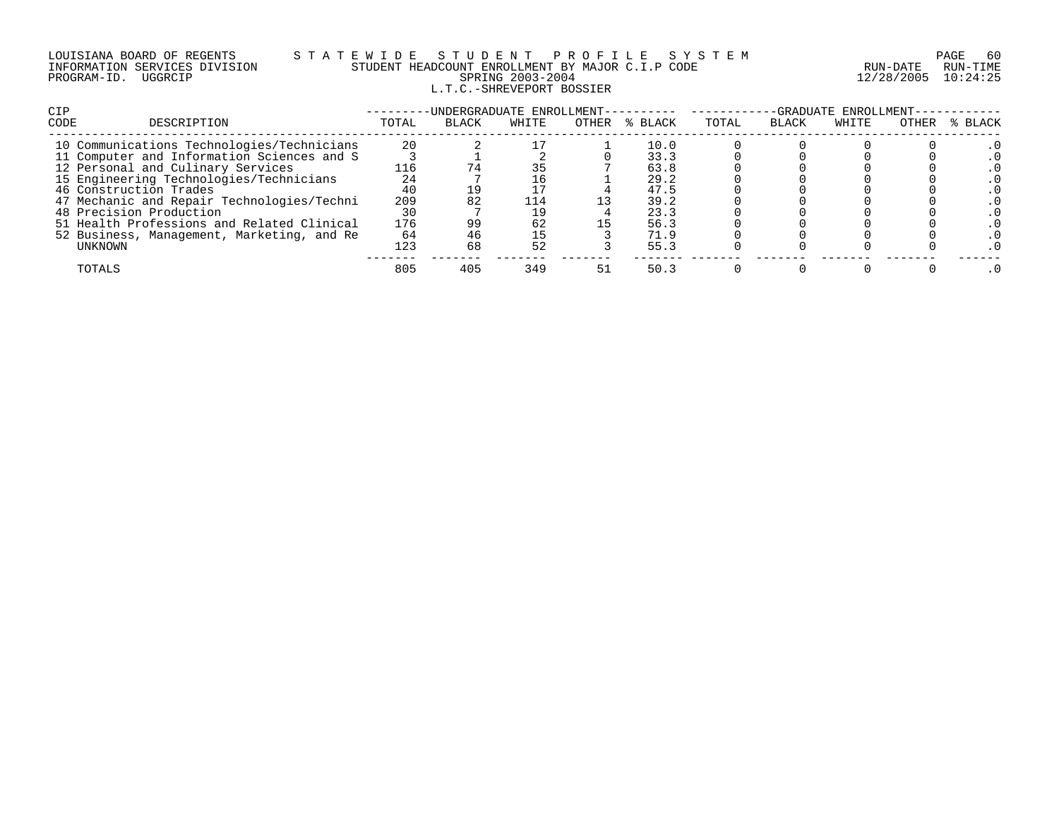# LOUISIANA BOARD OF REGENTS S T A T E W I D E S T U D E N T P R O F I L E S Y S T E M PAGE 60 INFORMATION SERVICES DIVISION STUDENT HEADCOUNT ENROLLMENT BY MAJOR C.I.P CODE RUN-DATE RUN-TIME PROGRAM-ID. UGGRCIP SPRING 2003-2004 12/28/2005 10:24:25 L.T.C.-SHREVEPORT BOSSIER

| <b>CIP</b> |                                            |       | -UNDERGRADUATE ENROLLMENT- |       |       |         | -GRADUATE ENROLLMENT- |              |       |       |         |
|------------|--------------------------------------------|-------|----------------------------|-------|-------|---------|-----------------------|--------------|-------|-------|---------|
| CODE       | DESCRIPTION                                | TOTAL | <b>BLACK</b>               | WHITE | OTHER | % BLACK | TOTAL                 | <b>BLACK</b> | WHITE | OTHER | % BLACK |
|            | 10 Communications Technologies/Technicians | 20    |                            |       |       | 10.0    |                       |              |       |       |         |
|            | 11 Computer and Information Sciences and S |       |                            |       |       | 33.3    |                       |              |       |       |         |
|            | 12 Personal and Culinary Services          | 116   |                            |       |       | 63.8    |                       |              |       |       |         |
|            | 15 Engineering Technologies/Technicians    |       |                            |       |       | 29.2    |                       |              |       |       |         |
|            | 46 Construction Trades                     | 40    |                            |       |       | 47.5    |                       |              |       |       |         |
|            | 47 Mechanic and Repair Technologies/Techni | 209   |                            | 114   |       | 39.2    |                       |              |       |       |         |
|            | 48 Precision Production                    | 30    |                            |       |       | 23.3    |                       |              |       |       |         |
|            | 51 Health Professions and Related Clinical | 176   | 99                         | 62    |       | 56.3    |                       |              |       |       |         |
|            | 52 Business, Management, Marketing, and Re | 64    |                            | 15    |       | 71.9    |                       |              |       |       |         |
|            | UNKNOWN                                    | 123   | 68                         | 52    |       | 55.3    |                       |              |       |       |         |
|            | TOTALS                                     | 805   | 405                        | 349   | -51   | 50.3    |                       |              |       |       |         |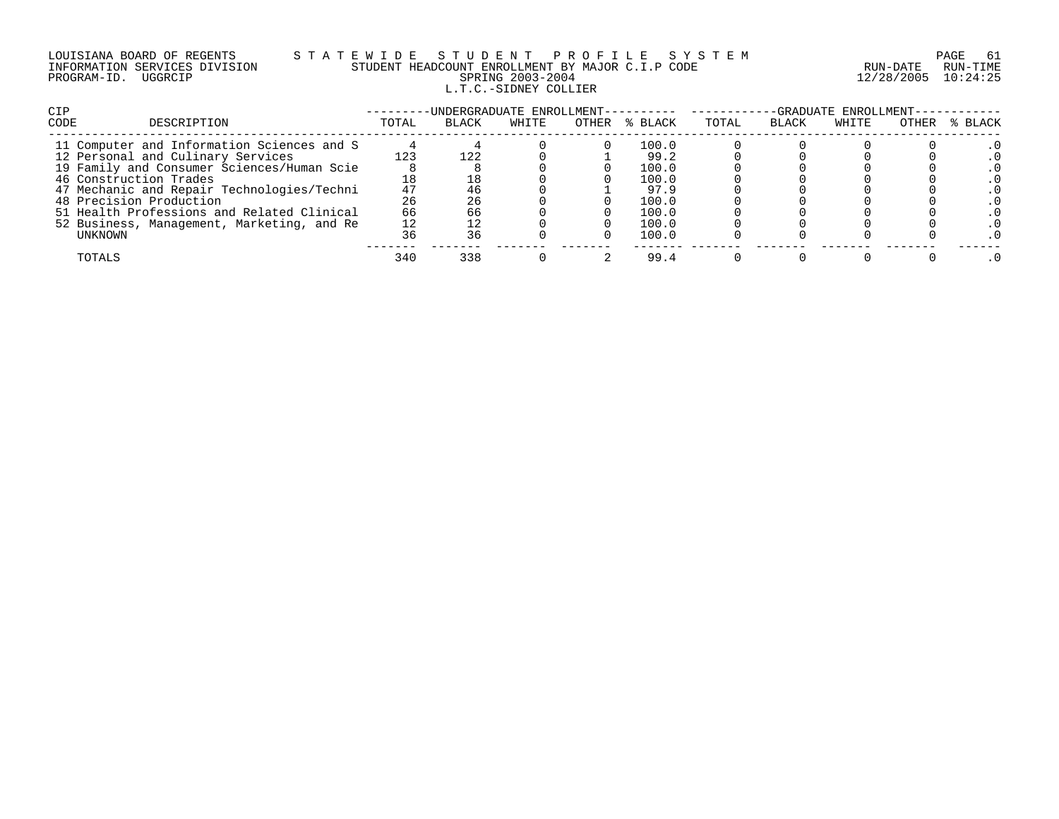| LOUISIANA BOARD OF REGENTS    |         |  |
|-------------------------------|---------|--|
| INFORMATION SERVICES DIVISION |         |  |
| PROGRAM-ID.                   | UGGRCIP |  |

# LOUISIANA BOARD OF REGENTS S T A T E W I D E S T U D E N T P R O F I L E S Y S T E M PAGE 61 INFORMATION SERVICES DIVISION STUDENT HEADCOUNT ENROLLMENT BY MAJOR C.I.P CODE RUN-DATE RUN-TIME PROGRAM-ID. UGGRCIP SPRING 2003-2004 12/28/2005 10:24:25 L.T.C.-SIDNEY COLLIER

| <b>CIP</b>                                 |       | UNDERGRADUATE ENROLLMENT--- |       |       |         | -GRADUATE ENROLLMENT- |              |       |       |         |
|--------------------------------------------|-------|-----------------------------|-------|-------|---------|-----------------------|--------------|-------|-------|---------|
| CODE<br>DESCRIPTION                        | TOTAL | <b>BLACK</b>                | WHITE | OTHER | % BLACK | TOTAL                 | <b>BLACK</b> | WHITE | OTHER | % BLACK |
| 11 Computer and Information Sciences and S |       |                             |       |       | 100.0   |                       |              |       |       |         |
| 12 Personal and Culinary Services          | 123   | 122                         |       |       | 99.2    |                       |              |       |       |         |
| 19 Family and Consumer Sciences/Human Scie |       |                             |       |       | 100.0   |                       |              |       |       |         |
| 46 Construction Trades                     |       |                             |       |       | 100.0   |                       |              |       |       |         |
| 47 Mechanic and Repair Technologies/Techni | 47    |                             |       |       | 97.9    |                       |              |       |       |         |
| 48 Precision Production                    | 26    | 26                          |       |       | 100.0   |                       |              |       |       |         |
| 51 Health Professions and Related Clinical | 66    |                             |       |       | 100.0   |                       |              |       |       |         |
| 52 Business, Management, Marketing, and Re | 12    |                             |       |       | 100.0   |                       |              |       |       |         |
| UNKNOWN                                    | 36    | 36                          |       |       | 100.0   |                       |              |       |       |         |
| TOTALS                                     | 340   | 338                         |       |       | 99.4    |                       |              |       |       |         |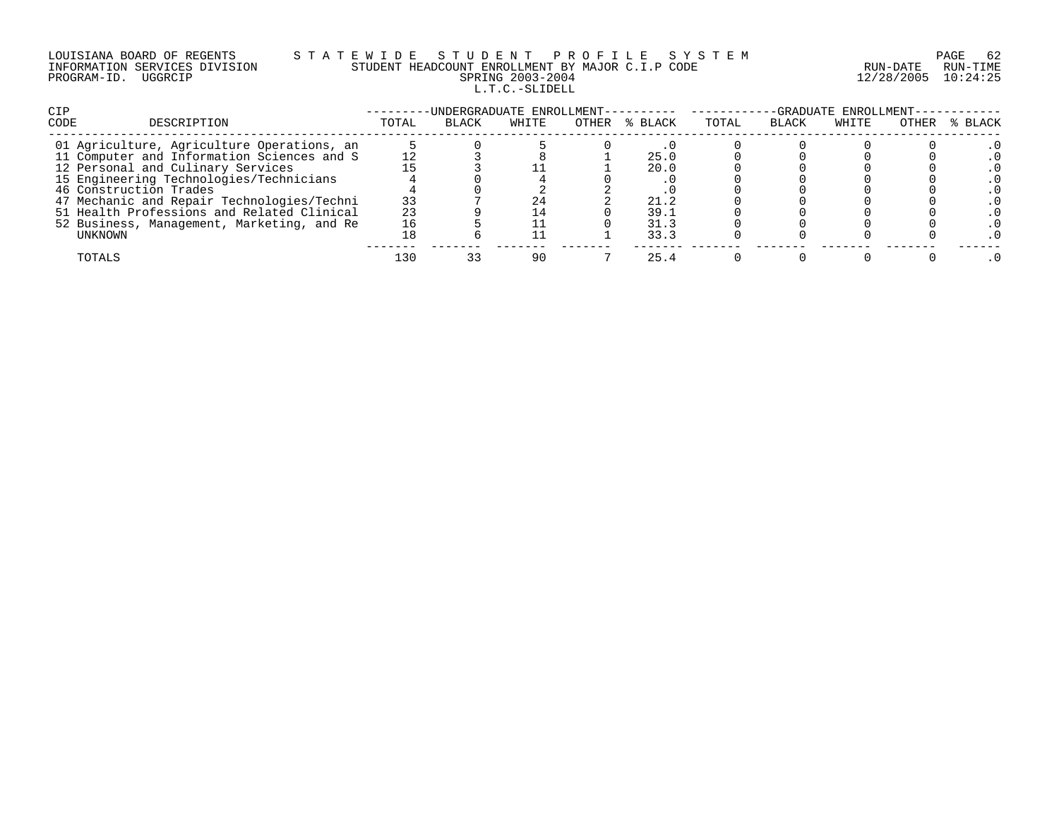|             | LOUISIANA BOARD OF REGENTS    |
|-------------|-------------------------------|
|             | INFORMATION SERVICES DIVISION |
| PROGRAM-ID. | UGGRCIP                       |

## LOUISIANA BOARD OF REGENTS S T A T E W I D E S T U D E N T P R O F I L E S Y S T E M PAGE 62 INFORMATION SERVICES DIVISION STUDENT HEADCOUNT ENROLLMENT BY MAJOR C.I.P CODE RUN-DATE RUN-TIME PRING 2003-2004 12/28/2005 10:24:25 L.T.C.-SLIDELL

| <b>CIP</b>                                 |       | -UNDERGRADUATE ENROLLMENT- |       |       |         | -GRADUATE ENROLLMENT- |       |       |       |         |  |
|--------------------------------------------|-------|----------------------------|-------|-------|---------|-----------------------|-------|-------|-------|---------|--|
| CODE<br>DESCRIPTION                        | TOTAL | BLACK                      | WHITE | OTHER | % BLACK | TOTAL                 | BLACK | WHITE | OTHER | % BLACK |  |
| 01 Agriculture, Agriculture Operations, an |       |                            |       |       |         |                       |       |       |       |         |  |
| 11 Computer and Information Sciences and S |       |                            |       |       | 25.0    |                       |       |       |       |         |  |
| 12 Personal and Culinary Services          |       |                            |       |       | 20.0    |                       |       |       |       |         |  |
| 15 Engineering Technologies/Technicians    |       |                            |       |       |         |                       |       |       |       |         |  |
| 46 Construction Trades                     |       |                            |       |       |         |                       |       |       |       |         |  |
| 47 Mechanic and Repair Technologies/Techni | 33    |                            | 24    |       | 21.2    |                       |       |       |       |         |  |
| 51 Health Professions and Related Clinical | 23    |                            |       |       | 39.1    |                       |       |       |       |         |  |
| 52 Business, Management, Marketing, and Re | 16    |                            |       |       | 31.3    |                       |       |       |       |         |  |
| UNKNOWN                                    |       |                            |       |       | 33.3    |                       |       |       |       |         |  |
| TOTALS                                     | -30   |                            |       |       | 25.4    |                       |       |       |       |         |  |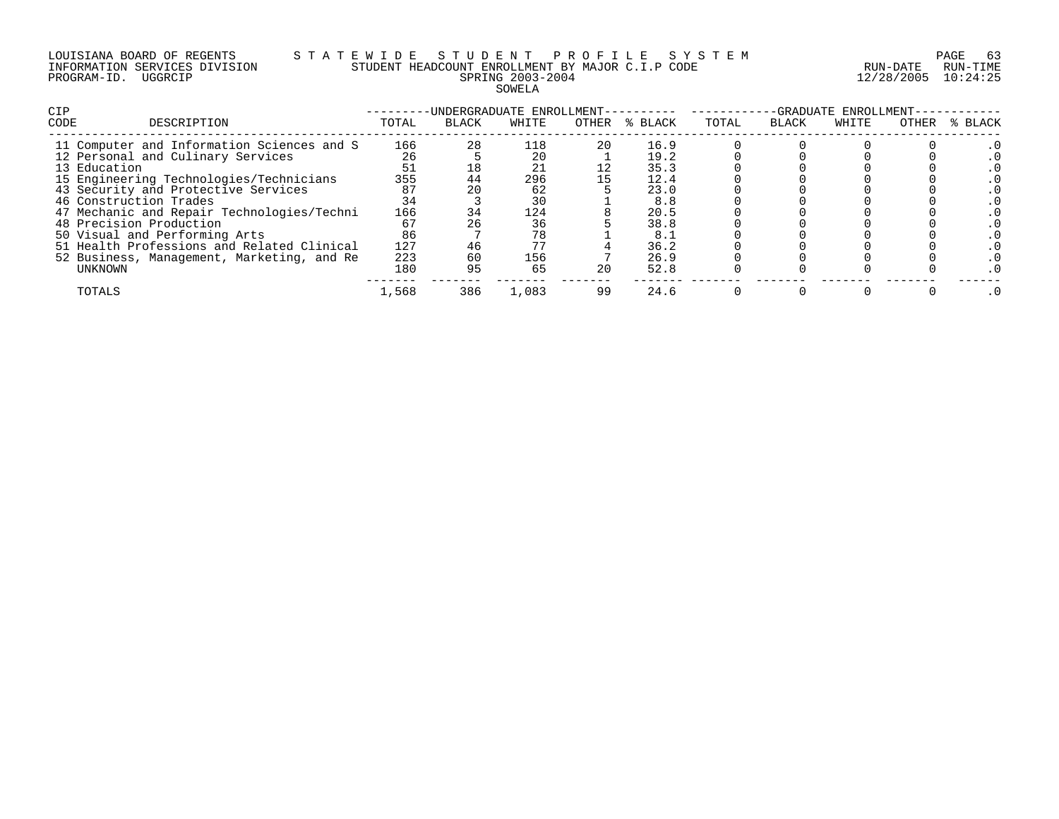#### LOUISIANA BOARD OF REGENTS S T A T E W I D E S T U D E N T P R O F I L E S Y S T E M PAGE 63 INFORMATION SERVICES DIVISION STUDENT HEADCOUNT ENROLLMENT BY MAJOR C.I.P CODE RUN-DATE RUN-TIME PROGRAM-ID. UGGRCIP SPRING 2003-2004 12/28/2005 10:24:25 SOWELA

| <b>CIP</b><br>CODE<br>DESCRIPTION          | TOTAL | -UNDERGRADUATE ENROLLMENT-<br>BLACK | WHITE | OTHER | % BLACK | TOTAL | BLACK | -GRADUATE ENROLLMENT-<br>WHITE | OTHER | % BLACK |
|--------------------------------------------|-------|-------------------------------------|-------|-------|---------|-------|-------|--------------------------------|-------|---------|
| 11 Computer and Information Sciences and S | 166   | 28                                  | 118   | 20    | 16.9    |       |       |                                |       |         |
| 12 Personal and Culinary Services          | 26    |                                     | 20    |       | 19.2    |       |       |                                |       |         |
| 13 Education                               |       |                                     | 21    |       | 35.3    |       |       |                                |       |         |
| 15 Engineering Technologies/Technicians    | 355   | 44                                  | 296   |       | 12.4    |       |       |                                |       |         |
| 43 Security and Protective Services        | 87    |                                     | 62    |       | 23.0    |       |       |                                |       |         |
| 46 Construction Trades                     | 34    |                                     | 30    |       | 8.8     |       |       |                                |       |         |
| 47 Mechanic and Repair Technologies/Techni | 166   | 34                                  | 124   |       | 20.5    |       |       |                                |       |         |
| 48 Precision Production                    | 67    |                                     | 36    |       | 38.8    |       |       |                                |       |         |
| 50 Visual and Performing Arts              | 86    |                                     | 78    |       | 8.1     |       |       |                                |       |         |
| 51 Health Professions and Related Clinical | 127   |                                     | 77    |       | 36.2    |       |       |                                |       |         |
| 52 Business, Management, Marketing, and Re | 223   | 60                                  | 156   |       | 26.9    |       |       |                                |       |         |
| UNKNOWN                                    | 180   | 95                                  | 65    | 20    | 52.8    |       |       |                                |       |         |
| TOTALS                                     | 1,568 | 386                                 | 1,083 | 99    | 24.6    |       |       |                                |       |         |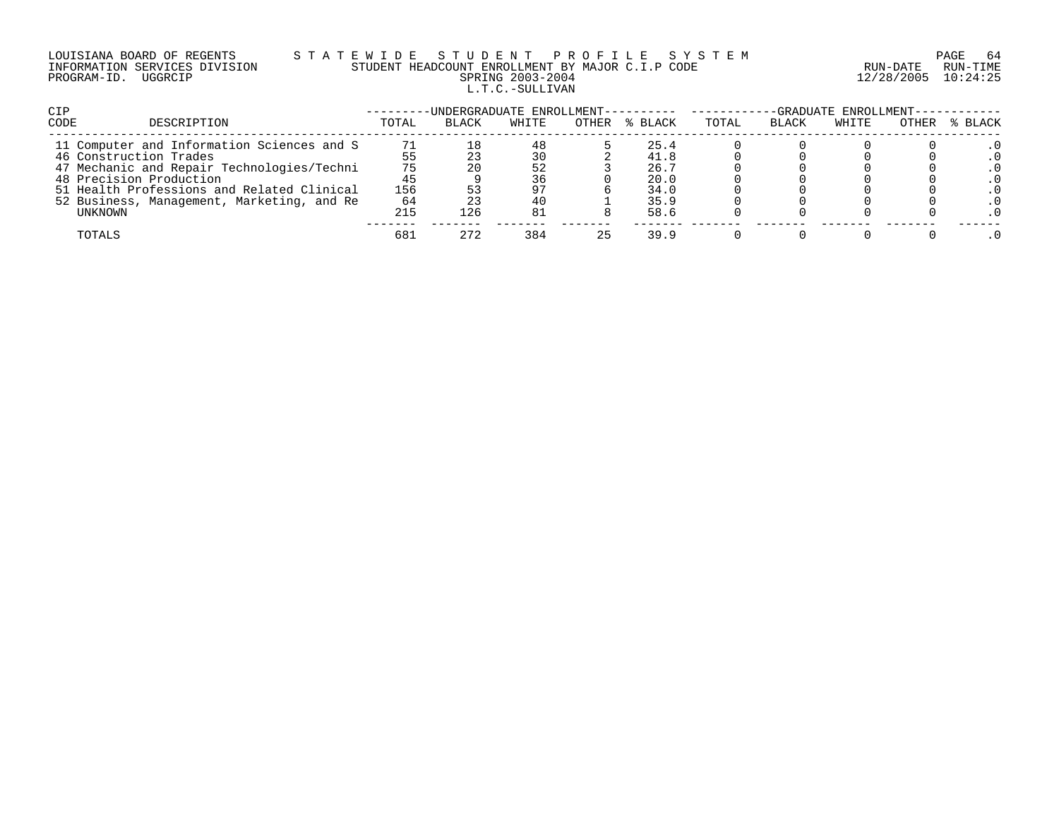# LOUISIANA BOARD OF REGENTS S T A T E W I D E S T U D E N T P R O F I L E S Y S T E M PAGE 64 INFORMATION SERVICES DIVISION STUDENT HEADCOUNT ENROLLMENT BY MAJOR C.I.P CODE RUN-DATE RUN-TIME PROGRAM-ID. UGGRCIP SPRING 2003-2004 12/28/2005 10:24:25 L.T.C.-SULLIVAN

| CIP                                        |       | -UNDERGRADUATE ENROLLMENT---------- |       |       |         | -GRADUATE ENROLLMENT--- |              |       |       |         |
|--------------------------------------------|-------|-------------------------------------|-------|-------|---------|-------------------------|--------------|-------|-------|---------|
| CODE<br>DESCRIPTION                        | TOTAL | <b>BLACK</b>                        | WHITE | OTHER | % BLACK | TOTAL                   | <b>BLACK</b> | WHITE | OTHER | % BLACK |
| 11 Computer and Information Sciences and S | 71    |                                     | 48    |       | 25.4    |                         |              |       |       |         |
| 46 Construction Trades                     |       |                                     | 30    |       | 41.8    |                         |              |       |       |         |
| 47 Mechanic and Repair Technologies/Techni |       |                                     | 52    |       | 26.7    |                         |              |       |       |         |
| 48 Precision Production                    |       |                                     | 36    |       | 20.0    |                         |              |       |       |         |
| 51 Health Professions and Related Clinical | 156   |                                     | 97    |       | 34.0    |                         |              |       |       |         |
| 52 Business, Management, Marketing, and Re | 64    |                                     | 40    |       | 35.9    |                         |              |       |       |         |
| UNKNOWN                                    | 215   | 126                                 | -81   |       | 58.6    |                         |              |       |       |         |
| TOTALS                                     | 681   | 272                                 | 384   | 25    | 39.9    |                         |              |       |       |         |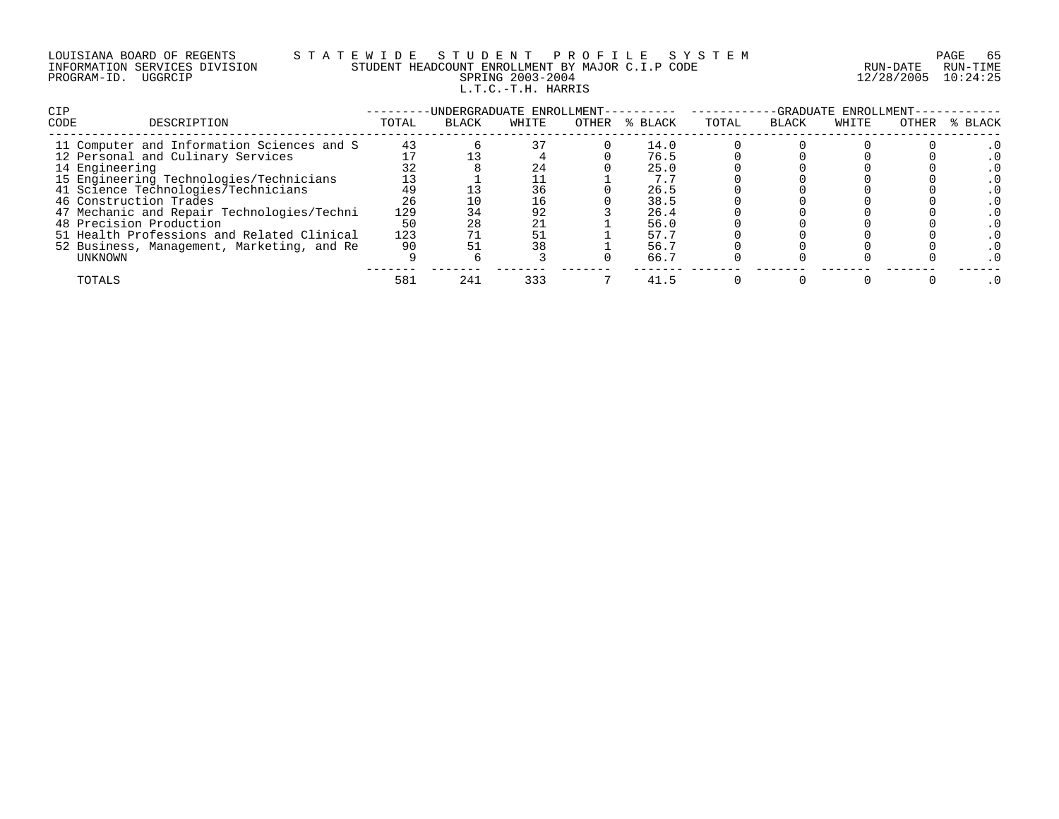# LOUISIANA BOARD OF REGENTS S T A T E W I D E S T U D E N T P R O F I L E S Y S T E M PAGE 65 INFORMATION SERVICES DIVISION STUDENT HEADCOUNT ENROLLMENT BY MAJOR C.I.P CODE RUN-DATE RUN-TIME PROGRAM-ID. UGGRCIP SPRING 2003-2004 12/28/2005 10:24:25 L.T.C.-T.H. HARRIS

| <b>CIP</b>                                 |       | -UNDERGRADUATE ENROLLMENT- |       |       |         |       |              | -GRADUATE ENROLLMENT- |       |         |
|--------------------------------------------|-------|----------------------------|-------|-------|---------|-------|--------------|-----------------------|-------|---------|
| CODE<br>DESCRIPTION                        | TOTAL | <b>BLACK</b>               | WHITE | OTHER | % BLACK | TOTAL | <b>BLACK</b> | WHITE                 | OTHER | % BLACK |
| 11 Computer and Information Sciences and S | 43    |                            |       |       | 14.0    |       |              |                       |       |         |
| 12 Personal and Culinary Services          |       |                            |       |       | 76.5    |       |              |                       |       |         |
| 14 Engineering                             |       |                            | 24    |       | 25.0    |       |              |                       |       |         |
| 15 Engineering Technologies/Technicians    |       |                            |       |       | 7.7     |       |              |                       |       |         |
| 41 Science Technologies/Technicians        | 49    |                            | 36    |       | 26.5    |       |              |                       |       |         |
| 46 Construction Trades                     | 26    |                            | 16    |       | 38.5    |       |              |                       |       |         |
| 47 Mechanic and Repair Technologies/Techni | 129   |                            | 92    |       | 26.4    |       |              |                       |       |         |
| 48 Precision Production                    | 50    | 28                         | 21    |       | 56.0    |       |              |                       |       |         |
| 51 Health Professions and Related Clinical | 123   |                            |       |       | 57.7    |       |              |                       |       |         |
| 52 Business, Management, Marketing, and Re | 90    |                            | 38    |       | 56.7    |       |              |                       |       |         |
| UNKNOWN                                    |       |                            |       |       | 66.7    |       |              |                       |       |         |
| TOTALS                                     | 581   | 241                        | 333   |       | 41.5    |       |              |                       |       |         |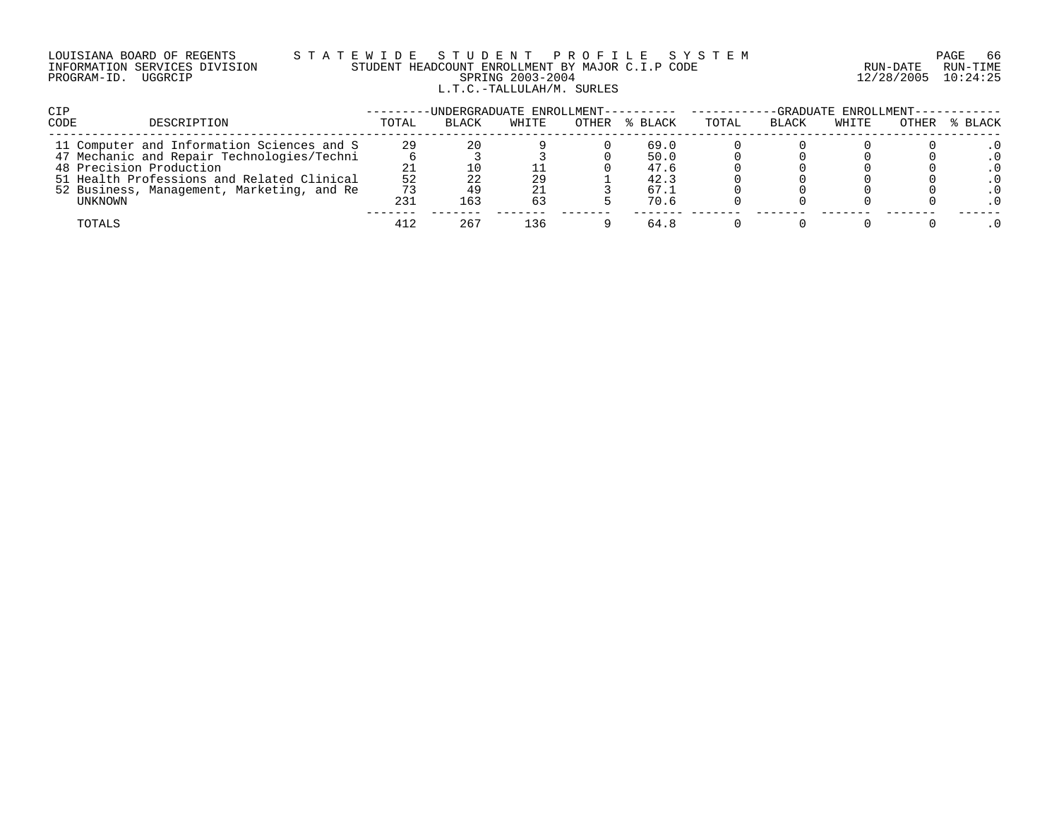# LOUISIANA BOARD OF REGENTS S T A T E W I D E S T U D E N T P R O F I L E S Y S T E M PAGE 66 INFORMATION SERVICES DIVISION STUDENT HEADCOUNT ENROLLMENT BY MAJOR C.I.P CODE RUN-DATE RUN-TIME PROGRAM-ID. UGGRCIP SPRING 2003-2004 12/28/2005 10:24:25 L.T.C.-TALLULAH/M. SURLES

| <b>CIP</b>                                 | -GRADUATE ENROLLMENT-----------<br>-UNDERGRADUATE ENROLLMENT---------- ------ |       |       |       |         |       |              |       |       |         |
|--------------------------------------------|-------------------------------------------------------------------------------|-------|-------|-------|---------|-------|--------------|-------|-------|---------|
| <b>CODE</b><br>DESCRIPTION                 | TOTAL                                                                         | BLACK | WHITE | OTHER | % BLACK | TOTAL | <b>BLACK</b> | WHITE | OTHER | % BLACK |
| 11 Computer and Information Sciences and S | 29                                                                            | 20    |       |       | 69.0    |       |              |       |       |         |
| 47 Mechanic and Repair Technologies/Techni |                                                                               |       |       |       | 50.0    |       |              |       |       |         |
| 48 Precision Production                    |                                                                               |       |       |       | 47.6    |       |              |       |       |         |
| 51 Health Professions and Related Clinical | 52                                                                            | 22    | 29    |       | 42.3    |       |              |       |       |         |
| 52 Business, Management, Marketing, and Re | 73                                                                            |       |       |       | 67.1    |       |              |       |       |         |
| UNKNOWN                                    | 231                                                                           | 163   | 63    |       | 70.6    |       |              |       |       |         |
| TOTALS                                     | 412                                                                           | 267   | 136   |       | 64.8    |       |              |       |       |         |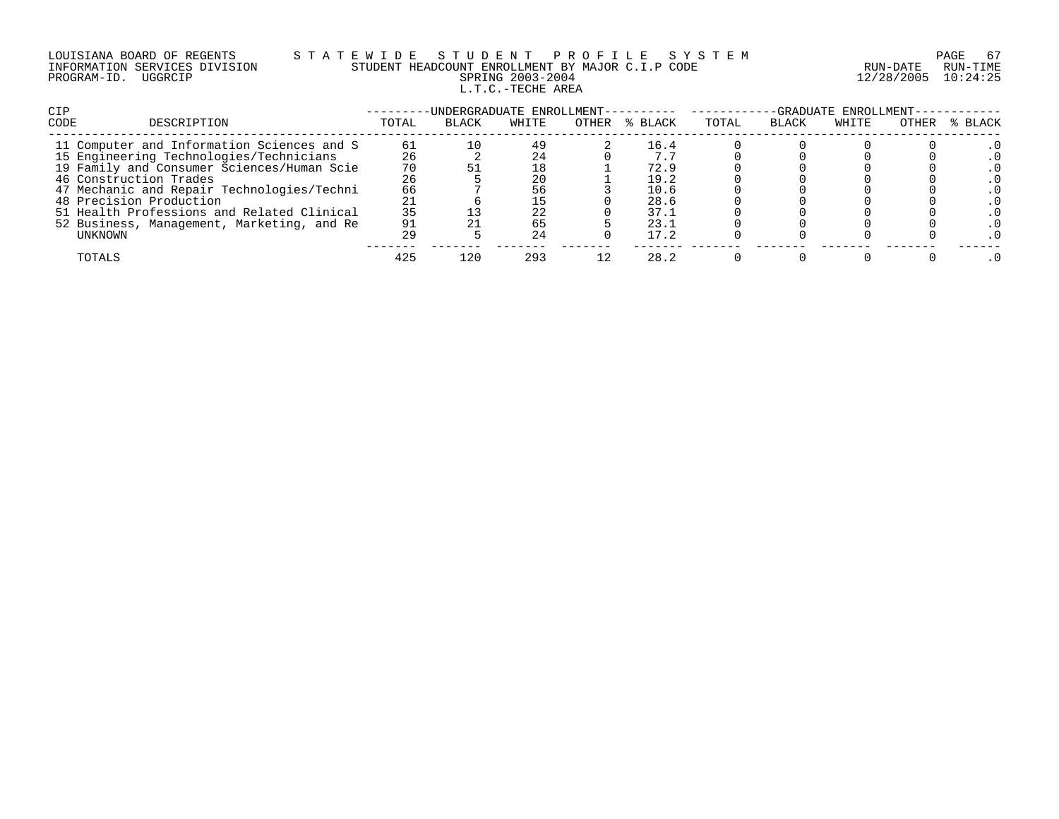|             | LOUISIANA BOARD OF REGENTS    |
|-------------|-------------------------------|
|             | INFORMATION SERVICES DIVISION |
| PROGRAM-ID. | UGGRCIP                       |

# S T A T E W I D E S T U D E N T P R O F I L E S Y S T E M PAGE 67 PAGE 67 STUDENT HEADCOUNT ENROLLMENT BY MAJOR C.I.P CODE STUDENT HEADCOUNT ENROLLMENT BY MAJOR C.I.P CODE PRING 2003-2004 12/28/2005 10:24:25 L.T.C.-TECHE AREA

| <b>CIP</b>                                 |       |              |       |       | -UNDERGRADUATE ENROLLMENT---------- -- |       |              | -GRADUATE ENROLLMENT- |       |         |
|--------------------------------------------|-------|--------------|-------|-------|----------------------------------------|-------|--------------|-----------------------|-------|---------|
| CODE<br>DESCRIPTION                        | TOTAL | <b>BLACK</b> | WHITE | OTHER | % BLACK                                | TOTAL | <b>BLACK</b> | WHITE                 | OTHER | % BLACK |
| 11 Computer and Information Sciences and S | 61    |              | 49    |       | 16.4                                   |       |              |                       |       |         |
| 15 Engineering Technologies/Technicians    | 26    |              | 24    |       |                                        |       |              |                       |       |         |
| 19 Family and Consumer Sciences/Human Scie | 70    |              |       |       | 72.9                                   |       |              |                       |       |         |
| 46 Construction Trades                     | 26    |              | 20    |       | 19.2                                   |       |              |                       |       |         |
| 47 Mechanic and Repair Technologies/Techni | 66    |              | 56    |       | 10.6                                   |       |              |                       |       |         |
| 48 Precision Production                    |       |              |       |       | 28.6                                   |       |              |                       |       |         |
| 51 Health Professions and Related Clinical | 35    |              | 22    |       | 37.1                                   |       |              |                       |       |         |
| 52 Business, Management, Marketing, and Re | 91    |              | 65    |       | 23.1                                   |       |              |                       |       |         |
| UNKNOWN                                    | 29    |              | 24    |       | 17.2                                   |       |              |                       |       |         |
| TOTALS                                     | 425   | 120          | 293   |       | 28.2                                   |       |              |                       |       |         |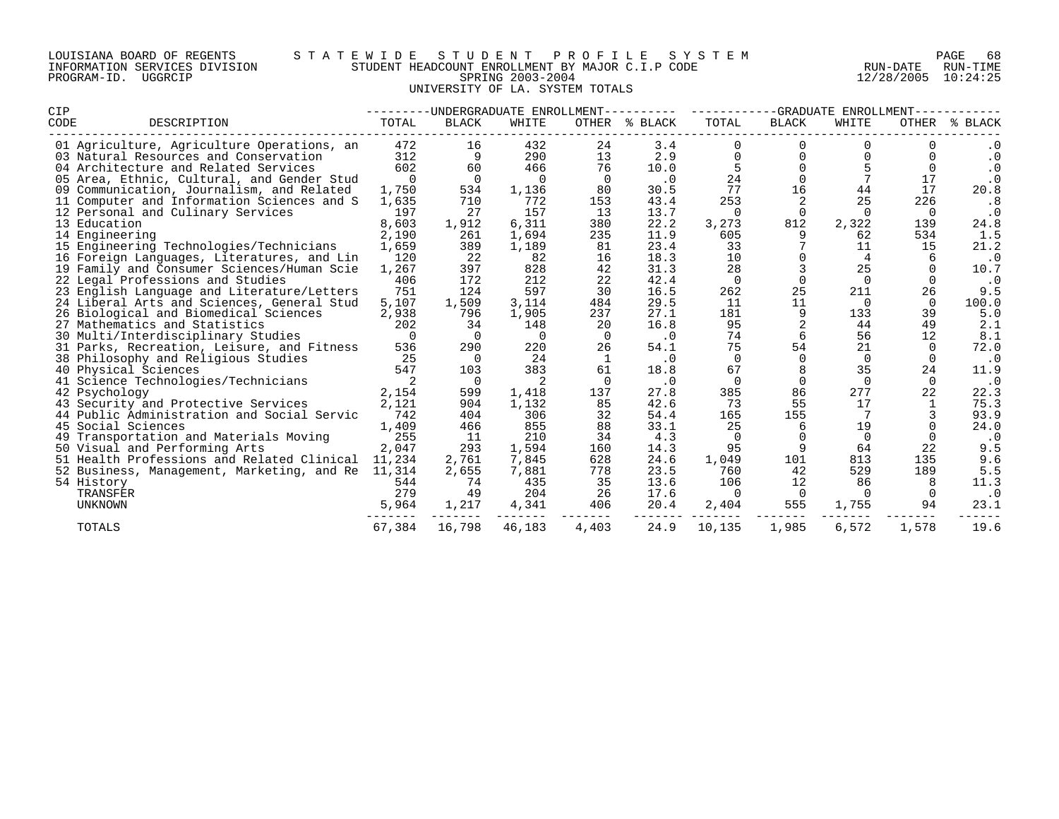| LOUISIANA BOARD OF REGENTS    |         |  |
|-------------------------------|---------|--|
| INFORMATION SERVICES DIVISION |         |  |
| PROGRAM-ID.                   | UGGRCIP |  |

# LOUISIANA BOARD OF REGENTS S T A T E W I D E S T U D E N T P R O F I L E S Y S T E M PAGE 68 INFORMATION SERVICES DIVISION STUDENT HEADCOUNT ENROLLMENT BY MAJOR C.I.P CODE RUN-DATE RUN-TIME PROGRAM-ID. UGGRCIP SPRING 2003-2004 12/28/2005 10:24:25 E HELBOOMI ENCORRET SING 2003-2004<br>SPRING 2003-2004<br>UNIVERSITY OF LA. SYSTEM TOTALS

| <b>CIP</b>                                               | --------        |              | -UNDERGRADUATE ENROLLMENT- |          | ---------     | -GRADUATE ENROLLMENT-<br>---------- |                |                |                |            |  |
|----------------------------------------------------------|-----------------|--------------|----------------------------|----------|---------------|-------------------------------------|----------------|----------------|----------------|------------|--|
| CODE<br>DESCRIPTION                                      | TOTAL           | <b>BLACK</b> | WHITE                      |          | OTHER % BLACK | TOTAL                               | <b>BLACK</b>   | WHITE          | OTHER          | % BLACK    |  |
| 01 Agriculture, Agriculture Operations, an               | 472             | 16           | 432                        | 24       | 3.4           |                                     | $\Omega$       |                |                |            |  |
| 03 Natural Resources and Conservation                    | 312             | 9            | 290                        | 13       | 2.9           | $\Omega$                            | $\Omega$       |                | 0              | $\cdot$ 0  |  |
| 04 Architecture and Related Services                     | 602             | 60           | 466                        | 76       | 10.0          | 5                                   | $\Omega$       |                | $\Omega$       | $\cdot$ 0  |  |
| 05 Area, Ethnic, Cultural, and Gender Stud               | $\Omega$        | $\Omega$     | $\Omega$                   | $\Omega$ | $\cdot$ 0     | 24                                  | $\mathbf 0$    |                | 17             | $\cdot$ 0  |  |
| 09 Communication, Journalism, and Related                | 1,750           | 534          | 1,136                      | 80       | 30.5          | 77                                  | 16             | 44             | 17             | 20.8       |  |
| 11 Computer and Information Sciences and S               | 1,635           | 710          | 772                        | 153      | 43.4          | 253                                 | 2              | 25             | 226            | .8         |  |
| 12 Personal and Culinary Services                        | 197             | 27           | 157                        | 13       | 13.7          | $\Omega$                            | $\overline{0}$ | $\Omega$       | $\overline{0}$ | $\cdot$ 0  |  |
| 13 Education                                             | 8,603           | 1,912        | 6,311                      | 380      | 22.2          | 3,273                               | 812            | 2,322          | 139            | 24.8       |  |
| 14 Engineering                                           | 2,190           | 261          | 1,694                      | 235      | 11.9          | 605                                 | 9              | 62             | 534            | 1.5        |  |
| 15 Engineering Technologies/Technicians                  | 1,659           | 389          | 1,189                      | 81       | 23.4          | 33                                  |                | 11             | 15             | 21.2       |  |
| 16 Foreign Languages, Literatures, and Lin               | 120             | 22           | 82                         | 16       | 18.3          | 10                                  | $\mathbf 0$    | 4              | 6              | $\cdot$ 0  |  |
| 19 Family and Consumer Sciences/Human Scie               | 1,267           | 397          | 828                        | 42       | 31.3          | 28                                  | $\mathbf{3}$   | 25             |                | 10.7       |  |
| 22 Legal Professions and Studies                         | 406             | 172          | 212                        | 22       | 42.4          | $\Omega$                            | $\Omega$       | $\Omega$       |                | $\cdot$ 0  |  |
| 23 English Language and Literature/Letters               | 751             | 124          | 597                        | 30       | 16.5          | 262                                 | 25             | 211            | 26             | 9.5        |  |
| 24 Liberal Arts and Sciences, General Stud               | 5,107           | 1,509        | 3,114                      | 484      | 29.5          | 11                                  | 11             | $\Omega$       | $\Omega$       | 100.0      |  |
| 26 Biological and Biomedical Sciences                    | 2,938           | 796          | 1,905                      | 237      | 27.1          | 181                                 | 9              | 133            | 39             | 5.0        |  |
| 27 Mathematics and Statistics                            | 202             | 34           | 148                        | 20       | 16.8          | 95                                  |                | 44             | 49             | 2.1        |  |
| 30 Multi/Interdisciplinary Studies                       | $\Omega$        | $\Omega$     | $\Omega$                   | - 0      | $\cdot$ 0     | 74                                  | 6              | 56             | 12             | 8.1        |  |
| 31 Parks, Recreation, Leisure, and Fitness               | 536             | 290          | 220                        | 26       | 54.1          | 75                                  | 54             | 21             |                | 72.0       |  |
| 38 Philosophy and Religious Studies                      | 25              | $\Omega$     | 24                         |          | . 0           | $\Omega$                            | $\Omega$       | $\Omega$       |                | $\cdot$ 0  |  |
| 40 Physical Sciences                                     | 547             | 103          | 383                        | 61       | 18.8          | 67                                  |                | 35             | 24             | 11.9       |  |
| 41 Science Technologies/Technicians                      |                 | $\Omega$     |                            |          | $\cdot$ 0     | $\Omega$                            | $\Omega$       | $\Omega$       | $\Omega$       | $\cdot$ 0  |  |
| 42 Psychology                                            | 2,154           | 599          | 1,418                      | 137      | 27.8          | 385                                 | 86             | 277            | 22             | 22.3       |  |
| 43 Security and Protective Services                      | 2,121           | 904          | 1,132                      | 85       | 42.6          | 73                                  | 55             | 17             |                | 75.3       |  |
| 44 Public Administration and Social Servic               | 742             | 404          | 306<br>855                 | 32       | 54.4          | 165                                 | 155            |                |                | 93.9       |  |
| 45 Social Sciences                                       | 1,409<br>255    | 466          |                            | 88<br>34 | 33.1          | 25<br>$\Omega$                      | 6<br>$\Omega$  | 19<br>$\Omega$ | $\Omega$       | 24.0       |  |
| 49 Transportation and Materials Moving                   |                 | 11<br>293    | 210<br>1,594               | 160      | 4.3<br>14.3   | 95                                  | 9              | 64             | 22             | $\cdot$ 0  |  |
| 50 Visual and Performing Arts                            | 2,047<br>11,234 | 2,761        |                            | 628      | 24.6          | 1,049                               | 101            | 813            | 135            | 9.5        |  |
| 51 Health Professions and Related Clinical               |                 | 2,655        | 7,845<br>7,881             | 778      | 23.5          | 760                                 | 42             | 529            | 189            | 9.6<br>5.5 |  |
| 52 Business, Management, Marketing, and Re<br>54 History | 11,314<br>544   | 74           | 435                        | 35       | 13.6          | 106                                 | 12             | 86             |                | 11.3       |  |
| TRANSFER                                                 | 279             | 49           | 204                        | 26       | 17.6          | $\Omega$                            | $\Omega$       | $\Omega$       |                | $\cdot$ 0  |  |
| UNKNOWN                                                  | 5,964           | 1,217        | 4,341                      | 406      | 20.4          | 2,404                               | 555            | 1,755          | 94             | 23.1       |  |
|                                                          |                 |              |                            |          |               |                                     |                |                |                |            |  |
| <b>TOTALS</b>                                            | 67,384          | 16,798       | 46,183                     | 4,403    | 24.9          | 10,135                              | 1,985          | 6,572          | 1,578          | 19.6       |  |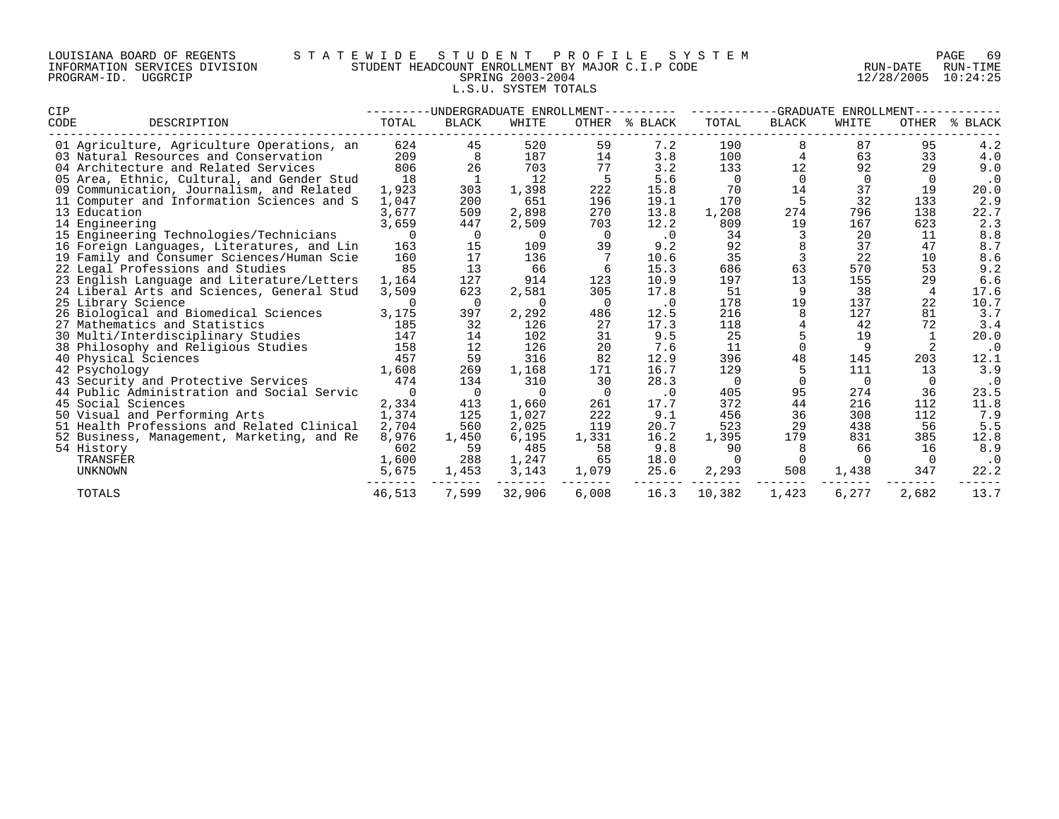| LOUISIANA BOARD OF REGENTS    |         |  |  |
|-------------------------------|---------|--|--|
| INFORMATION SERVICES DIVISION |         |  |  |
| PROGRAM-ID.                   | UGGRCIP |  |  |

# LOUISIANA BOARD OF REGENTS S T A T E W I D E S T U D E N T P R O F I L E S Y S T E M PAGE 69 INFORMATION SERVICES DIVISION STUDENT HEADCOUNT ENROLLMENT BY MAJOR C.I.P CODE RUN-DATE RUN-TIME PROGRAM-ID. UGGRCIP SPRING 2003-2004 12/28/2005 10:24:25 L.S.U. SYSTEM TOTALS

| CIP                                        |          | -UNDERGRADUATE ENROLLMENT- |          |                | -GRADUATE<br>ENROLLMENT |          |              |          |                |             |
|--------------------------------------------|----------|----------------------------|----------|----------------|-------------------------|----------|--------------|----------|----------------|-------------|
| CODE<br>DESCRIPTION                        | TOTAL    | <b>BLACK</b>               | WHITE    | OTHER          | % BLACK                 | TOTAL    | <b>BLACK</b> | WHITE    | OTHER          | BLACK<br>°≈ |
| 01 Agriculture, Agriculture Operations, an | 624      | 45                         | 520      | 59             | 7.2                     | 190      |              | 87       | 95             | 4.2         |
| 03 Natural Resources and Conservation      | 209      | 8                          | 187      | 14             | 3.8                     | 100      | 4            | 63       | 33             | 4.0         |
| 04 Architecture and Related Services       | 806      | 26                         | 703      | 77             | 3.2                     | 133      | 12           | 92       | 29             | 9.0         |
| 05 Area, Ethnic, Cultural, and Gender Stud | 18       |                            | 12       |                | 5.6                     | 0        | $\Omega$     | $\Omega$ | $\Omega$       | . 0         |
| 09 Communication, Journalism, and Related  | 1,923    | 303                        | 1,398    | 222            | 15.8                    | 70       | 14           | 37       | 19             | 20.0        |
| 11 Computer and Information Sciences and S | 1,047    | 200                        | 651      | 196            | 19.1                    | 170      |              | 32       | 133            | 2.9         |
| 13 Education                               | 3,677    | 509                        | 2,898    | 270            | 13.8                    | 1,208    | 274          | 796      | 138            | 22.7        |
| 14 Engineering                             | 3,659    | 447                        | 2,509    | 703            | 12.2                    | 809      | 19           | 167      | 623            | 2.3         |
| 15 Engineering Technologies/Technicians    | $\Omega$ | 0                          | $\Omega$ | $\overline{0}$ | $\cdot$ 0               | 34       | 3            | 20       | 11             | 8.8         |
| 16 Foreign Languages, Literatures, and Lin | 163      | 15                         | 109      | 39             | 9.2                     | 92       |              | 37       | 47             | 8.7         |
| 19 Family and Consumer Sciences/Human Scie | 160      | 17                         | 136      |                | 10.6                    | 35       | 3            | 22       | 10             | 8.6         |
| 22 Legal Professions and Studies           | 85       | 13                         | 66       |                | 15.3                    | 686      | 63           | 570      | 53             | 9.2         |
| 23 English Language and Literature/Letters | 1,164    | 127                        | 914      | 123            | 10.9                    | 197      | 13           | 155      | 29             | 6.6         |
| 24 Liberal Arts and Sciences, General Stud | 3,509    | 623                        | 2,581    | 305            | 17.8                    | 51       | 9            | 38       | $\overline{4}$ | 17.6        |
| 25 Library Science                         | $\Omega$ | $\Omega$                   | $\Omega$ | - 0            | $\cdot$ 0               | 178      | 19           | 137      | 22             | 10.7        |
| 26 Biological and Biomedical Sciences      | 3,175    | 397                        | 2,292    | 486            | 12.5                    | 216      | 8            | 127      | 81             | 3.7         |
| 27 Mathematics and Statistics              | 185      | 32                         | 126      | 27             | 17.3                    | 118      |              | 42       | 72             | 3.4         |
| 30 Multi/Interdisciplinary Studies         | 147      | 14                         | 102      | 31             | 9.5                     | 25       |              | 19       | -1             | 20.0        |
| 38 Philosophy and Religious Studies        | 158      | 12                         | 126      | 20             | 7.6                     | 11       | $\Omega$     | 9        | 2              | $\cdot$ 0   |
| 40 Physical Sciences                       | 457      | 59                         | 316      | 82             | 12.9                    | 396      | 48           | 145      | 203            | 12.1        |
| 42 Psychology                              | 1,608    | 269                        | 1,168    | 171            | 16.7                    | 129      |              | 111      | 13             | 3.9         |
| 43 Security and Protective Services        | 474      | 134                        | 310      | 30             | 28.3                    | $\Omega$ | $\Omega$     | $\Omega$ |                | $\cdot$ 0   |
| 44 Public Administration and Social Servic | $\Omega$ | 0                          | $\Omega$ |                | $\cdot$ 0               | 405      | 95           | 274      | 36             | 23.5        |
| 45 Social Sciences                         | 2,334    | 413                        | 1,660    | 261            | 17.7                    | 372      | 44           | 216      | 112            | 11.8        |
| 50 Visual and Performing Arts              | 1,374    | 125                        | 1,027    | 222            | 9.1                     | 456      | 36           | 308      | 112            | 7.9         |
| 51 Health Professions and Related Clinical | 2,704    | 560                        | 2,025    | 119            | 20.7                    | 523      | 29           | 438      | 56             | 5.5         |
| 52 Business, Management, Marketing, and Re | 8,976    | 1,450                      | 6,195    | 1,331          | 16.2                    | 1,395    | 179          | 831      | 385            | 12.8        |
| 54 History                                 | 602      | 59                         | 485      | 58             | 9.8                     | 90       | 8            | 66       | 16             | 8.9         |
| TRANSFER                                   | 1,600    | 288                        | 1,247    | 65             | 18.0                    |          | $\Omega$     | $\cap$   | $\Omega$       |             |
| UNKNOWN                                    | 5,675    | 1,453                      | 3,143    | 1,079          | 25.6                    | 2,293    | 508          | 1,438    | 347            | 22.2        |
| TOTALS                                     | 46,513   | 7,599                      | 32,906   | 6,008          | 16.3                    | 10,382   | 1,423        | 6,277    | 2,682          | 13.7        |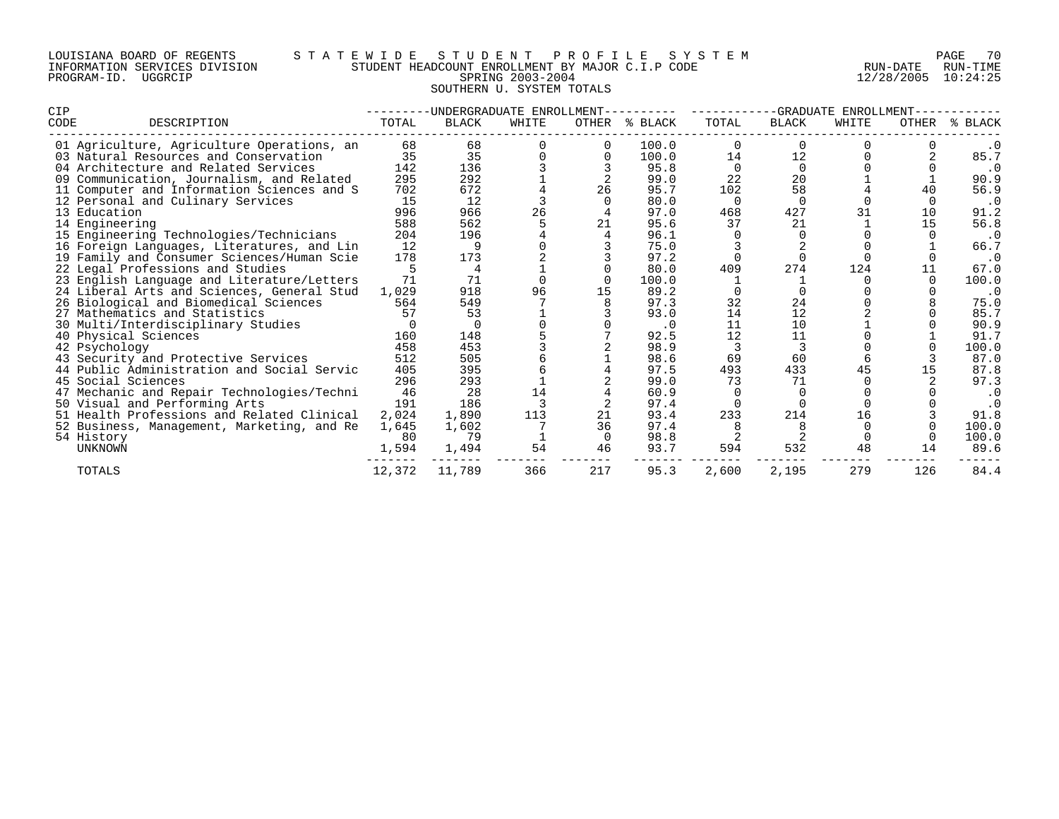# LOUISIANA BOARD OF REGENTS S T A T E W I D E S T U D E N T P R O F I L E S Y S T E M PAGE 70 INFORMATION SERVICES DIVISION STUDENT HEADCOUNT ENROLLMENT BY MAJOR C.I.P CODE RUN-DATE RUN-TIME PROGRAM-ID. UGGRCIP SPRING 2003-2004 12/28/2005 10:24:25 SOUTHERN U. SYSTEM TOTALS

| <b>CIP</b> |                                            |        | -UNDERGRADUATE ENROLLMENT |       |          |           | -GRADUATE ENROLLMENT |              |       |              |             |  |
|------------|--------------------------------------------|--------|---------------------------|-------|----------|-----------|----------------------|--------------|-------|--------------|-------------|--|
| CODE       | DESCRIPTION                                | TOTAL  | <b>BLACK</b>              | WHITE | OTHER    | % BLACK   | TOTAL                | <b>BLACK</b> | WHITE | <b>OTHER</b> | BLACK<br>°≈ |  |
|            | 01 Agriculture, Agriculture Operations, an | 68     | 68                        |       |          | 100.0     |                      |              |       |              | . 0         |  |
|            | 03 Natural Resources and Conservation      | 35     | 35                        |       |          | 100.0     | 14                   | 12           |       |              | 85.7        |  |
|            | 04 Architecture and Related Services       | 142    | 136                       |       |          | 95.8      | $\Omega$             | $\Omega$     |       |              | $\cdot$ 0   |  |
|            | 09 Communication, Journalism, and Related  | 295    | 292                       |       |          | 99.0      | 22                   | 20           |       |              | 90.9        |  |
|            | 11 Computer and Information Sciences and S | 702    | 672                       |       | 26       | 95.7      | 102                  | 58           |       |              | 56.9        |  |
|            | 12 Personal and Culinary Services          | 15     | 12                        |       |          | 80.0      | $\Omega$             |              |       |              | $\cdot$ 0   |  |
|            | 13 Education                               | 996    | 966                       | 26    |          | 97.0      | 468                  | 427          |       | 10           | 91.2        |  |
|            | 14 Engineering                             | 588    | 562                       |       | 21       | 95.6      | 37                   | 21           |       | 15           | 56.8        |  |
|            | 15 Engineering Technologies/Technicians    | 204    | 196                       |       |          | 96.1      |                      |              |       |              | . 0         |  |
|            | 16 Foreign Languages, Literatures, and Lin | 12     |                           |       |          | 75.0      |                      |              |       |              | 66.7        |  |
|            | 19 Family and Consumer Sciences/Human Scie | 178    | 173                       |       |          | 97.2      |                      |              |       |              | $\cdot$ 0   |  |
|            | 22 Legal Professions and Studies           |        |                           |       |          | 80.0      | 409                  | 274          | 124   |              | 67.0        |  |
|            | 23 English Language and Literature/Letters | 71     | 71                        |       |          | 100.0     |                      |              |       |              | 100.0       |  |
|            | 24 Liberal Arts and Sciences, General Stud | 1,029  | 918                       | 96    | 15       | 89.2      |                      |              |       |              | $\cdot$ 0   |  |
|            | 26 Biological and Biomedical Sciences      | 564    | 549                       |       |          | 97.3      | 32                   | 24           |       |              | 75.0        |  |
|            | 27 Mathematics and Statistics              | 57     | 53                        |       |          | 93.0      | 14                   | 12           |       |              | 85.7        |  |
|            | 30 Multi/Interdisciplinary Studies         |        |                           |       |          | $\cdot$ 0 | 11                   | 10           |       |              | 90.9        |  |
|            | 40 Physical Sciences                       | 160    | 148                       |       |          | 92.5      | 12                   | 11           |       |              | 91.7        |  |
|            | 42 Psychology                              | 458    | 453                       |       |          | 98.9      |                      |              |       |              | 100.0       |  |
|            | 43 Security and Protective Services        | 512    | 505                       |       |          | 98.6      | 69                   | 60           |       |              | 87.0        |  |
|            | 44 Public Administration and Social Servic | 405    | 395                       |       |          | 97.5      | 493                  | 433          |       |              | 87.8        |  |
|            | 45 Social Sciences                         | 296    | 293                       |       |          | 99.0      | 73                   | 71           |       |              | 97.3        |  |
|            | 47 Mechanic and Repair Technologies/Techni | 46     | 28                        | 14    |          | 60.9      |                      |              |       |              | $\cdot$ 0   |  |
|            | 50 Visual and Performing Arts              | 191    | 186                       |       |          | 97.4      |                      |              |       |              | $\cdot$ 0   |  |
|            | 51 Health Professions and Related Clinical | 2,024  | 1,890                     | 113   |          | 93.4      | 233                  | 214          | 16    |              | 91.8        |  |
|            | 52 Business, Management, Marketing, and Re | 1,645  | 1,602                     |       | 36       | 97.4      |                      |              |       |              | 100.0       |  |
|            | 54 History                                 | 80     | 79                        |       | $\Omega$ | 98.8      |                      |              |       |              | 100.0       |  |
|            | UNKNOWN                                    | 1,594  | 1,494                     | 54    | 46       | 93.7      | 594                  | 532          | 48    | 14           | 89.6        |  |
|            | <b>TOTALS</b>                              | 12,372 | 11,789                    | 366   | 217      | 95.3      | 2,600                | 2,195        | 279   | 126          | 84.4        |  |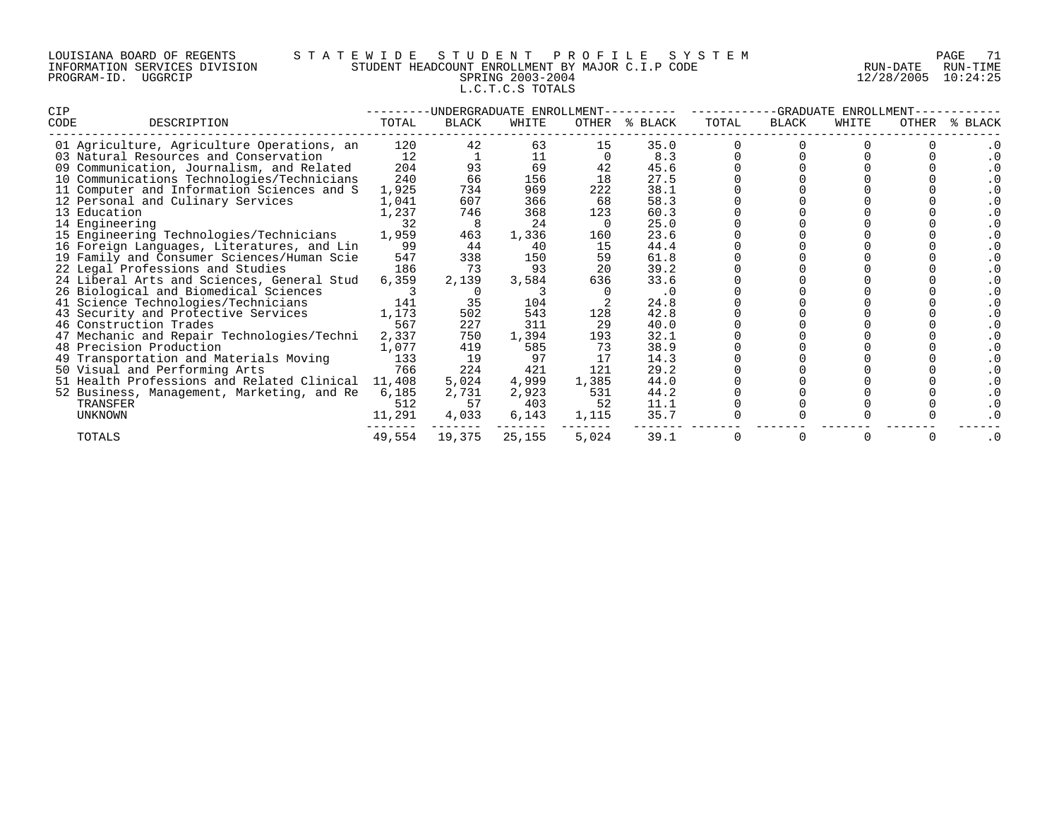# LOUISIANA BOARD OF REGENTS S T A T E W I D E S T U D E N T P R O F I L E S Y S T E M PAGE 71 INFORMATION SERVICES DIVISION STUDENT HEADCOUNT ENROLLMENT BY MAJOR C.I.P CODE RUN-DATE RUN-TIME PROGRAM-ID. UGGRCIP SPRING 2003-2004 12/28/2005 10:24:25 L.C.T.C.S TOTALS

| CIP                                        | -UNDERGRADUATE ENROLLMENT- |        |        |       |           |       | -GRADUATE<br>ENROLLMENT |       |       |             |  |
|--------------------------------------------|----------------------------|--------|--------|-------|-----------|-------|-------------------------|-------|-------|-------------|--|
| CODE<br>DESCRIPTION                        | TOTAL                      | BLACK  | WHITE  | OTHER | % BLACK   | TOTAL | BLACK                   | WHITE | OTHER | BLACK<br>°≈ |  |
| 01 Agriculture, Agriculture Operations, an | 120                        | 42     | 63     | 15    | 35.0      |       |                         |       |       |             |  |
| 03 Natural Resources and Conservation      | 12                         |        | 11     |       | 8.3       |       |                         |       |       |             |  |
| 09 Communication, Journalism, and Related  | 204                        | 93     | 69     |       | 45.6      |       |                         |       |       |             |  |
| 10 Communications Technologies/Technicians | 240                        | 66     | 156    | 18    | 27.5      |       |                         |       |       |             |  |
| 11 Computer and Information Sciences and S | 1,925                      | 734    | 969    | 222   | 38.1      |       |                         |       |       |             |  |
| 12 Personal and Culinary Services          | 1,041                      | 607    | 366    | 68    | 58.3      |       |                         |       |       |             |  |
| 13 Education                               | 1,237                      | 746    | 368    | 123   | 60.3      |       |                         |       |       |             |  |
| 14 Engineering                             | 32                         |        | 24     |       | 25.0      |       |                         |       |       |             |  |
| 15 Engineering Technologies/Technicians    | 1,959                      | 463    | 1,336  | 160   | 23.6      |       |                         |       |       |             |  |
| 16 Foreign Languages, Literatures, and Lin | 99                         | 44     | 40     | 15    | 44.4      |       |                         |       |       |             |  |
| 19 Family and Consumer Sciences/Human Scie | 547                        | 338    | 150    | 59    | 61.8      |       |                         |       |       |             |  |
| 22 Legal Professions and Studies           | 186                        | 73     | 93     | 20    | 39.2      |       |                         |       |       |             |  |
| 24 Liberal Arts and Sciences, General Stud | 6,359                      | 2,139  | 3,584  | 636   | 33.6      |       |                         |       |       |             |  |
| 26 Biological and Biomedical Sciences      |                            |        |        |       | $\cdot$ 0 |       |                         |       |       |             |  |
| 41 Science Technologies/Technicians        | 141                        | 35     | 104    |       | 24.8      |       |                         |       |       |             |  |
| 43 Security and Protective Services        | 1,173                      | 502    | 543    | 128   | 42.8      |       |                         |       |       |             |  |
| 46 Construction Trades                     | 567                        | 227    | 311    | 29    | 40.0      |       |                         |       |       |             |  |
| 47 Mechanic and Repair Technologies/Techni | 2,337                      | 750    | 1,394  | 193   | 32.1      |       |                         |       |       |             |  |
| 48 Precision Production                    | 1,077                      | 419    | 585    | 73    | 38.9      |       |                         |       |       |             |  |
| 49 Transportation and Materials Moving     | 133                        | 19     | 97     | 17    | 14.3      |       |                         |       |       |             |  |
| 50 Visual and Performing Arts              | 766                        | 224    | 421    | 121   | 29.2      |       |                         |       |       |             |  |
| 51 Health Professions and Related Clinical | 11,408                     | 5,024  | 4,999  | 1,385 | 44.0      |       |                         |       |       |             |  |
| 52 Business, Management, Marketing, and Re | 6,185                      | 2,731  | 2,923  | 531   | 44.2      |       |                         |       |       |             |  |
| TRANSFER                                   | 512                        | 57     | 403    | 52    | 11.1      |       |                         |       |       |             |  |
| UNKNOWN                                    | 11,291                     | 4,033  | 6,143  | 1,115 | 35.7      |       |                         |       |       |             |  |
| TOTALS                                     | 49,554                     | 19,375 | 25,155 | 5,024 | 39.1      |       |                         |       |       |             |  |